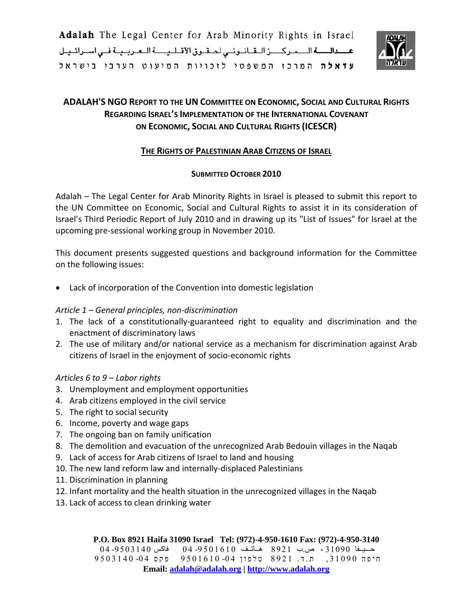

# **ADALAH'S NGO REPORT TO THE UN COMMITTEE ON ECONOMIC, SOCIAL AND CULTURAL RIGHTS REGARDING ISRAEL'S IMPLEMENTATION OF THE INTERNATIONAL COVENANT ON ECONOMIC, SOCIAL AND CULTURAL RIGHTS (ICESCR)**

# **THE RIGHTS OF PALESTINIAN ARAB CITIZENS OF ISRAEL**

#### **SUBMITTED OCTOBER 2010**

Adalah – The Legal Center for Arab Minority Rights in Israel is pleased to submit this report to the UN Committee on Economic, Social and Cultural Rights to assist it in its consideration of Israel's Third Periodic Report of July 2010 and in drawing up its "List of Issues" for Israel at the upcoming pre‐sessional working group in November 2010.

This document presents suggested questions and background information for the Committee on the following issues:

• Lack of incorporation of the Convention into domestic legislation

#### *Article 1 – General principles, non‐discrimination*

- 1. The lack of a constitutionally‐guaranteed right to equality and discrimination and the enactment of discriminatory laws
- 2. The use of military and/or national service as a mechanism for discrimination against Arab citizens of Israel in the enjoyment of socio‐economic rights

#### *Articles 6 to 9 – Labor rights*

- 3. Unemployment and employment opportunities
- 4. Arab citizens employed in the civil service
- 5. The right to social security
- 6. Income, poverty and wage gaps
- 7. The ongoing ban on family unification
- 8. The demolition and evacuation of the unrecognized Arab Bedouin villages in the Naqab
- 9. Lack of access for Arab citizens of Israel to land and housing
- 10. The new land reform law and internally-displaced Palestinians
- 11. Discrimination in planning
- 12. Infant mortality and the health situation in the unrecognized villages in the Naqab
- 13. Lack of access to clean drinking water

# **P.O. Box 8921 Haifa 31090 Israel Tel: (972)-4-950-1610 Fax: (972)-4-950-3140**

حـــيــفا 31090 ، ص.ب 8921 هــاتــف -9501610 4 0 فاآس -9503140 4 0 חיפה 31090 , ת . ד . 8921 טלפון 4 -0 9501610 פקס 4 -0 9503140 **Email: adalah@adalah.org | http://www.adalah.org**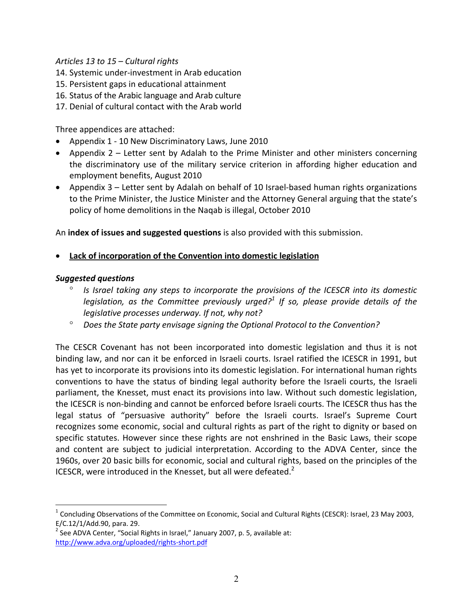#### *Articles 13 to 15 – Cultural rights*

- 14. Systemic under‐investment in Arab education
- 15. Persistent gaps in educational attainment
- 16. Status of the Arabic language and Arab culture
- 17. Denial of cultural contact with the Arab world

Three appendices are attached:

- Appendix 1 ‐ 10 New Discriminatory Laws, June 2010
- Appendix 2 Letter sent by Adalah to the Prime Minister and other ministers concerning the discriminatory use of the military service criterion in affording higher education and employment benefits, August 2010
- Appendix 3 Letter sent by Adalah on behalf of 10 Israel‐based human rights organizations to the Prime Minister, the Justice Minister and the Attorney General arguing that the state's policy of home demolitions in the Naqab is illegal, October 2010

An **index of issues and suggested questions** is also provided with this submission.

• **Lack of incorporation of the Convention into domestic legislation**

#### *Suggested questions*

 $\overline{a}$ 

- ° *Is Israel taking any steps to incorporate the provisions of the ICESCR into its domestic legislation, as the Committee previously urged?<sup>1</sup> If so, please provide details of the legislative processes underway. If not, why not?*
- ° *Does the State party envisage signing the Optional Protocol to the Convention?*

The CESCR Covenant has not been incorporated into domestic legislation and thus it is not binding law, and nor can it be enforced in Israeli courts. Israel ratified the ICESCR in 1991, but has yet to incorporate its provisions into its domestic legislation. For international human rights conventions to have the status of binding legal authority before the Israeli courts, the Israeli parliament, the Knesset, must enact its provisions into law. Without such domestic legislation, the ICESCR is non‐binding and cannot be enforced before Israeli courts. The ICESCR thus has the legal status of "persuasive authority" before the Israeli courts. Israel's Supreme Court recognizes some economic, social and cultural rights as part of the right to dignity or based on specific statutes. However since these rights are not enshrined in the Basic Laws, their scope and content are subject to judicial interpretation. According to the ADVA Center, since the 1960s, over 20 basic bills for economic, social and cultural rights, based on the principles of the ICESCR, were introduced in the Knesset, but all were defeated. $2$ 

 $1$  Concluding Observations of the Committee on Economic, Social and Cultural Rights (CESCR): Israel, 23 May 2003, E/C.12/1/Add.90, para. 29.<br><sup>2</sup> See ADVA Center, "Social Rights in Israel," January 2007, p. 5, available at:

http://www.adva.org/uploaded/rights‐short.pdf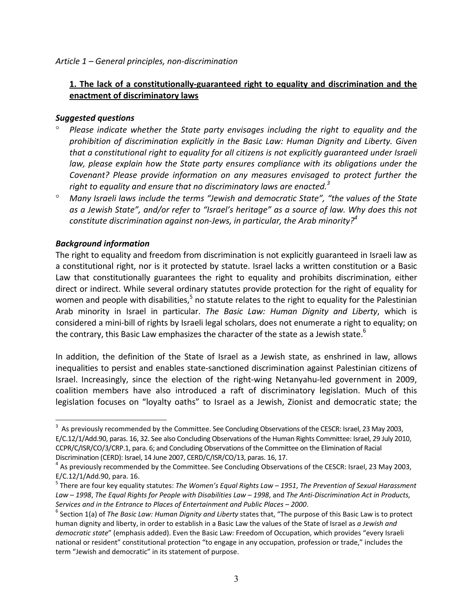# **1. The lack of a constitutionally‐guaranteed right to equality and discrimination and the enactment of discriminatory laws**

#### *Suggested questions*

- ° *Please indicate whether the State party envisages including the right to equality and the prohibition of discrimination explicitly in the Basic Law: Human Dignity and Liberty. Given that a constitutional right to equality for all citizens is not explicitly guaranteed under Israeli law, please explain how the State party ensures compliance with its obligations under the Covenant? Please provide information on any measures envisaged to protect further the right to equality and ensure that no discriminatory laws are enacted.3*
- ° *Many Israeli laws include the terms "Jewish and democratic State", "the values of the State as a Jewish State", and/or refer to "Israel's heritage" as a source of law. Why does this not constitute discrimination against non‐Jews, in particular, the Arab minority?<sup>4</sup>*

#### *Background information*

<u>.</u>

The right to equality and freedom from discrimination is not explicitly guaranteed in Israeli law as a constitutional right, nor is it protected by statute. Israel lacks a written constitution or a Basic Law that constitutionally guarantees the right to equality and prohibits discrimination, either direct or indirect. While several ordinary statutes provide protection for the right of equality for women and people with disabilities, $5$  no statute relates to the right to equality for the Palestinian Arab minority in Israel in particular. *The Basic Law: Human Dignity and Liberty*, which is considered a mini‐bill of rights by Israeli legal scholars, does not enumerate a right to equality; on the contrary, this Basic Law emphasizes the character of the state as a Jewish state. $^6\,$ 

In addition, the definition of the State of Israel as a Jewish state, as enshrined in law, allows inequalities to persist and enables state‐sanctioned discrimination against Palestinian citizens of Israel. Increasingly, since the election of the right‐wing Netanyahu‐led government in 2009, coalition members have also introduced a raft of discriminatory legislation. Much of this legislation focuses on "loyalty oaths" to Israel as a Jewish, Zionist and democratic state; the

 $^3$  As previously recommended by the Committee. See Concluding Observations of the CESCR: Israel, 23 May 2003, E/C.12/1/Add.90, paras. 16, 32. See also Concluding Observations of the Human Rights Committee: Israel, 29 July 2010, CCPR/C/ISR/CO/3/CRP.1, para. 6; and Concluding Observations of the Committee on the Elimination of Racial

Discrimination (CERD): Israel, 14 June 2007, CERD/C/ISR/CO/13, paras. 16, 17.<br><sup>4</sup> As previously recommended by the Committee. See Concluding Observations of the CESCR: Israel, 23 May 2003, E/C.12/1/Add.90, para. 16.<br><sup>5</sup> There are four key equality statutes: *The Women's Equal Rights Law – 1951*, *The Prevention of Sexual Harassment* 

Law - 1998, The Equal Rights for People with Disabilities Law - 1998, and The Anti-Discrimination Act in Products,

Services and in the Entrance to Places of Entertainment and Public Places – 2000.<br><sup>6</sup> Section 1(a) of The Basic Law: Human Dignity and Liberty states that, "The purpose of this Basic Law is to protect human dignity and liberty, in order to establish in a Basic Law the values of the State of Israel as *a Jewish and democratic state*" (emphasis added). Even the Basic Law: Freedom of Occupation, which provides "every Israeli national or resident" constitutional protection "to engage in any occupation, profession or trade," includes the term "Jewish and democratic" in its statement of purpose.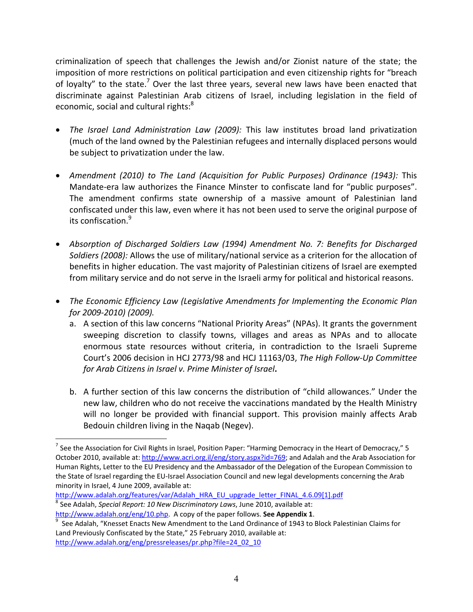criminalization of speech that challenges the Jewish and/or Zionist nature of the state; the imposition of more restrictions on political participation and even citizenship rights for "breach of loyalty" to the state.<sup>7</sup> Over the last three years, several new laws have been enacted that discriminate against Palestinian Arab citizens of Israel, including legislation in the field of economic, social and cultural rights:<sup>8</sup>

- *The Israel Land Administration Law (2009):* This law institutes broad land privatization (much of the land owned by the Palestinian refugees and internally displaced persons would be subject to privatization under the law.
- *Amendment (2010) to The Land (Acquisition for Public Purposes) Ordinance (1943):* This Mandate-era law authorizes the Finance Minster to confiscate land for "public purposes". The amendment confirms state ownership of a massive amount of Palestinian land confiscated under this law, even where it has not been used to serve the original purpose of its confiscation.<sup>9</sup>
- *Absorption of Discharged Soldiers Law (1994) Amendment No. 7: Benefits for Discharged Soldiers (2008):* Allows the use of military/national service as a criterion for the allocation of benefits in higher education. The vast majority of Palestinian citizens of Israel are exempted from military service and do not serve in the Israeli army for political and historical reasons.
- *The Economic Efficiency Law (Legislative Amendments for Implementing the Economic Plan for 2009‐2010) (2009).*
	- a. A section of this law concerns "National Priority Areas" (NPAs). It grants the government sweeping discretion to classify towns, villages and areas as NPAs and to allocate enormous state resources without criteria, in contradiction to the Israeli Supreme Court's 2006 decision in HCJ 2773/98 and HCJ 11163/03, *The High Follow‐Up Committee for Arab Citizens in Israel v. Prime Minister of Israel***.**
	- b. A further section of this law concerns the distribution of "child allowances." Under the new law, children who do not receive the vaccinations mandated by the Health Ministry will no longer be provided with financial support. This provision mainly affects Arab Bedouin children living in the Naqab (Negev).

 $\overline{a}$ 

 $^7$  See the Association for Civil Rights in Israel, Position Paper: "Harming Democracy in the Heart of Democracy," 5 October 2010, available at: http://www.acri.org.il/eng/story.aspx?id=769; and Adalah and the Arab Association for Human Rights, Letter to the EU Presidency and the Ambassador of the Delegation of the European Commission to the State of Israel regarding the EU‐Israel Association Council and new legal developments concerning the Arab minority in Israel, 4 June 2009, available at:

http://www.adalah.org/features/var/Adalah\_HRA\_EU\_upgrade\_letter\_FINAL\_4.6.09[1].pdf <sup>8</sup> See Adalah, *Special Report: <sup>10</sup> New Discriminatory Laws*, June 2010, available at:

http://www.adalah.org/eng/10.php. A copy of the paper follows. **See Appendix 1**.<br><sup>9</sup> See Adalah, "Knesset Enacts New Amendment to the Land Ordinance of 1943 to Block Palestinian Claims for Land Previously Confiscated by the State," 25 February 2010, available at: http://www.adalah.org/eng/pressreleases/pr.php?file=24\_02\_10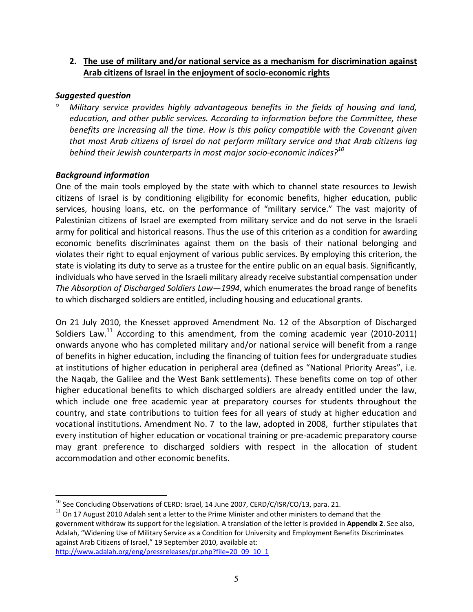# **2. The use of military and/or national service as a mechanism for discrimination against Arab citizens of Israel in the enjoyment of socio‐economic rights**

# *Suggested question*

° *Military service provides highly advantageous benefits in the fields of housing and land, education, and other public services. According to information before the Committee, these benefits are increasing all the time. How is this policy compatible with the Covenant given that most Arab citizens of Israel do not perform military service and that Arab citizens lag behind their Jewish counterparts in most major socio‐economic indices?10*

# *Background information*

One of the main tools employed by the state with which to channel state resources to Jewish citizens of Israel is by conditioning eligibility for economic benefits, higher education, public services, housing loans, etc. on the performance of "military service." The vast majority of Palestinian citizens of Israel are exempted from military service and do not serve in the Israeli army for political and historical reasons. Thus the use of this criterion as a condition for awarding economic benefits discriminates against them on the basis of their national belonging and violates their right to equal enjoyment of various public services. By employing this criterion, the state is violating its duty to serve as a trustee for the entire public on an equal basis. Significantly, individuals who have served in the Israeli military already receive substantial compensation under *The Absorption of Discharged Soldiers Law*—*1994*, which enumerates the broad range of benefits to which discharged soldiers are entitled, including housing and educational grants.

On 21 July 2010, the Knesset approved Amendment No. 12 of the Absorption of Discharged Soldiers Law.<sup>11</sup> According to this amendment, from the coming academic year (2010-2011) onwards anyone who has completed military and/or national service will benefit from a range of benefits in higher education, including the financing of tuition fees for undergraduate studies at institutions of higher education in peripheral area (defined as "National Priority Areas", i.e. the Naqab, the Galilee and the West Bank settlements). These benefits come on top of other higher educational benefits to which discharged soldiers are already entitled under the law, which include one free academic year at preparatory courses for students throughout the country, and state contributions to tuition fees for all years of study at higher education and vocational institutions. Amendment No. 7 to the law, adopted in 2008, further stipulates that every institution of higher education or vocational training or pre‐academic preparatory course may grant preference to discharged soldiers with respect in the allocation of student accommodation and other economic benefits.

<sup>&</sup>lt;sup>10</sup> See Concluding Observations of CERD: Israel, 14 June 2007, CERD/C/ISR/CO/13, para. 21.

 $11$  On 17 August 2010 Adalah sent a letter to the Prime Minister and other ministers to demand that the government withdraw its support for the legislation. A translation of the letter is provided in **Appendix 2**. See also, Adalah, "Widening Use of Military Service as a Condition for University and Employment Benefits Discriminates against Arab Citizens of Israel," 19 September 2010, available at:

http://www.adalah.org/eng/pressreleases/pr.php?file=20\_09\_10\_1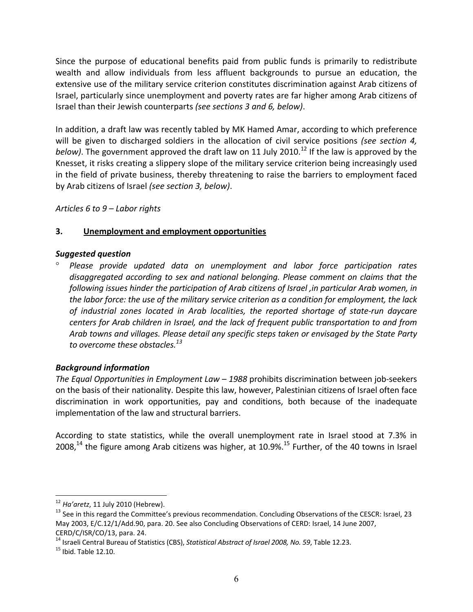Since the purpose of educational benefits paid from public funds is primarily to redistribute wealth and allow individuals from less affluent backgrounds to pursue an education, the extensive use of the military service criterion constitutes discrimination against Arab citizens of Israel, particularly since unemployment and poverty rates are far higher among Arab citizens of Israel than their Jewish counterparts *(see sections 3 and 6, below)*.

In addition, a draft law was recently tabled by MK Hamed Amar, according to which preference will be given to discharged soldiers in the allocation of civil service positions *(see section 4, below)*. The government approved the draft law on 11 July 2010.<sup>12</sup> If the law is approved by the Knesset, it risks creating a slippery slope of the military service criterion being increasingly used in the field of private business, thereby threatening to raise the barriers to employment faced by Arab citizens of Israel *(see section 3, below)*.

*Articles 6 to 9 – Labor rights*

#### **3. Unemployment and employment opportunities**

#### *Suggested question*

° *Please provide updated data on unemployment and labor force participation rates disaggregated according to sex and national belonging. Please comment on claims that the following issues hinder the participation of Arab citizens of Israel ,in particular Arab women, in the labor force: the use of the military service criterion as a condition for employment, the lack of industrial zones located in Arab localities, the reported shortage of state‐run daycare centers for Arab children in Israel, and the lack of frequent public transportation to and from Arab towns and villages. Please detail any specific steps taken or envisaged by the State Party to overcome these obstacles.13*

# *Background information*

*The Equal Opportunities in Employment Law – 1988* prohibits discrimination between job‐seekers on the basis of their nationality. Despite this law, however, Palestinian citizens of Israel often face discrimination in work opportunities, pay and conditions, both because of the inadequate implementation of the law and structural barriers.

According to state statistics, while the overall unemployment rate in Israel stood at 7.3% in 2008, $^{14}$  the figure among Arab citizens was higher, at 10.9%.<sup>15</sup> Further, of the 40 towns in Israel

 $12$  Ha'aretz, 11 July 2010 (Hebrew).

<sup>&</sup>lt;sup>13</sup> See in this regard the Committee's previous recommendation. Concluding Observations of the CESCR: Israel, 23 May 2003, E/C.12/1/Add.90, para. 20. See also Concluding Observations of CERD: Israel, 14 June 2007,

CERD/C/ISR/CO/13, para. 24.<br><sup>14</sup> Israeli Central Bureau of Statistics (CBS), *Statistical Abstract of Israel 2008, No. 59*, Table 12.23.<br><sup>15</sup> Ibid. Table 12.10.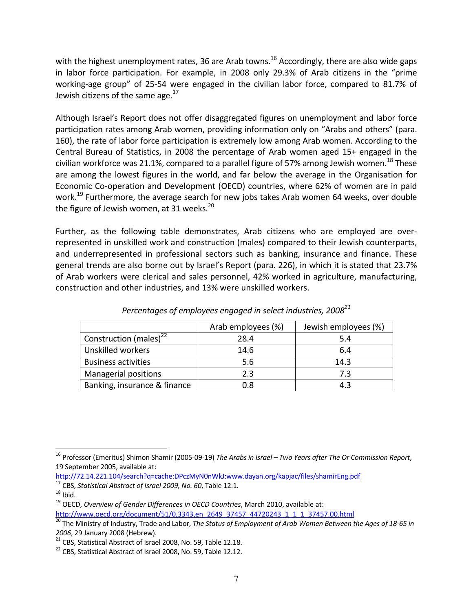with the highest unemployment rates, 36 are Arab towns.<sup>16</sup> Accordingly, there are also wide gaps in labor force participation. For example, in 2008 only 29.3% of Arab citizens in the "prime working‐age group" of 25‐54 were engaged in the civilian labor force, compared to 81.7% of Jewish citizens of the same age. $^{17}$ 

Although Israel's Report does not offer disaggregated figures on unemployment and labor force participation rates among Arab women, providing information only on "Arabs and others" (para. 160), the rate of labor force participation is extremely low among Arab women. According to the Central Bureau of Statistics, in 2008 the percentage of Arab women aged 15+ engaged in the civilian workforce was 21.1%, compared to a parallel figure of 57% among Jewish women.<sup>18</sup> These are among the lowest figures in the world, and far below the average in the Organisation for Economic Co-operation and Development (OECD) countries, where 62% of women are in paid work.<sup>19</sup> Furthermore, the average search for new jobs takes Arab women 64 weeks, over double the figure of Jewish women, at 31 weeks.<sup>20</sup>

Further, as the following table demonstrates, Arab citizens who are employed are over‐ represented in unskilled work and construction (males) compared to their Jewish counterparts, and underrepresented in professional sectors such as banking, insurance and finance. These general trends are also borne out by Israel's Report (para. 226), in which it is stated that 23.7% of Arab workers were clerical and sales personnel, 42% worked in agriculture, manufacturing, construction and other industries, and 13% were unskilled workers.

|                                    | Arab employees (%) | Jewish employees (%) |
|------------------------------------|--------------------|----------------------|
| Construction (males) <sup>22</sup> | 28.4               | 5.4                  |
| Unskilled workers                  | 14.6               | 6.4                  |
| <b>Business activities</b>         | 5.6                | 14.3                 |
| Managerial positions               | 2.3                | 7.3                  |
| Banking, insurance & finance       | 0.8                | 4.3                  |

# *Percentages of employees engaged in select industries, 200821*

 $\overline{a}$ 

<sup>16</sup> Professor (Emeritus) Shimon Shamir (2005‐09‐19) *The Arabs in Israel – Two Years after The Or Commission Report*, 19 September 2005, available at:<br>http://72.14.221.104/search?q=cache:DPczMyN0nWkJ:www.dayan.org/kapjac/files/shamirEng.pdf

<sup>&</sup>lt;sup>17</sup> CBS, *Statistical Abstract of Israel 2009, No. 60*, Table 12.1.<br><sup>18</sup> Ibid.<br><sup>19</sup> OECD, *Overview of Gender Differences in OECD Countries*, March 2010, available at:<br>http://www.oecd.org/document/51/0,3343,en 2649 37457

<sup>&</sup>lt;sup>20</sup> The Ministry of Industry, Trade and Labor, The Status of Employment of Arab Women Between the Ages of 18-65 in *2006*, 29 January 2008 (Hebrew).<br><sup>21</sup> CBS, Statistical Abstract of Israel 2008, No. 59, Table 12.18.<br><sup>22</sup> CBS. Statistical Abstract of Israel 2008, No. 59, Table 12.12.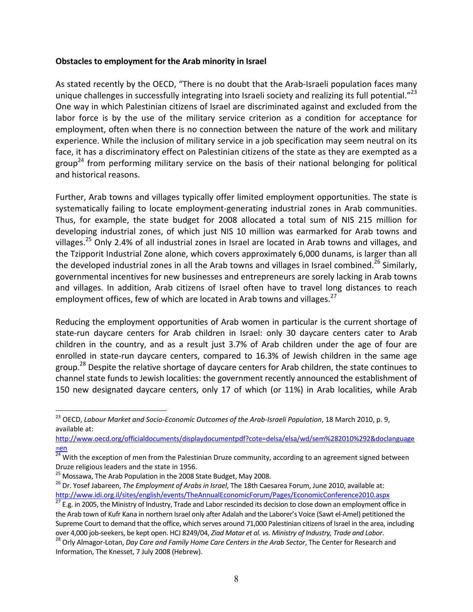#### **Obstacles to employment for the Arab minority in Israel**

As stated recently by the OECD, "There is no doubt that the Arab-Israeli population faces many unique challenges in successfully integrating into Israeli society and realizing its full potential."<sup>23</sup> One way in which Palestinian citizens of Israel are discriminated against and excluded from the labor force is by the use of the military service criterion as a condition for acceptance for employment, often when there is no connection between the nature of the work and military experience. While the inclusion of military service in a job specification may seem neutral on its face, it has a discriminatory effect on Palestinian citizens of the state as they are exempted as a group<sup>24</sup> from performing military service on the basis of their national belonging for political and historical reasons.

Further, Arab towns and villages typically offer limited employment opportunities. The state is systematically failing to locate employment-generating industrial zones in Arab communities. Thus, for example, the state budget for 2008 allocated a total sum of NIS 215 million for developing industrial zones, of which just NIS 10 million was earmarked for Arab towns and villages.<sup>25</sup> Only 2.4% of all industrial zones in Israel are located in Arab towns and villages, and the Tzipporit Industrial Zone alone, which covers approximately 6,000 dunams, is larger than all the developed industrial zones in all the Arab towns and villages in Israel combined.<sup>26</sup> Similarly, governmental incentives for new businesses and entrepreneurs are sorely lacking in Arab towns and villages. In addition, Arab citizens of Israel often have to travel long distances to reach employment offices, few of which are located in Arab towns and villages. $^{27}$ 

Reducing the employment opportunities of Arab women in particular is the current shortage of state-run daycare centers for Arab children in Israel: only 30 daycare centers cater to Arab children in the country, and as a result just 3.7% of Arab children under the age of four are enrolled in state-run daycare centers, compared to 16.3% of Jewish children in the same age group.<sup>28</sup> Despite the relative shortage of daycare centers for Arab children, the state continues to channel state funds to Jewish localities: the government recently announced the establishment of 150 new designated daycare centers, only 17 of which (or 11%) in Arab localities, while Arab

1

<sup>23</sup> OECD, *Labour Market and Socio‐Economic Outcomes of the Arab‐Israeli Population*, 18 March 2010, p. 9, available at:

http://www.oecd.org/officialdocuments/displaydocumentpdf?cote=delsa/elsa/wd/sem%282010%292&doclanguage

 $\frac{=en}{24}$  With the exception of men from the Palestinian Druze community, according to an agreement signed between Druze religious leaders and the state in 1956.<br><sup>25</sup> Mossawa, The Arab Population in the 2008 State Budget, May 2008.<br><sup>26</sup> Dr. Yosef Jabareen. *The Emplovment of Arabs in Israel*, The 18th Caesarea Forum, June 2010, availab

http://www.idi.org.il/sites/english/events/TheAnnualEconomicForum/Pages/EconomicConference2010.aspx <sup>27</sup> E.g. in 2005, the Ministry of Industry, Trade and Labor rescinded its decision to close down an employment office in

the Arab town of Kufr Kana in northern Israel only after Adalah and the Laborer's Voice (Sawt el‐Amel) petitioned the Supreme Court to demand that the office, which serves around 71,000 Palestinian citizens of Israel in the area, including over 4,000 job-seekers, be kept open. HCJ 8249/04, Ziad Matar et al. vs. Ministry of Industry, Trade and Labor.<br><sup>28</sup> Orly Almagor-Lotan, *Day Care and Family Home Care Centers in the Arab Sector*, The Center for Research a

Information, The Knesset, 7 July 2008 (Hebrew).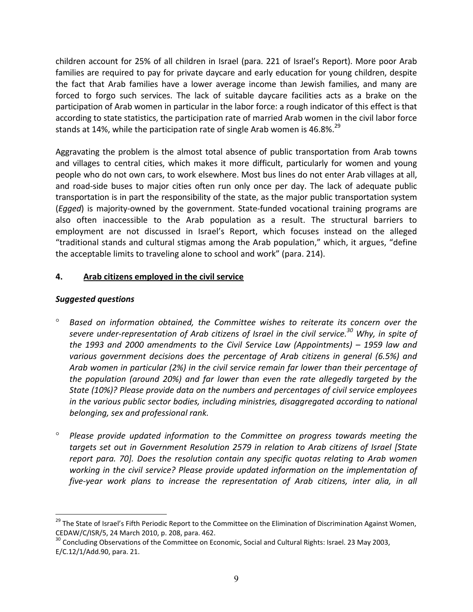children account for 25% of all children in Israel (para. 221 of Israel's Report). More poor Arab families are required to pay for private daycare and early education for young children, despite the fact that Arab families have a lower average income than Jewish families, and many are forced to forgo such services. The lack of suitable daycare facilities acts as a brake on the participation of Arab women in particular in the labor force: a rough indicator of this effect is that according to state statistics, the participation rate of married Arab women in the civil labor force stands at 14%, while the participation rate of single Arab women is 46.8%.<sup>29</sup>

Aggravating the problem is the almost total absence of public transportation from Arab towns and villages to central cities, which makes it more difficult, particularly for women and young people who do not own cars, to work elsewhere. Most bus lines do not enter Arab villages at all, and road-side buses to major cities often run only once per day. The lack of adequate public transportation is in part the responsibility of the state, as the major public transportation system (*Egged*) is majority-owned by the government. State-funded vocational training programs are also often inaccessible to the Arab population as a result. The structural barriers to employment are not discussed in Israel's Report, which focuses instead on the alleged "traditional stands and cultural stigmas among the Arab population," which, it argues, "define the acceptable limits to traveling alone to school and work" (para. 214).

# **4. Arab citizens employed in the civil service**

# *Suggested questions*

1

- ° *Based on information obtained, the Committee wishes to reiterate its concern over the severe under‐representation of Arab citizens of Israel in the civil service.30 Why, in spite of the 1993 and 2000 amendments to the Civil Service Law (Appointments) – 1959 law and various government decisions does the percentage of Arab citizens in general (6.5%) and Arab women in particular (2%) in the civil service remain far lower than their percentage of the population (around 20%) and far lower than even the rate allegedly targeted by the State (10%)? Please provide data on the numbers and percentages of civil service employees in the various public sector bodies, including ministries, disaggregated according to national belonging, sex and professional rank.*
- ° *Please provide updated information to the Committee on progress towards meeting the targets set out in Government Resolution 2579 in relation to Arab citizens of Israel [State report para. 70]. Does the resolution contain any specific quotas relating to Arab women working in the civil service? Please provide updated information on the implementation of five‐year work plans to increase the representation of Arab citizens, inter alia, in all*

<sup>&</sup>lt;sup>29</sup> The State of Israel's Fifth Periodic Report to the Committee on the Elimination of Discrimination Against Women, CEDAW/C/ISR/5, 24 March 2010, p. 208, para. 462.<br><sup>30</sup> Concluding Observations of the Committee on Economic, Social and Cultural Rights: Israel. 23 May 2003,

E/C.12/1/Add.90, para. 21.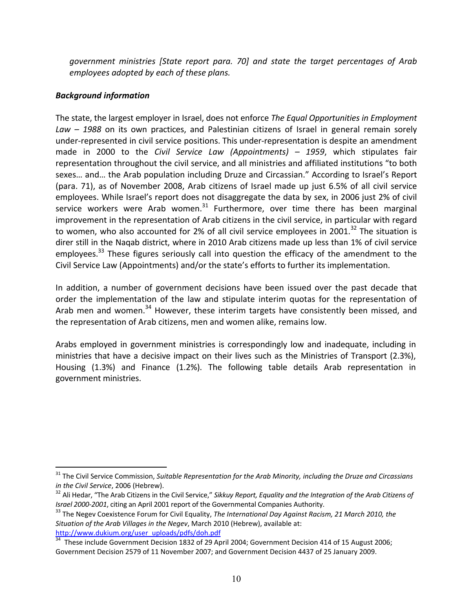*government ministries [State report para. 70] and state the target percentages of Arab employees adopted by each of these plans.* 

### *Background information*

 $\overline{a}$ 

The state, the largest employer in Israel, does not enforce *The Equal Opportunities in Employment Law – 1988* on its own practices, and Palestinian citizens of Israel in general remain sorely under‐represented in civil service positions. This under‐representation is despite an amendment made in 2000 to the *Civil Service Law (Appointments) – 1959*, which stipulates fair representation throughout the civil service, and all ministries and affiliated institutions "to both sexes… and… the Arab population including Druze and Circassian." According to Israel's Report (para. 71), as of November 2008, Arab citizens of Israel made up just 6.5% of all civil service employees. While Israel's report does not disaggregate the data by sex, in 2006 just 2% of civil service workers were Arab women. $31$  Furthermore, over time there has been marginal improvement in the representation of Arab citizens in the civil service, in particular with regard to women, who also accounted for 2% of all civil service employees in 2001.<sup>32</sup> The situation is direr still in the Naqab district, where in 2010 Arab citizens made up less than 1% of civil service employees.<sup>33</sup> These figures seriously call into question the efficacy of the amendment to the Civil Service Law (Appointments) and/or the state's efforts to further its implementation.

In addition, a number of government decisions have been issued over the past decade that order the implementation of the law and stipulate interim quotas for the representation of Arab men and women.<sup>34</sup> However, these interim targets have consistently been missed, and the representation of Arab citizens, men and women alike, remains low.

Arabs employed in government ministries is correspondingly low and inadequate, including in ministries that have a decisive impact on their lives such as the Ministries of Transport (2.3%), Housing (1.3%) and Finance (1.2%). The following table details Arab representation in government ministries.

<sup>31</sup> The Civil Service Commission, *Suitable Representation for the Arab Minority, including the Druze and Circassians*

in the Civil Service, 2006 (Hebrew).<br><sup>32</sup> Ali Hedar, "The Arab Citizens in the Civil Service," Sikkuy Report, Equality and the Integration of the Arab Citizens of<br>Israel 2000-2001, citing an April 2001 report of the Govern

<sup>&</sup>lt;sup>33</sup> The Negev Coexistence Forum for Civil Equality, The International Day Against Racism, 21 March 2010, the *Situation of the Arab Villages in the Negev*, March 2010 (Hebrew), available at:

http://www.dukium.org/user\_uploads/pdfs/doh.pdf<br><sup>34</sup> These include Government Decision 1832 of 29 April 2004; Government Decision 414 of 15 August 2006; Government Decision 2579 of 11 November 2007; and Government Decision 4437 of 25 January 2009.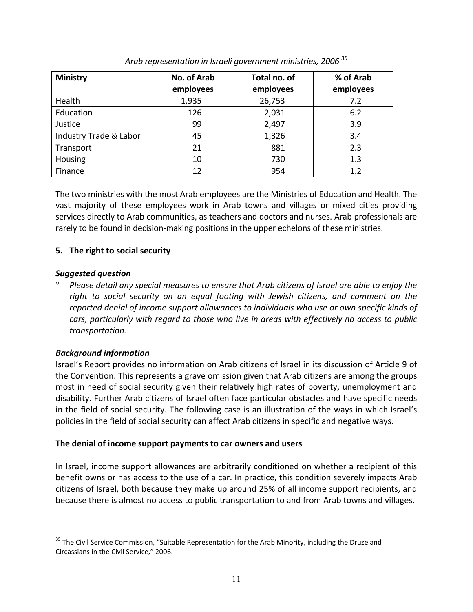| <b>Ministry</b>        | No. of Arab<br>employees | Total no. of<br>employees | % of Arab<br>employees |
|------------------------|--------------------------|---------------------------|------------------------|
| Health                 | 1,935                    | 26,753                    | 7.2                    |
| Education              | 126                      | 2,031                     | 6.2                    |
| Justice                | 99                       | 2,497                     | 3.9                    |
| Industry Trade & Labor | 45                       | 1,326                     | 3.4                    |
| Transport              | 21                       | 881                       | 2.3                    |
| Housing                | 10                       | 730                       | 1.3                    |
| Finance                | 12                       | 954                       | 1.2                    |

*Arab representation in Israeli government ministries, 2006 <sup>35</sup>* 

The two ministries with the most Arab employees are the Ministries of Education and Health. The vast majority of these employees work in Arab towns and villages or mixed cities providing services directly to Arab communities, as teachers and doctors and nurses. Arab professionals are rarely to be found in decision-making positions in the upper echelons of these ministries.

# **5. The right to social security**

# *Suggested question*

° *Please detail any special measures to ensure that Arab citizens of Israel are able to enjoy the right to social security on an equal footing with Jewish citizens, and comment on the reported denial of income support allowances to individuals who use or own specific kinds of cars, particularly with regard to those who live in areas with effectively no access to public transportation.*

# *Background information*

 $\overline{a}$ 

Israel's Report provides no information on Arab citizens of Israel in its discussion of Article 9 of the Convention. This represents a grave omission given that Arab citizens are among the groups most in need of social security given their relatively high rates of poverty, unemployment and disability. Further Arab citizens of Israel often face particular obstacles and have specific needs in the field of social security. The following case is an illustration of the ways in which Israel's policies in the field of social security can affect Arab citizens in specific and negative ways.

# **The denial of income support payments to car owners and users**

In Israel, income support allowances are arbitrarily conditioned on whether a recipient of this benefit owns or has access to the use of a car. In practice, this condition severely impacts Arab citizens of Israel, both because they make up around 25% of all income support recipients, and because there is almost no access to public transportation to and from Arab towns and villages.

<sup>&</sup>lt;sup>35</sup> The Civil Service Commission, "Suitable Representation for the Arab Minority, including the Druze and Circassians in the Civil Service," 2006.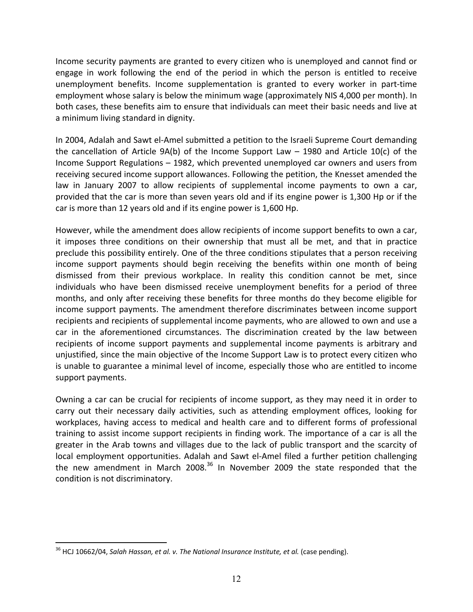Income security payments are granted to every citizen who is unemployed and cannot find or engage in work following the end of the period in which the person is entitled to receive unemployment benefits. Income supplementation is granted to every worker in part‐time employment whose salary is below the minimum wage (approximately NIS 4,000 per month). In both cases, these benefits aim to ensure that individuals can meet their basic needs and live at a minimum living standard in dignity.

In 2004, Adalah and Sawt el-Amel submitted a petition to the Israeli Supreme Court demanding the cancellation of Article 9A(b) of the Income Support Law  $-$  1980 and Article 10(c) of the Income Support Regulations – 1982, which prevented unemployed car owners and users from receiving secured income support allowances. Following the petition, the Knesset amended the law in January 2007 to allow recipients of supplemental income payments to own a car, provided that the car is more than seven years old and if its engine power is 1,300 Hp or if the car is more than 12 years old and if its engine power is 1,600 Hp.

However, while the amendment does allow recipients of income support benefits to own a car, it imposes three conditions on their ownership that must all be met, and that in practice preclude this possibility entirely. One of the three conditions stipulates that a person receiving income support payments should begin receiving the benefits within one month of being dismissed from their previous workplace. In reality this condition cannot be met, since individuals who have been dismissed receive unemployment benefits for a period of three months, and only after receiving these benefits for three months do they become eligible for income support payments. The amendment therefore discriminates between income support recipients and recipients of supplemental income payments, who are allowed to own and use a car in the aforementioned circumstances. The discrimination created by the law between recipients of income support payments and supplemental income payments is arbitrary and unjustified, since the main objective of the Income Support Law is to protect every citizen who is unable to guarantee a minimal level of income, especially those who are entitled to income support payments.

Owning a car can be crucial for recipients of income support, as they may need it in order to carry out their necessary daily activities, such as attending employment offices, looking for workplaces, having access to medical and health care and to different forms of professional training to assist income support recipients in finding work. The importance of a car is all the greater in the Arab towns and villages due to the lack of public transport and the scarcity of local employment opportunities. Adalah and Sawt el‐Amel filed a further petition challenging the new amendment in March 2008. $36$  In November 2009 the state responded that the condition is not discriminatory.

<sup>1</sup> <sup>36</sup> HCJ 10662/04, *Salah Hassan, et al. v. The National Insurance Institute, et al.* (case pending).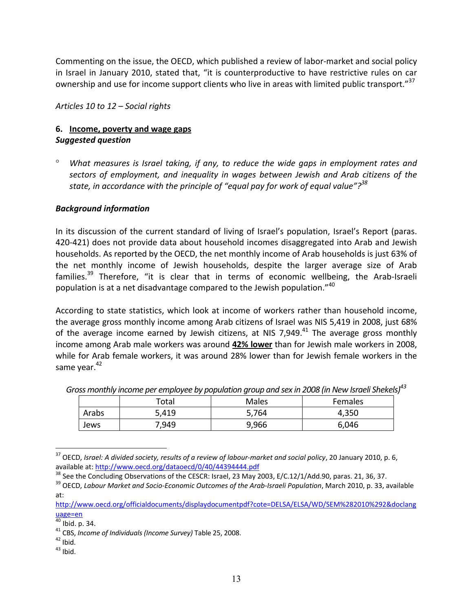Commenting on the issue, the OECD, which published a review of labor‐market and social policy in Israel in January 2010, stated that, "it is counterproductive to have restrictive rules on car ownership and use for income support clients who live in areas with limited public transport."<sup>37</sup>

*Articles 10 to 12 – Social rights*

### **6. Income, poverty and wage gaps** *Suggested question*

° *What measures is Israel taking, if any, to reduce the wide gaps in employment rates and sectors of employment, and inequality in wages between Jewish and Arab citizens of the state, in accordance with the principle of "equal pay for work of equal value"?38* 

# *Background information*

In its discussion of the current standard of living of Israel's population, Israel's Report (paras. 420-421) does not provide data about household incomes disaggregated into Arab and Jewish households. As reported by the OECD, the net monthly income of Arab households is just 63% of the net monthly income of Jewish households, despite the larger average size of Arab families.<sup>39</sup> Therefore, "it is clear that in terms of economic wellbeing, the Arab-Israeli population is at a net disadvantage compared to the Jewish population."<sup>40</sup>

According to state statistics, which look at income of workers rather than household income, the average gross monthly income among Arab citizens of Israel was NIS 5,419 in 2008, just 68% of the average income earned by Jewish citizens, at NIS 7,949. $41$  The average gross monthly income among Arab male workers was around **42% lower** than for Jewish male workers in 2008, while for Arab female workers, it was around 28% lower than for Jewish female workers in the same year.<sup>42</sup>

|       | Total | Males | Females |
|-------|-------|-------|---------|
| Arabs | 5,419 | 5,764 | 4,350   |
| Jews  | 7,949 | 9,966 | 6,046   |

*Gross monthly income per employee by population group and sex in 2008 (in New Israeli Shekels)43*

 $\overline{a}$ 

<sup>37</sup> OECD, *Israel: A divided society, results of a review of labour‐market and social policy*, 20 January 2010, p. 6, available at: http://www.oecd.org/dataoecd/0/40/44394444.pdf<br><sup>38</sup> See the Concluding Observations of the CESCR: Israel, 23 May 2003, E/C.12/1/Add.90, paras. 21, 36, 37.<br><sup>39</sup> OECD. *Labour Market and Socio-Economic Outcomes* 

at:

http://www.oecd.org/officialdocuments/displaydocumentpdf?cote=DELSA/ELSA/WD/SEM%282010%292&doclang

 $\frac{\text{uage}=en}{40}$  Ibid. p. 34.

<sup>&</sup>lt;sup>41</sup> CBS, *Income of Individuals (Income Survey)* Table 25, 2008.<br><sup>42</sup> Ibid. 43 Ibid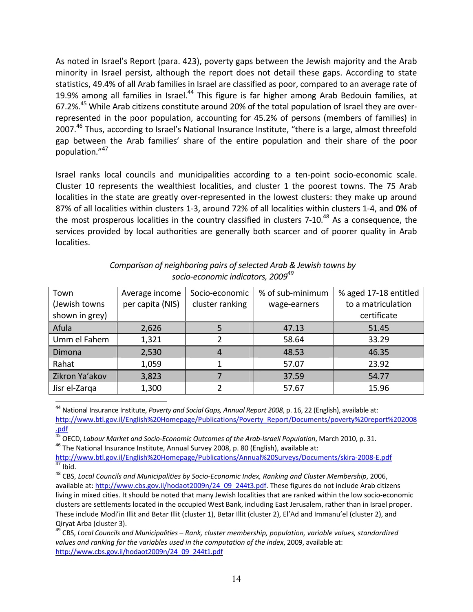As noted in Israel's Report (para. 423), poverty gaps between the Jewish majority and the Arab minority in Israel persist, although the report does not detail these gaps. According to state statistics, 49.4% of all Arab families in Israel are classified as poor, compared to an average rate of 19.9% among all families in Israel.<sup>44</sup> This figure is far higher among Arab Bedouin families, at 67.2%.<sup>45</sup> While Arab citizens constitute around 20% of the total population of Israel they are overrepresented in the poor population, accounting for 45.2% of persons (members of families) in 2007.<sup>46</sup> Thus, according to Israel's National Insurance Institute, "there is a large, almost threefold gap between the Arab families' share of the entire population and their share of the poor population."<sup>47</sup>

Israel ranks local councils and municipalities according to a ten‐point socio‐economic scale. Cluster 10 represents the wealthiest localities, and cluster 1 the poorest towns. The 75 Arab localities in the state are greatly over‐represented in the lowest clusters: they make up around 87% of all localities within clusters 1‐3, around 72% of all localities within clusters 1‐4, and **0%** of the most prosperous localities in the country classified in clusters  $7$ -10.<sup>48</sup> As a consequence, the services provided by local authorities are generally both scarcer and of poorer quality in Arab localities.

| Town           | Average income   | Socio-economic  | % of sub-minimum | % aged 17-18 entitled |
|----------------|------------------|-----------------|------------------|-----------------------|
| (Jewish towns  | per capita (NIS) | cluster ranking | wage-earners     | to a matriculation    |
| shown in grey) |                  |                 |                  | certificate           |
| Afula          | 2,626            | 5               | 47.13            | 51.45                 |
| Umm el Fahem   | 1,321            |                 | 58.64            | 33.29                 |
| Dimona         | 2,530            | 4               | 48.53            | 46.35                 |
| Rahat          | 1,059            |                 | 57.07            | 23.92                 |
| Zikron Ya'akov | 3,823            |                 | 37.59            | 54.77                 |
| Jisr el-Zarga  | 1,300            |                 | 57.67            | 15.96                 |

*Comparison of neighboring pairs ofselected Arab & Jewish towns by socio‐economic indicators, 200949*

 $\overline{a}$ <sup>44</sup> National Insurance Institute, *Poverty and Social Gaps, Annual Report 2008*, p. 16, 22 (English), available at: http://www.btl.gov.il/English%20Homepage/Publications/Poverty\_Report/Documents/poverty%20report%202008 .pdf

<sup>45</sup> OECD, *Labour Market and Socio-Economic Outcomes of the Arab-Israeli Population, March 2010, p. 31.<br><sup>46</sup> The National Insurance Institute, Annual Survey 2008, p. 80 (English), available at:* 

http://www.btl.gov.il/English%20Homepage/Publications/Annual%20Surveys/Documents/skira-2008-E.pdf<br><sup>47</sup> Ibid.<br><sup>48</sup> CBS, Local Councils and Municipalities by Socio-Economic Index, Ranking and Cluster Membership, 2006,

available at: http://www.cbs.gov.il/hodaot2009n/24\_09\_244t3.pdf. These figures do not include Arab citizens living in mixed cities. It should be noted that many Jewish localities that are ranked within the low socio‐economic clusters are settlements located in the occupied West Bank, including East Jerusalem, rather than in Israel proper. These include Modi'in Illit and Betar Illit (cluster 1), Betar Illit (cluster 2), El'Ad and Immanu'el (cluster 2), and Qiryat Arba (cluster 3). <sup>49</sup> CBS, *Local Councils and Municipalities – Rank, cluster membership, population, variable values, standardized*

*values and ranking for the variables used in the computation of the index*, 2009, available at: http://www.cbs.gov.il/hodaot2009n/24\_09\_244t1.pdf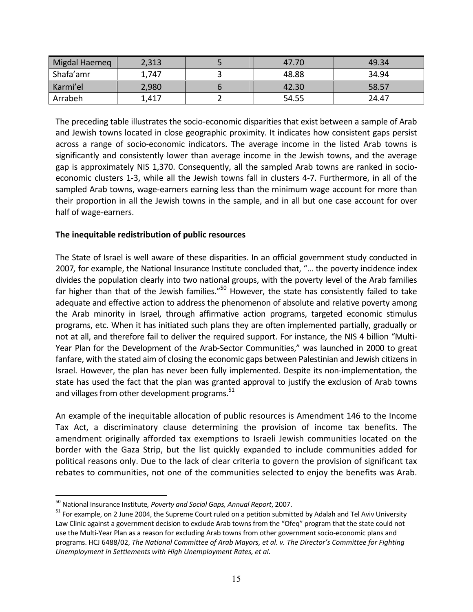| Migdal Haemeq | 2,313 | 47.70 | 49.34 |
|---------------|-------|-------|-------|
| Shafa'amr     | ,747  | 48.88 | 34.94 |
| Karmi'el      | 2,980 | 42.30 | 58.57 |
| Arrabeh       | 1,417 | 54.55 | 24.47 |

The preceding table illustrates the socio‐economic disparities that exist between a sample of Arab and Jewish towns located in close geographic proximity. It indicates how consistent gaps persist across a range of socio‐economic indicators. The average income in the listed Arab towns is significantly and consistently lower than average income in the Jewish towns, and the average gap is approximately NIS 1,370. Consequently, all the sampled Arab towns are ranked in socioeconomic clusters 1‐3, while all the Jewish towns fall in clusters 4‐7. Furthermore, in all of the sampled Arab towns, wage‐earners earning less than the minimum wage account for more than their proportion in all the Jewish towns in the sample, and in all but one case account for over half of wage‐earners.

#### **The inequitable redistribution of public resources**

The State of Israel is well aware of these disparities. In an official government study conducted in 2007*,* for example, the National Insurance Institute concluded that, "… the poverty incidence index divides the population clearly into two national groups, with the poverty level of the Arab families far higher than that of the Jewish families."<sup>50</sup> However, the state has consistently failed to take adequate and effective action to address the phenomenon of absolute and relative poverty among the Arab minority in Israel, through affirmative action programs, targeted economic stimulus programs, etc. When it has initiated such plans they are often implemented partially, gradually or not at all, and therefore fail to deliver the required support. For instance, the NIS 4 billion "Multi-Year Plan for the Development of the Arab-Sector Communities," was launched in 2000 to great fanfare, with the stated aim of closing the economic gaps between Palestinian and Jewish citizens in Israel. However, the plan has never been fully implemented. Despite its non‐implementation, the state has used the fact that the plan was granted approval to justify the exclusion of Arab towns and villages from other development programs.<sup>51</sup>

An example of the inequitable allocation of public resources is Amendment 146 to the Income Tax Act, a discriminatory clause determining the provision of income tax benefits. The amendment originally afforded tax exemptions to Israeli Jewish communities located on the border with the Gaza Strip, but the list quickly expanded to include communities added for political reasons only. Due to the lack of clear criteria to govern the provision of significant tax rebates to communities, not one of the communities selected to enjoy the benefits was Arab.

<sup>&</sup>lt;sup>50</sup> National Insurance Institute, Poverty and Social Gaps, Annual Report, 2007.

<sup>&</sup>lt;sup>51</sup> For example, on 2 June 2004, the Supreme Court ruled on a petition submitted by Adalah and Tel Aviv University Law Clinic against a government decision to exclude Arab towns from the "Ofeq" program that the state could not use the Multi‐Year Plan as a reason for excluding Arab towns from other government socio‐economic plans and programs. HCJ 6488/02, *The National Committee of Arab Mayors, et al. v. The Director's Committee for Fighting Unemployment in Settlements with High Unemployment Rates, et al.*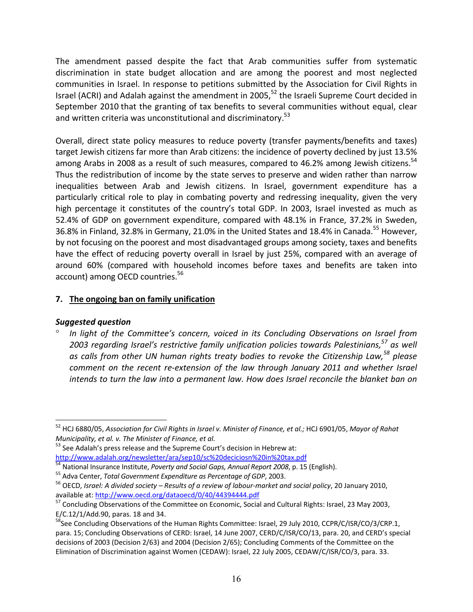The amendment passed despite the fact that Arab communities suffer from systematic discrimination in state budget allocation and are among the poorest and most neglected communities in Israel. In response to petitions submitted by the Association for Civil Rights in Israel (ACRI) and Adalah against the amendment in 2005,<sup>52</sup> the Israeli Supreme Court decided in September 2010 that the granting of tax benefits to several communities without equal, clear and written criteria was unconstitutional and discriminatory.<sup>53</sup>

Overall, direct state policy measures to reduce poverty (transfer payments/benefits and taxes) target Jewish citizens far more than Arab citizens: the incidence of poverty declined by just 13.5% among Arabs in 2008 as a result of such measures, compared to 46.2% among Jewish citizens.<sup>54</sup> Thus the redistribution of income by the state serves to preserve and widen rather than narrow inequalities between Arab and Jewish citizens. In Israel, government expenditure has a particularly critical role to play in combating poverty and redressing inequality, given the very high percentage it constitutes of the country's total GDP. In 2003, Israel invested as much as 52.4% of GDP on government expenditure, compared with 48.1% in France, 37.2% in Sweden, 36.8% in Finland, 32.8% in Germany, 21.0% in the United States and 18.4% in Canada.<sup>55</sup> However, by not focusing on the poorest and most disadvantaged groups among society, taxes and benefits have the effect of reducing poverty overall in Israel by just 25%, compared with an average of around 60% (compared with household incomes before taxes and benefits are taken into account) among OECD countries.<sup>56</sup>

# **7. The ongoing ban on family unification**

#### *Suggested question*

<u>.</u>

° *In light of the Committee's concern, voiced in its Concluding Observations on Israel from 2003 regarding Israel's restrictive family unification policies towards Palestinians,57 as well as calls from other UN human rights treaty bodies to revoke the Citizenship Law,<sup>58</sup> please comment on the recent re‐extension of the law through January 2011 and whether Israel intends to turn the law into a permanent law. How does Israel reconcile the blanket ban on*

<sup>52</sup> HCJ 6880/05, *Association for Civil Rights in Israel v. Minister of Finance, et al.;* HCJ 6901/05, *Mayor of Rahat*

*Municipality, et al. v. The Minister of Finance, et al.*<br><sup>53</sup> See Adalah's press release and the Supreme Court's decision in Hebrew at:<br>http://www.adalah.org/newsletter/ara/sep10/sc%20deciciosn%20in%20tax.pdf

<sup>&</sup>lt;sup>54</sup> National Insurance Institute, *Poverty and Social Gaps, Annual Report 2008*, p. 15 (English).<br><sup>55</sup> Adva Center, *Total Government Expenditure as Percentage of GDP*, 2003.<br><sup>56</sup> OECD, *Israel: A divided society – Resul* 

 $^{57}$  Concluding Observations of the Committee on Economic, Social and Cultural Rights: Israel, 23 May 2003, E/C.12/1/Add.90, paras. 18 and 34.<br><sup>58</sup>See Concluding Observations of the Human Rights Committee: Israel, 29 July 2010, CCPR/C/ISR/CO/3/CRP.1,

para. 15; Concluding Observations of CERD: Israel, 14 June 2007, CERD/C/ISR/CO/13, para. 20, and CERD's special decisions of 2003 (Decision 2/63) and 2004 (Decision 2/65); Concluding Comments of the Committee on the Elimination of Discrimination against Women (CEDAW): Israel, 22 July 2005, CEDAW/C/ISR/CO/3, para. 33.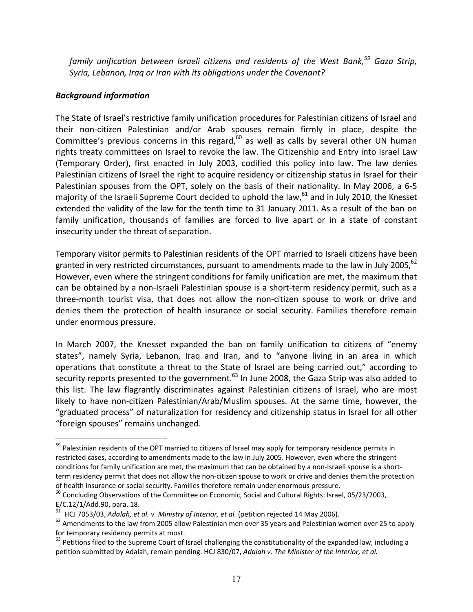*family unification between Israeli citizens and residents of the West Bank,59 Gaza Strip, Syria, Lebanon, Iraq or Iran with its obligations under the Covenant?* 

### *Background information*

 $\overline{a}$ 

The State of Israel's restrictive family unification procedures for Palestinian citizens of Israel and their non‐citizen Palestinian and/or Arab spouses remain firmly in place, despite the Committee's previous concerns in this regard, $60$  as well as calls by several other UN human rights treaty committees on Israel to revoke the law. The Citizenship and Entry into Israel Law (Temporary Order), first enacted in July 2003, codified this policy into law. The law denies Palestinian citizens of Israel the right to acquire residency or citizenship status in Israel for their Palestinian spouses from the OPT, solely on the basis of their nationality. In May 2006, a 6‐5 majority of the Israeli Supreme Court decided to uphold the law,  $61$  and in July 2010, the Knesset extended the validity of the law for the tenth time to 31 January 2011. As a result of the ban on family unification, thousands of families are forced to live apart or in a state of constant insecurity under the threat of separation.

Temporary visitor permits to Palestinian residents of the OPT married to Israeli citizens have been granted in very restricted circumstances, pursuant to amendments made to the law in July 2005.<sup>62</sup> However, even where the stringent conditions for family unification are met, the maximum that can be obtained by a non‐Israeli Palestinian spouse is a short‐term residency permit, such as a three‐month tourist visa, that does not allow the non‐citizen spouse to work or drive and denies them the protection of health insurance or social security. Families therefore remain under enormous pressure.

In March 2007, the Knesset expanded the ban on family unification to citizens of "enemy states", namely Syria, Lebanon, Iraq and Iran, and to "anyone living in an area in which operations that constitute a threat to the State of Israel are being carried out," according to security reports presented to the government.<sup>63</sup> In June 2008, the Gaza Strip was also added to this list. The law flagrantly discriminates against Palestinian citizens of Israel, who are most likely to have non‐citizen Palestinian/Arab/Muslim spouses. At the same time, however, the "graduated process" of naturalization for residency and citizenship status in Israel for all other "foreign spouses" remains unchanged.

<sup>&</sup>lt;sup>59</sup> Palestinian residents of the OPT married to citizens of Israel may apply for temporary residence permits in restricted cases, according to amendments made to the law in July 2005. However, even where the stringent conditions for family unification are met, the maximum that can be obtained by a non-Israeli spouse is a shortterm residency permit that does not allow the non‐citizen spouse to work or drive and denies them the protection

of health insurance or social security. Families therefore remain under enormous pressure.<br>
<sup>60</sup> Concluding Observations of the Committee on Economic, Social and Cultural Rights: Israel, 05/23/2003,<br>
E/C.12/1/Add.90, para

 $^{61}$  HCJ 7053/03, Adalah, et al. v. Ministry of Interior, et al. (petition rejected 14 May 2006).<br> $^{62}$  Amendments to the law from 2005 allow Palestinian men over 35 years and Palestinian women over 25 to apply for temporary residency permits at most.<br>
<sup>63</sup> Petitions filed to the Supreme Court of Israel challenging the constitutionality of the expanded law, including a

petition submitted by Adalah, remain pending. HCJ 830/07, *Adalah v. The Minister of the Interior, et al.*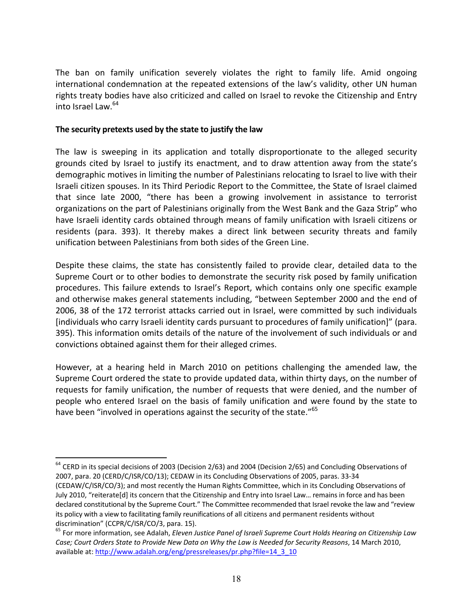The ban on family unification severely violates the right to family life. Amid ongoing international condemnation at the repeated extensions of the law's validity, other UN human rights treaty bodies have also criticized and called on Israel to revoke the Citizenship and Entry into Israel Law.64

#### **The security pretexts used by the state to justify the law**

 $\overline{a}$ 

The law is sweeping in its application and totally disproportionate to the alleged security grounds cited by Israel to justify its enactment, and to draw attention away from the state's demographic motives in limiting the number of Palestinians relocating to Israel to live with their Israeli citizen spouses. In its Third Periodic Report to the Committee, the State of Israel claimed that since late 2000, "there has been a growing involvement in assistance to terrorist organizations on the part of Palestinians originally from the West Bank and the Gaza Strip" who have Israeli identity cards obtained through means of family unification with Israeli citizens or residents (para. 393). It thereby makes a direct link between security threats and family unification between Palestinians from both sides of the Green Line.

Despite these claims, the state has consistently failed to provide clear, detailed data to the Supreme Court or to other bodies to demonstrate the security risk posed by family unification procedures. This failure extends to Israel's Report, which contains only one specific example and otherwise makes general statements including, "between September 2000 and the end of 2006, 38 of the 172 terrorist attacks carried out in Israel, were committed by such individuals [individuals who carry Israeli identity cards pursuant to procedures of family unification]" (para. 395). This information omits details of the nature of the involvement of such individuals or and convictions obtained against them for their alleged crimes.

However, at a hearing held in March 2010 on petitions challenging the amended law, the Supreme Court ordered the state to provide updated data, within thirty days, on the number of requests for family unification, the number of requests that were denied, and the number of people who entered Israel on the basis of family unification and were found by the state to have been "involved in operations against the security of the state."<sup>65</sup>

<sup>&</sup>lt;sup>64</sup> CERD in its special decisions of 2003 (Decision 2/63) and 2004 (Decision 2/65) and Concluding Observations of 2007, para. 20 (CERD/C/ISR/CO/13); CEDAW in its Concluding Observations of 2005, paras. 33‐34

<sup>(</sup>CEDAW/C/ISR/CO/3); and most recently the Human Rights Committee, which in its Concluding Observations of July 2010, "reiterate[d] its concern that the Citizenship and Entry into Israel Law… remains in force and has been declared constitutional by the Supreme Court." The Committee recommended that Israel revoke the law and "review its policy with a view to facilitating family reunifications of all citizens and permanent residents without

discrimination" (CCPR/C/ISR/CO/3, para. 15).<br><sup>65</sup> For more information, see Adalah, *Eleven Justice Panel of Israeli Supreme Court Holds Hearing on Citizenship Law* Case; Court Orders State to Provide New Data on Why the Law is Needed for Security Reasons, 14 March 2010, available at: http://www.adalah.org/eng/pressreleases/pr.php?file=14\_3\_10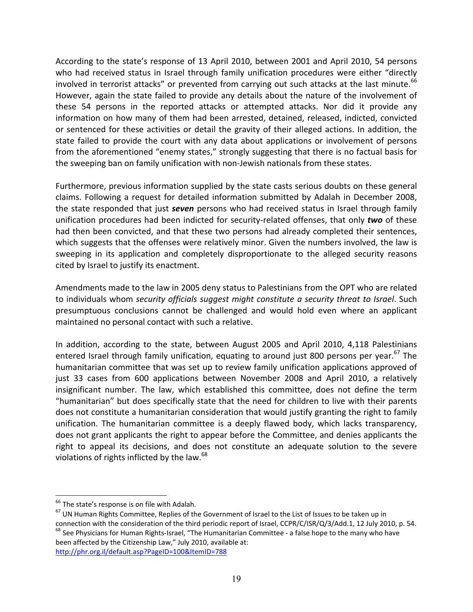According to the state's response of 13 April 2010, between 2001 and April 2010, 54 persons who had received status in Israel through family unification procedures were either "directly involved in terrorist attacks" or prevented from carrying out such attacks at the last minute.<sup>66</sup> However, again the state failed to provide any details about the nature of the involvement of these 54 persons in the reported attacks or attempted attacks. Nor did it provide any information on how many of them had been arrested, detained, released, indicted, convicted or sentenced for these activities or detail the gravity of their alleged actions. In addition, the state failed to provide the court with any data about applications or involvement of persons from the aforementioned "enemy states," strongly suggesting that there is no factual basis for the sweeping ban on family unification with non‐Jewish nationals from these states.

Furthermore, previous information supplied by the state casts serious doubts on these general claims. Following a request for detailed information submitted by Adalah in December 2008, the state responded that just *seven* persons who had received status in Israel through family unification procedures had been indicted for security‐related offenses, that only *two* of these had then been convicted, and that these two persons had already completed their sentences, which suggests that the offenses were relatively minor. Given the numbers involved, the law is sweeping in its application and completely disproportionate to the alleged security reasons cited by Israel to justify its enactment.

Amendments made to the law in 2005 deny status to Palestinians from the OPT who are related to individuals whom *security officials suggest might constitute a security threat to Israel*. Such presumptuous conclusions cannot be challenged and would hold even where an applicant maintained no personal contact with such a relative.

In addition, according to the state, between August 2005 and April 2010, 4,118 Palestinians entered Israel through family unification, equating to around just 800 persons per year.<sup>67</sup> The humanitarian committee that was set up to review family unification applications approved of just 33 cases from 600 applications between November 2008 and April 2010, a relatively insignificant number. The law, which established this committee, does not define the term "humanitarian" but does specifically state that the need for children to live with their parents does not constitute a humanitarian consideration that would justify granting the right to family unification. The humanitarian committee is a deeply flawed body, which lacks transparency, does not grant applicants the right to appear before the Committee, and denies applicants the right to appeal its decisions, and does not constitute an adequate solution to the severe violations of rights inflicted by the law. $^{68}$ 

http://phr.org.il/default.asp?PageID=100&ItemID=788

<sup>&</sup>lt;sup>66</sup> The state's response is on file with Adalah.

 $67$  UN Human Rights Committee, Replies of the Government of Israel to the List of Issues to be taken up in connection with the consideration of the third periodic report of Israel, CCPR/C/ISR/Q/3/Add.1, 12 July 2010, p. 54.  $^{68}$  See Physicians for Human Rights-Israel, "The Humanitarian Committee - a false hope to the many wh been affected by the Citizenship Law," July 2010, available at: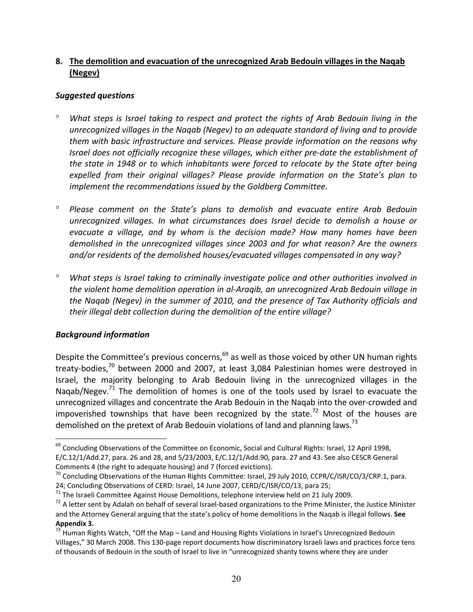# **8. The demolition and evacuation of the unrecognized Arab Bedouin villages in the Naqab (Negev)**

# *Suggested questions*

- ° *What steps is Israel taking to respect and protect the rights of Arab Bedouin living in the unrecognized villages in the Naqab (Negev) to an adequate standard of living and to provide them with basic infrastructure and services. Please provide information on the reasons why Israel does not officially recognize these villages, which either pre‐date the establishment of the state in 1948 or to which inhabitants were forced to relocate by the State after being expelled from their original villages? Please provide information on the State's plan to implement the recommendations issued by the Goldberg Committee.*
- ° *Please comment on the State's plans to demolish and evacuate entire Arab Bedouin unrecognized villages. In what circumstances does Israel decide to demolish a house or evacuate a village, and by whom is the decision made? How many homes have been demolished in the unrecognized villages since 2003 and for what reason? Are the owners and/or residents of the demolished houses/evacuated villages compensated in any way?*
- ° *What steps is Israel taking to criminally investigate police and other authorities involved in the violent home demolition operation in al‐Araqib, an unrecognized Arab Bedouin village in the Naqab (Negev) in the summer of 2010, and the presence of Tax Authority officials and their illegal debt collection during the demolition of the entire village?*

# *Background information*

Despite the Committee's previous concerns,  $69$  as well as those voiced by other UN human rights treaty-bodies, $70$  between 2000 and 2007, at least 3,084 Palestinian homes were destroyed in Israel, the majority belonging to Arab Bedouin living in the unrecognized villages in the Naqab/Negev.<sup>71</sup> The demolition of homes is one of the tools used by Israel to evacuate the unrecognized villages and concentrate the Arab Bedouin in the Naqab into the over‐crowded and impoverished townships that have been recognized by the state.<sup>72</sup> Most of the houses are demolished on the pretext of Arab Bedouin violations of land and planning laws.<sup>73</sup>

 $\overline{a}$  $^{69}$  Concluding Observations of the Committee on Economic, Social and Cultural Rights: Israel, 12 April 1998, E/C.12/1/Add.27, para. 26 and 28, and 5/23/2003, E/C.12/1/Add.90, para. 27 and 43. See also CESCR General

Comments 4 (the right to adequate housing) and 7 (forced evictions).<br><sup>70</sup> Concluding Observations of the Human Rights Committee: Israel, 29 July 2010, CCPR/C/ISR/CO/3/CRP.1, para.<br>24: Concluding Observations of CERD: Israe

 $^{71}$  The Israeli Committee Against House Demolitions, telephone interview held on 21 July 2009.<br><sup>72</sup> A letter sent by Adalah on behalf of several Israel-based organizations to the Prime Minister, the Justice Minister and the Attorney General arguing that the state's policy of home demolitions in the Naqab is illegal follows. **See**

**Appendix 3.** <sup>73</sup> Human Rights Watch, "Off the Map – Land and Housing Rights Violations in Israel's Unrecognized Bedouin Villages," 30 March 2008. This 130‐page report documents how discriminatory Israeli laws and practices force tens of thousands of Bedouin in the south of Israel to live in "unrecognized shanty towns where they are under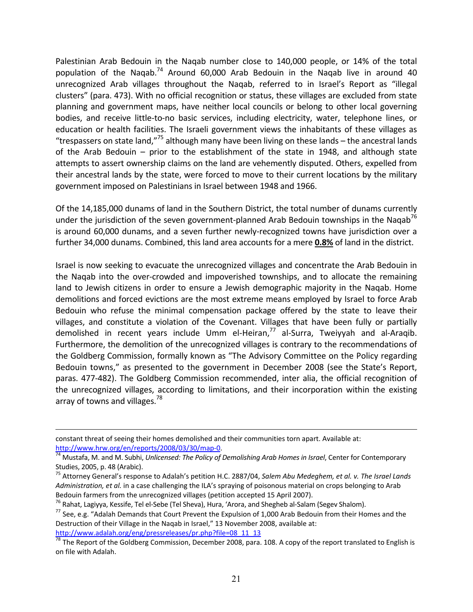Palestinian Arab Bedouin in the Naqab number close to 140,000 people, or 14% of the total population of the Nagab.<sup>74</sup> Around 60,000 Arab Bedouin in the Nagab live in around 40 unrecognized Arab villages throughout the Naqab, referred to in Israel's Report as "illegal clusters" (para. 473). With no official recognition or status, these villages are excluded from state planning and government maps, have neither local councils or belong to other local governing bodies, and receive little‐to‐no basic services, including electricity, water, telephone lines, or education or health facilities. The Israeli government views the inhabitants of these villages as "trespassers on state land,"<sup>75</sup> although many have been living on these lands – the ancestral lands of the Arab Bedouin – prior to the establishment of the state in 1948, and although state attempts to assert ownership claims on the land are vehemently disputed. Others, expelled from their ancestral lands by the state, were forced to move to their current locations by the military government imposed on Palestinians in Israel between 1948 and 1966.

Of the 14,185,000 dunams of land in the Southern District, the total number of dunams currently under the jurisdiction of the seven government-planned Arab Bedouin townships in the Naqab<sup>76</sup> is around 60,000 dunams, and a seven further newly-recognized towns have jurisdiction over a further 34,000 dunams. Combined, this land area accounts for a mere **0.8%** of land in the district.

Israel is now seeking to evacuate the unrecognized villages and concentrate the Arab Bedouin in the Naqab into the over‐crowded and impoverished townships, and to allocate the remaining land to Jewish citizens in order to ensure a Jewish demographic majority in the Naqab. Home demolitions and forced evictions are the most extreme means employed by Israel to force Arab Bedouin who refuse the minimal compensation package offered by the state to leave their villages, and constitute a violation of the Covenant. Villages that have been fully or partially demolished in recent years include Umm el-Heiran, $77$  al-Surra, Tweiyyah and al-Araqib. Furthermore, the demolition of the unrecognized villages is contrary to the recommendations of the Goldberg Commission, formally known as "The Advisory Committee on the Policy regarding Bedouin towns," as presented to the government in December 2008 (see the State's Report, paras. 477‐482). The Goldberg Commission recommended, inter alia, the official recognition of the unrecognized villages, according to limitations, and their incorporation within the existing array of towns and villages.<sup>78</sup>

 $\overline{a}$ 

constant threat of seeing their homes demolished and their communities torn apart. Available at:

http://www.hrw.org/en/reports/2008/03/30/map-0.<br><sup>74</sup> Mustafa, M. and M. Subhi, *Unlicensed: The Policy of Demolishing Arab Homes in Israel*, Center for Contemporary<br>Studies, 2005, p. 48 (Arabic).

Studies, 2005, p. <sup>48</sup> (Arabic). <sup>75</sup> Attorney General's response to Adalah's petition H.C. 2887/04, *Salem Abu Medeghem, et al. v. The Israel Lands Administration, et al.* in a case challenging the ILA's spraying of poisonous material on crops belonging to Arab Bedouin farmers from the unrecognized villages (petition accepted 15 April 2007).<br><sup>76</sup> Rahat, Lagiyya, Kessife, Tel el-Sebe (Tel Sheva), Hura, 'Arora, and Shegheb al-Salam (Segev Shalom).<br><sup>77</sup> See, e.g. "Adalah Demands tha

Destruction of their Village in the Naqab in Israel," 13 November 2008, available at:

http://www.adalah.org/eng/pressreleases/pr.php?file=08\_11\_13<br><sup>78</sup> The Report of the Goldberg Commission, December 2008, para. 108. A copy of the report translated to English is on file with Adalah.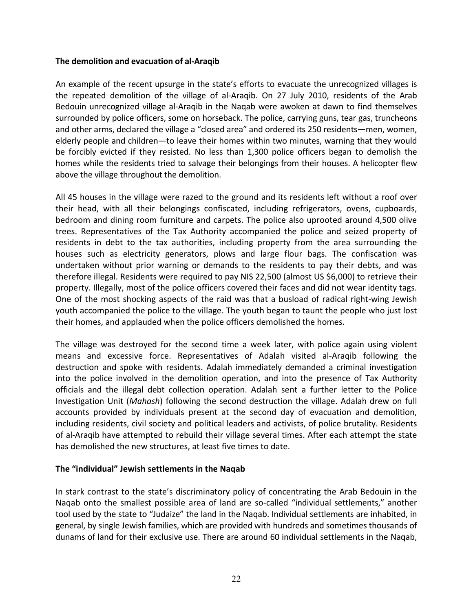#### **The demolition and evacuation of al‐Araqib**

An example of the recent upsurge in the state's efforts to evacuate the unrecognized villages is the repeated demolition of the village of al‐Araqib. On 27 July 2010, residents of the Arab Bedouin unrecognized village al‐Araqib in the Naqab were awoken at dawn to find themselves surrounded by police officers, some on horseback. The police, carrying guns, tear gas, truncheons and other arms, declared the village a "closed area" and ordered its 250 residents—men, women, elderly people and children—to leave their homes within two minutes, warning that they would be forcibly evicted if they resisted. No less than 1,300 police officers began to demolish the homes while the residents tried to salvage their belongings from their houses. A helicopter flew above the village throughout the demolition.

All 45 houses in the village were razed to the ground and its residents left without a roof over their head, with all their belongings confiscated, including refrigerators, ovens, cupboards, bedroom and dining room furniture and carpets. The police also uprooted around 4,500 olive trees. Representatives of the Tax Authority accompanied the police and seized property of residents in debt to the tax authorities, including property from the area surrounding the houses such as electricity generators, plows and large flour bags. The confiscation was undertaken without prior warning or demands to the residents to pay their debts, and was therefore illegal. Residents were required to pay NIS 22,500 (almost US \$6,000) to retrieve their property. Illegally, most of the police officers covered their faces and did not wear identity tags. One of the most shocking aspects of the raid was that a busload of radical right‐wing Jewish youth accompanied the police to the village. The youth began to taunt the people who just lost their homes, and applauded when the police officers demolished the homes.

The village was destroyed for the second time a week later, with police again using violent means and excessive force. Representatives of Adalah visited al‐Araqib following the destruction and spoke with residents. Adalah immediately demanded a criminal investigation into the police involved in the demolition operation, and into the presence of Tax Authority officials and the illegal debt collection operation. Adalah sent a further letter to the Police Investigation Unit (*Mahash*) following the second destruction the village. Adalah drew on full accounts provided by individuals present at the second day of evacuation and demolition, including residents, civil society and political leaders and activists, of police brutality. Residents of al‐Araqib have attempted to rebuild their village several times. After each attempt the state has demolished the new structures, at least five times to date.

# **The "individual" Jewish settlements in the Naqab**

In stark contrast to the state's discriminatory policy of concentrating the Arab Bedouin in the Naqab onto the smallest possible area of land are so-called "individual settlements," another tool used by the state to "Judaize" the land in the Naqab. Individual settlements are inhabited, in general, by single Jewish families, which are provided with hundreds and sometimes thousands of dunams of land for their exclusive use. There are around 60 individual settlements in the Naqab,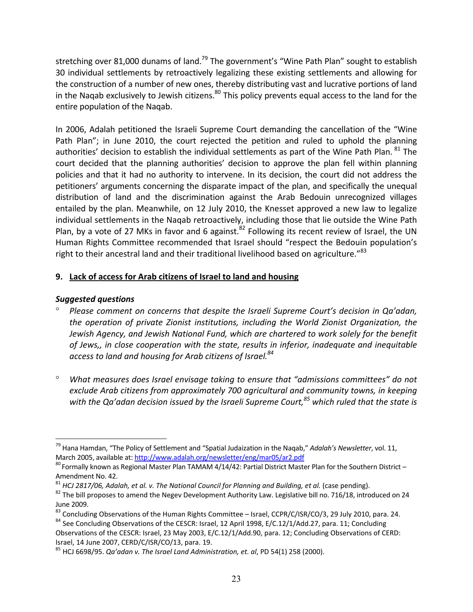stretching over 81,000 dunams of land.<sup>79</sup> The government's "Wine Path Plan" sought to establish 30 individual settlements by retroactively legalizing these existing settlements and allowing for the construction of a number of new ones, thereby distributing vast and lucrative portions of land in the Nagab exclusively to Jewish citizens.  $80$  This policy prevents equal access to the land for the entire population of the Naqab.

In 2006, Adalah petitioned the Israeli Supreme Court demanding the cancellation of the "Wine Path Plan"; in June 2010, the court rejected the petition and ruled to uphold the planning authorities' decision to establish the individual settlements as part of the Wine Path Plan. <sup>81</sup> The court decided that the planning authorities' decision to approve the plan fell within planning policies and that it had no authority to intervene. In its decision, the court did not address the petitioners' arguments concerning the disparate impact of the plan, and specifically the unequal distribution of land and the discrimination against the Arab Bedouin unrecognized villages entailed by the plan. Meanwhile, on 12 July 2010, the Knesset approved a new law to legalize individual settlements in the Naqab retroactively, including those that lie outside the Wine Path Plan, by a vote of 27 MKs in favor and 6 against.<sup>82</sup> Following its recent review of Israel, the UN Human Rights Committee recommended that Israel should "respect the Bedouin population's right to their ancestral land and their traditional livelihood based on agriculture."<sup>83</sup>

# **9. Lack of access for Arab citizens of Israel to land and housing**

# *Suggested questions*

 $\overline{a}$ 

- ° *Please comment on concerns that despite the Israeli Supreme Court's decision in Qa'adan, the operation of private Zionist institutions, including the World Zionist Organization, the Jewish Agency, and Jewish National Fund, which are chartered to work solely for the benefit of Jews,, in close cooperation with the state, results in inferior, inadequate and inequitable access to land and housing for Arab citizens of Israel.84*
- ° *What measures does Israel envisage taking to ensure that "admissions committees" do not exclude Arab citizens from approximately 700 agricultural and community towns, in keeping with the Qa'adan decision issued by the Israeli Supreme Court,<sup>85</sup> which ruled that the state is*

<sup>79</sup> Hana Hamdan, "The Policy of Settlement and "Spatial Judaization in the Naqab," *Adalah's Newsletter*, vol. 11,

March 2005, available at: http://www.adalah.org/newsletter/eng/mar05/ar2.pdf<br><sup>80</sup> Formally known as Regional Master Plan TAMAM 4/14/42: Partial District Master Plan for the Southern District –<br>Amendment No. 42.

 $^{81}$  HCJ 2817/06, Adalah, et al. v. The National Council for Planning and Building, et al. (case pending).<br> $^{82}$  The bill proposes to amend the Negev Development Authority Law. Legislative bill no. 716/18, introduced o

 $^{83}$  Concluding Observations of the Human Rights Committee – Israel, CCPR/C/ISR/CO/3, 29 July 2010, para. 24.  $^{84}$  See Concluding Observations of the CESCR: Israel, 12 April 1998, E/C.12/1/Add.27, para. 11; Concluding

Observations of the CESCR: Israel, 23 May 2003, E/C.12/1/Add.90, para. 12; Concluding Observations of CERD:<br>Israel, 14 June 2007, CERD/C/ISR/CO/13, para. 19.

Israel, <sup>14</sup> June 2007, CERD/C/ISR/CO/13, para. 19. <sup>85</sup> HCJ 6698/95. *Qa'adan v. The Israel Land Administration, et. al*, PD 54(1) <sup>258</sup> (2000).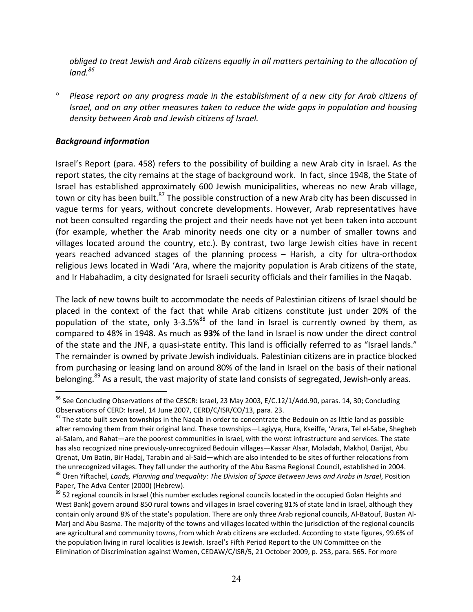*obliged to treat Jewish and Arab citizens equally in all matters pertaining to the allocation of land.86*

° *Please report on any progress made in the establishment of a new city for Arab citizens of Israel, and on any other measures taken to reduce the wide gaps in population and housing density between Arab and Jewish citizens of Israel.*

#### *Background information*

 $\overline{a}$ 

Israel's Report (para. 458) refers to the possibility of building a new Arab city in Israel. As the report states, the city remains at the stage of background work. In fact, since 1948, the State of Israel has established approximately 600 Jewish municipalities, whereas no new Arab village, town or city has been built.<sup>87</sup> The possible construction of a new Arab city has been discussed in vague terms for years, without concrete developments. However, Arab representatives have not been consulted regarding the project and their needs have not yet been taken into account (for example, whether the Arab minority needs one city or a number of smaller towns and villages located around the country, etc.). By contrast, two large Jewish cities have in recent years reached advanced stages of the planning process – Harish, a city for ultra‐orthodox religious Jews located in Wadi 'Ara, where the majority population is Arab citizens of the state, and Ir Habahadim, a city designated for Israeli security officials and their families in the Naqab.

The lack of new towns built to accommodate the needs of Palestinian citizens of Israel should be placed in the context of the fact that while Arab citizens constitute just under 20% of the population of the state, only 3-3.5%<sup>88</sup> of the land in Israel is currently owned by them, as compared to 48% in 1948. As much as **93%** of the land in Israel is now under the direct control of the state and the JNF, a quasi-state entity. This land is officially referred to as "Israel lands." The remainder is owned by private Jewish individuals. Palestinian citizens are in practice blocked from purchasing or leasing land on around 80% of the land in Israel on the basis of their national belonging.<sup>89</sup> As a result, the vast majority of state land consists of segregated, Jewish-only areas.

 $^{86}$  See Concluding Observations of the CESCR: Israel, 23 May 2003, E/C.12/1/Add.90, paras. 14, 30; Concluding Observations of CERD: Israel, 14 June 2007, CERD/C/ISR/CO/13, para. 23.<br><sup>87</sup> The state built seven townships in the Naqab in order to concentrate the Bedouin on as little land as possible

after removing them from their original land. These townships—Lagiyya, Hura, Kseiffe, 'Arara, Tel el‐Sabe, Shegheb al‐Salam, and Rahat—are the poorest communities in Israel, with the worst infrastructure and services. The state has also recognized nine previously‐unrecognized Bedouin villages—Kassar Alsar, Moladah, Makhol, Darijat, Abu Qrenat, Um Batin, Bir Hadaj, Tarabin and al‐Said—which are also intended to be sites of further relocations from the unrecognized villages. They fall under the authority of the Abu Basma Regional Council, established in 2004.<br><sup>88</sup> Oren Yiftachel, *Lands, Planning and Inequality: The Division of Space Between Jews and Arabs in Israel,* 

<sup>&</sup>lt;sup>89</sup> 52 regional councils in Israel (this number excludes regional councils located in the occupied Golan Heights and West Bank) govern around 850 rural towns and villages in Israel covering 81% of state land in Israel, although they contain only around 8% of the state's population. There are only three Arab regional councils, Al-Batouf, Bustan Al-Marj and Abu Basma. The majority of the towns and villages located within the jurisdiction of the regional councils are agricultural and community towns, from which Arab citizens are excluded. According to state figures, 99.6% of the population living in rural localities is Jewish. Israel's Fifth Period Report to the UN Committee on the Elimination of Discrimination against Women, CEDAW/C/ISR/5, 21 October 2009, p. 253, para. 565. For more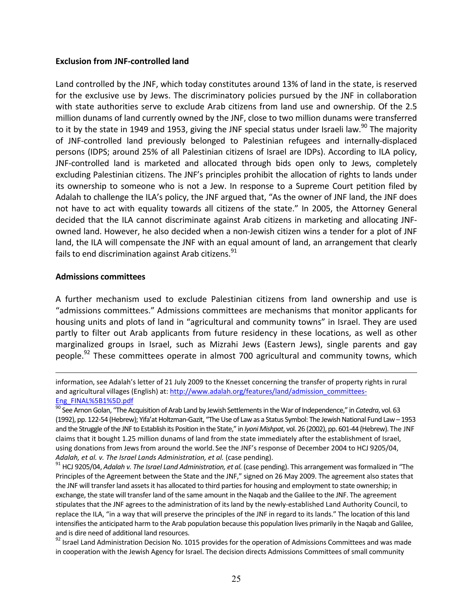#### **Exclusion from JNF‐controlled land**

Land controlled by the JNF, which today constitutes around 13% of land in the state, is reserved for the exclusive use by Jews. The discriminatory policies pursued by the JNF in collaboration with state authorities serve to exclude Arab citizens from land use and ownership. Of the 2.5 million dunams of land currently owned by the JNF, close to two million dunams were transferred to it by the state in 1949 and 1953, giving the JNF special status under Israeli law.<sup>90</sup> The maiority of JNF‐controlled land previously belonged to Palestinian refugees and internally‐displaced persons (IDPS; around 25% of all Palestinian citizens of Israel are IDPs). According to ILA policy, JNF‐controlled land is marketed and allocated through bids open only to Jews, completely excluding Palestinian citizens. The JNF's principles prohibit the allocation of rights to lands under its ownership to someone who is not a Jew. In response to a Supreme Court petition filed by Adalah to challenge the ILA's policy, the JNF argued that, "As the owner of JNF land, the JNF does not have to act with equality towards all citizens of the state." In 2005, the Attorney General decided that the ILA cannot discriminate against Arab citizens in marketing and allocating JNF‐ owned land. However, he also decided when a non‐Jewish citizen wins a tender for a plot of JNF land, the ILA will compensate the JNF with an equal amount of land, an arrangement that clearly fails to end discrimination against Arab citizens.<sup>91</sup>

#### **Admissions committees**

 $\overline{a}$ 

A further mechanism used to exclude Palestinian citizens from land ownership and use is "admissions committees." Admissions committees are mechanisms that monitor applicants for housing units and plots of land in "agricultural and community towns" in Israel. They are used partly to filter out Arab applicants from future residency in these locations, as well as other marginalized groups in Israel, such as Mizrahi Jews (Eastern Jews), single parents and gay people.<sup>92</sup> These committees operate in almost 700 agricultural and community towns, which

information, see Adalah's letter of 21 July 2009 to the Knesset concerning the transfer of property rights in rural and agricultural villages (English) at: http://www.adalah.org/features/land/admission\_committees-Eng\_FINAL%5B1%5D.pdf

<sup>&</sup>lt;sup>90</sup> See Arnon Golan, "The Acquisition of Arab Land by Jewish Settlements in the War of Independence," in *Catedra*, vol. 63 (1992), pp. 122-54 (Hebrew); Yifa'at Holtzman-Gazit, "The Use of Law as a Status Symbol: The Jewish National Fund Law – 1953 and the Struggle ofthe JNF to Establish its Position in the State," in *Iyoni Mishpat*, vol. 26 (2002), pp. 601‐44 (Hebrew). The JNF claims that it bought 1.25 million dunams of land from the state immediately after the establishment of Israel, using donations from Jews from around the world. See the JNF's response of December 2004 to HCJ 9205/04,

Adalah, et al. v. The Israel Lands Administration, et al. (case pending).<br><sup>91</sup> HCJ 9205/04, Adalah v. The Israel Land Administration, et al. (case pending). This arrangement was formalized in "The Principles of the Agreement between the State and the JNF," signed on 26 May 2009. The agreement also states that the JNF will transfer land assets it has allocated to third parties for housing and employment to state ownership; in exchange, the state will transfer land of the same amount in the Naqab and the Galilee to the JNF. The agreement stipulates that the JNF agrees to the administration of its land by the newly‐established Land Authority Council, to replace the ILA, "in a way that will preserve the principles of the JNF in regard to its lands." The location of thisland intensifies the anticipated harm to the Arab population because this population lives primarily in the Naqab and Galilee,

and is dire need of additional land resources.<br>
<sup>92</sup> Israel Land Administration Decision No. 1015 provides for the operation of Admissions Committees and was made in cooperation with the Jewish Agency for Israel. The decision directs Admissions Committees of small community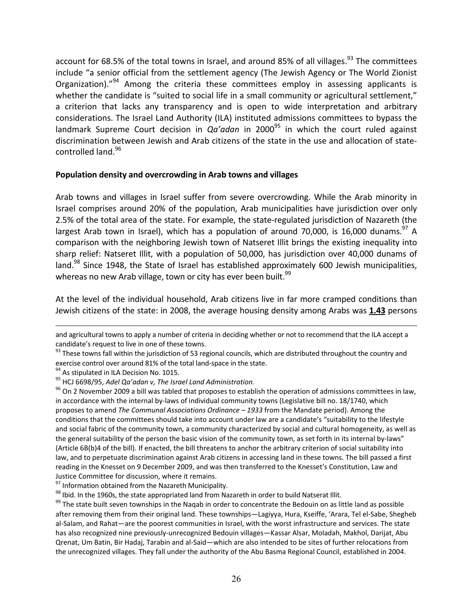account for 68.5% of the total towns in Israel, and around 85% of all villages.<sup>93</sup> The committees include "a senior official from the settlement agency (The Jewish Agency or The World Zionist Organization). $10^{94}$  Among the criteria these committees employ in assessing applicants is whether the candidate is "suited to social life in a small community or agricultural settlement," a criterion that lacks any transparency and is open to wide interpretation and arbitrary considerations. The Israel Land Authority (ILA) instituted admissions committees to bypass the landmark Supreme Court decision in *Qa'adan* in 2000<sup>95</sup> in which the court ruled against discrimination between Jewish and Arab citizens of the state in the use and allocation of state‐ controlled land.<sup>96</sup>

#### **Population density and overcrowding in Arab towns and villages**

Arab towns and villages in Israel suffer from severe overcrowding. While the Arab minority in Israel comprises around 20% of the population, Arab municipalities have jurisdiction over only 2.5% of the total area of the state. For example, the state‐regulated jurisdiction of Nazareth (the largest Arab town in Israel), which has a population of around 70,000, is 16,000 dunams.  $97\,$  A comparison with the neighboring Jewish town of Natseret Illit brings the existing inequality into sharp relief: Natseret Illit, with a population of 50,000, has jurisdiction over 40,000 dunams of land.<sup>98</sup> Since 1948, the State of Israel has established approximately 600 Jewish municipalities, whereas no new Arab village, town or city has ever been built.<sup>99</sup>

At the level of the individual household, Arab citizens live in far more cramped conditions than Jewish citizens of the state: in 2008, the average housing density among Arabs was **1.43** persons

 $\overline{a}$ 

and agricultural towns to apply a number of criteria in deciding whether or not to recommend that the ILA accept a candidate's request to live in one of these towns.

<sup>&</sup>lt;sup>93</sup> These towns fall within the jurisdiction of 53 regional councils, which are distributed throughout the country and exercise control over around 81% of the total land-space in the state.<br><sup>94</sup> As stipulated in ILA Decision No. 1015.<br><sup>95</sup> HCJ 6698/95, *Adel Qa'adan v, The Israel Land Administration*.<br><sup>96</sup> On 2 November 2009 a bill was tab

in accordance with the internal by-laws of individual community towns (Legislative bill no. 18/1740, which proposes to amend *The Communal Associations Ordinance – 1933* from the Mandate period). Among the conditions that the committees should take into account under law are a candidate's "suitability to the lifestyle and social fabric of the community town, a community characterized by social and cultural homogeneity, as well as the general suitability of the person the basic vision of the community town, as set forth in its internal by-laws" (Article 6B(b)4 of the bill). If enacted, the bill threatens to anchor the arbitrary criterion of social suitability into law, and to perpetuate discrimination against Arab citizens in accessing land in these towns. The bill passed a first reading in the Knesset on 9 December 2009, and was then transferred to the Knesset's Constitution, Law and

Justice Committee for discussion, where it remains.<br><sup>97</sup> Information obtained from the Nazareth Municipality.<br><sup>98</sup> Ibid. In the 1960s, the state appropriated land from Nazareth in order to build Natserat Illit.<br><sup>98</sup> The st after removing them from their original land. These townships—Lagiyya, Hura, Kseiffe, 'Arara, Tel el‐Sabe, Shegheb al‐Salam, and Rahat—are the poorest communities in Israel, with the worst infrastructure and services. The state has also recognized nine previously‐unrecognized Bedouin villages—Kassar Alsar, Moladah, Makhol, Darijat, Abu Qrenat, Um Batin, Bir Hadaj, Tarabin and al‐Said—which are also intended to be sites of further relocations from the unrecognized villages. They fall under the authority of the Abu Basma Regional Council, established in 2004.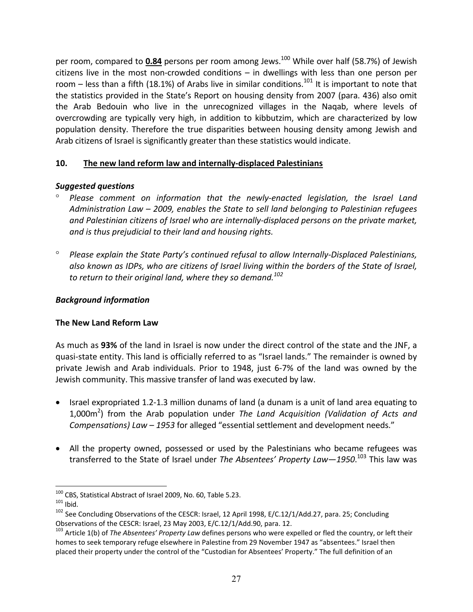per room, compared to **0.84** persons per room among Jews.100 While over half (58.7%) of Jewish citizens live in the most non‐crowded conditions – in dwellings with less than one person per room – less than a fifth (18.1%) of Arabs live in similar conditions.<sup>101</sup> It is important to note that the statistics provided in the State's Report on housing density from 2007 (para. 436) also omit the Arab Bedouin who live in the unrecognized villages in the Naqab, where levels of overcrowding are typically very high, in addition to kibbutzim, which are characterized by low population density. Therefore the true disparities between housing density among Jewish and Arab citizens of Israel is significantly greater than these statistics would indicate.

# **10. The new land reform law and internally‐displaced Palestinians**

# *Suggested questions*

- ° *Please comment on information that the newly‐enacted legislation, the Israel Land Administration Law – 2009, enables the State to sell land belonging to Palestinian refugees and Palestinian citizens of Israel who are internally‐displaced persons on the private market, and is thus prejudicial to their land and housing rights.*
- ° *Please explain the State Party's continued refusal to allow Internally‐Displaced Palestinians, also known as IDPs, who are citizens of Israel living within the borders of the State of Israel, to return to their original land, where they so demand.102*

# *Background information*

# **The New Land Reform Law**

As much as **93%** of the land in Israel is now under the direct control of the state and the JNF, a quasi‐state entity. This land is officially referred to as "Israel lands." The remainder is owned by private Jewish and Arab individuals. Prior to 1948, just 6‐7% of the land was owned by the Jewish community. This massive transfer of land was executed by law.

- Israel expropriated 1.2‐1.3 million dunams of land (a dunam is a unit of land area equating to 1,000m2 ) from the Arab population under *The Land Acquisition (Validation of Acts and Compensations) Law – 1953* for alleged "essential settlement and development needs."
- All the property owned, possessed or used by the Palestinians who became refugees was transferred to the State of Israel under *The Absentees' Property Law*—*1950*. <sup>103</sup> This law was

<sup>&</sup>lt;sup>100</sup> CBS, Statistical Abstract of Israel 2009, No. 60, Table 5.23.

<sup>101</sup> Ibid.<br><sup>101</sup> Ibid. <br><sup>102</sup> See Concluding Observations of the CESCR: Israel, 12 April 1998, E/C.12/1/Add.27, para. 25; Concluding

Observations of the CESCR: Israel, 23 May 2003, E/C.12/1/Add.90, para. 12.<br><sup>103</sup> Article 1(b) of *The Absentees' Property Law* defines persons who were expelled or fled the country, or left their homes to seek temporary refuge elsewhere in Palestine from 29 November 1947 as "absentees." Israel then placed their property under the control of the "Custodian for Absentees' Property." The full definition of an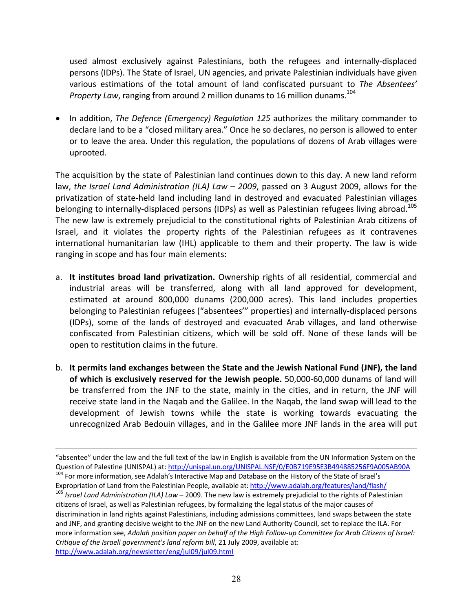used almost exclusively against Palestinians, both the refugees and internally‐displaced persons (IDPs). The State of Israel, UN agencies, and private Palestinian individuals have given various estimations of the total amount of land confiscated pursuant to *The Absentees' Property Law, ranging from around 2 million dunams to 16 million dunams.*<sup>104</sup>

• In addition, *The Defence (Emergency) Regulation 125* authorizes the military commander to declare land to be a "closed military area." Once he so declares, no person is allowed to enter or to leave the area. Under this regulation, the populations of dozens of Arab villages were uprooted.

The acquisition by the state of Palestinian land continues down to this day. A new land reform law, *the Israel Land Administration (ILA) Law – 2009*, passed on 3 August 2009, allows for the privatization of state‐held land including land in destroyed and evacuated Palestinian villages belonging to internally-displaced persons (IDPs) as well as Palestinian refugees living abroad.<sup>105</sup> The new law is extremely prejudicial to the constitutional rights of Palestinian Arab citizens of Israel, and it violates the property rights of the Palestinian refugees as it contravenes international humanitarian law (IHL) applicable to them and their property. The law is wide ranging in scope and has four main elements:

- a. **It institutes broad land privatization.** Ownership rights of all residential, commercial and industrial areas will be transferred, along with all land approved for development, estimated at around 800,000 dunams (200,000 acres). This land includes properties belonging to Palestinian refugees ("absentees'" properties) and internally‐displaced persons (IDPs), some of the lands of destroyed and evacuated Arab villages, and land otherwise confiscated from Palestinian citizens, which will be sold off. None of these lands will be open to restitution claims in the future.
- b. **It permits land exchanges between the State and the Jewish National Fund (JNF), the land of which is exclusively reserved for the Jewish people.** 50,000‐60,000 dunams of land will be transferred from the JNF to the state, mainly in the cities, and in return, the JNF will receive state land in the Naqab and the Galilee. In the Naqab, the land swap will lead to the development of Jewish towns while the state is working towards evacuating the unrecognized Arab Bedouin villages, and in the Galilee more JNF lands in the area will put

 $\overline{a}$ 

<sup>&</sup>quot;absentee" under the law and the full text of the law in English is available from the UN Information System on the Question of Palestine (UNISPAL) at: http://unispal.un.org/UNISPAL.NSF/0/E0B719E95E3B494885256F9A005AB90A<br><sup>104</sup> For more information, see Adalah's Interactive Map and Database on the History of the State of Israel's<br>Expropr

<sup>&</sup>lt;sup>105</sup> Israel Land Administration (ILA) Law – 2009. The new law is extremely prejudicial to the rights of Palestinian citizens of Israel, as well as Palestinian refugees, by formalizing the legal status of the major causes of discrimination in land rights against Palestinians, including admissions committees, land swaps between the state and JNF, and granting decisive weight to the JNF on the new Land Authority Council, set to replace the ILA. For more information see, Adalah position paper on behalf of the High Follow-up Committee for Arab Citizens of Israel: *Critique of the Israeli government's land reform bill*, 21 July 2009, available at: http://www.adalah.org/newsletter/eng/jul09/jul09.html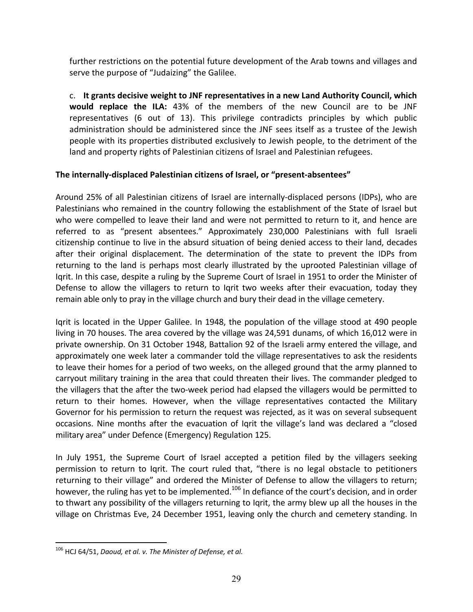further restrictions on the potential future development of the Arab towns and villages and serve the purpose of "Judaizing" the Galilee.

c. **It grants decisive weight to JNF representatives in a new Land Authority Council, which would replace the ILA:** 43% of the members of the new Council are to be JNF representatives (6 out of 13). This privilege contradicts principles by which public administration should be administered since the JNF sees itself as a trustee of the Jewish people with its properties distributed exclusively to Jewish people, to the detriment of the land and property rights of Palestinian citizens of Israel and Palestinian refugees.

# **The internally‐displaced Palestinian citizens of Israel, or "present‐absentees"**

Around 25% of all Palestinian citizens of Israel are internally‐displaced persons (IDPs), who are Palestinians who remained in the country following the establishment of the State of Israel but who were compelled to leave their land and were not permitted to return to it, and hence are referred to as "present absentees." Approximately 230,000 Palestinians with full Israeli citizenship continue to live in the absurd situation of being denied access to their land, decades after their original displacement. The determination of the state to prevent the IDPs from returning to the land is perhaps most clearly illustrated by the uprooted Palestinian village of Iqrit. In this case, despite a ruling by the Supreme Court of Israel in 1951 to order the Minister of Defense to allow the villagers to return to Iqrit two weeks after their evacuation, today they remain able only to pray in the village church and bury their dead in the village cemetery.

Iqrit is located in the Upper Galilee. In 1948, the population of the village stood at 490 people living in 70 houses. The area covered by the village was 24,591 dunams, of which 16,012 were in private ownership. On 31 October 1948, Battalion 92 of the Israeli army entered the village, and approximately one week later a commander told the village representatives to ask the residents to leave their homes for a period of two weeks, on the alleged ground that the army planned to carryout military training in the area that could threaten their lives. The commander pledged to the villagers that the after the two‐week period had elapsed the villagers would be permitted to return to their homes. However, when the village representatives contacted the Military Governor for his permission to return the request was rejected, as it was on several subsequent occasions. Nine months after the evacuation of Iqrit the village's land was declared a "closed military area" under Defence (Emergency) Regulation 125.

In July 1951, the Supreme Court of Israel accepted a petition filed by the villagers seeking permission to return to Iqrit. The court ruled that, "there is no legal obstacle to petitioners returning to their village" and ordered the Minister of Defense to allow the villagers to return; however, the ruling has yet to be implemented.<sup>106</sup> In defiance of the court's decision, and in order to thwart any possibility of the villagers returning to Iqrit, the army blew up all the houses in the village on Christmas Eve, 24 December 1951, leaving only the church and cemetery standing. In

<sup>1</sup> <sup>106</sup> HCJ 64/51, *Daoud, et al. v. The Minister of Defense, et al.*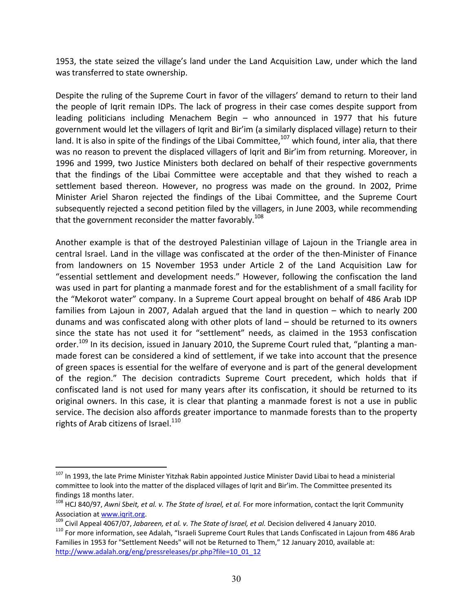1953, the state seized the village's land under the Land Acquisition Law, under which the land was transferred to state ownership.

Despite the ruling of the Supreme Court in favor of the villagers' demand to return to their land the people of Iqrit remain IDPs. The lack of progress in their case comes despite support from leading politicians including Menachem Begin – who announced in 1977 that his future government would let the villagers of Iqrit and Bir'im (a similarly displaced village) return to their land. It is also in spite of the findings of the Libai Committee,  $107$  which found, inter alia, that there was no reason to prevent the displaced villagers of Iqrit and Bir'im from returning. Moreover, in 1996 and 1999, two Justice Ministers both declared on behalf of their respective governments that the findings of the Libai Committee were acceptable and that they wished to reach a settlement based thereon. However, no progress was made on the ground. In 2002, Prime Minister Ariel Sharon rejected the findings of the Libai Committee, and the Supreme Court subsequently rejected a second petition filed by the villagers, in June 2003, while recommending that the government reconsider the matter favorably.<sup>108</sup>

Another example is that of the destroyed Palestinian village of Lajoun in the Triangle area in central Israel. Land in the village was confiscated at the order of the then‐Minister of Finance from landowners on 15 November 1953 under Article 2 of the Land Acquisition Law for "essential settlement and development needs." However, following the confiscation the land was used in part for planting a manmade forest and for the establishment of a small facility for the "Mekorot water" company. In a Supreme Court appeal brought on behalf of 486 Arab IDP families from Lajoun in 2007, Adalah argued that the land in question – which to nearly 200 dunams and was confiscated along with other plots of land – should be returned to its owners since the state has not used it for "settlement" needs, as claimed in the 1953 confiscation order.<sup>109</sup> In its decision, issued in January 2010, the Supreme Court ruled that, "planting a manmade forest can be considered a kind of settlement, if we take into account that the presence of green spaces is essential for the welfare of everyone and is part of the general development of the region." The decision contradicts Supreme Court precedent, which holds that if confiscated land is not used for many years after its confiscation, it should be returned to its original owners. In this case, it is clear that planting a manmade forest is not a use in public service. The decision also affords greater importance to manmade forests than to the property rights of Arab citizens of Israel. $110$ 

 $\overline{a}$ 

<sup>&</sup>lt;sup>107</sup> In 1993, the late Prime Minister Yitzhak Rabin appointed Justice Minister David Libai to head a ministerial committee to look into the matter of the displaced villages of Iqrit and Bir'im. The Committee presented its findings 18 months later.<br><sup>108</sup> HCJ 840/97, *Awni Sbeit, et al. v. The State of Israel, et al.* For more information, contact the Iqrit Community

Association at <u>www.iqrit.org</u>.<br><sup>109</sup> Civil Appeal 4067/07, Jabareen, et al. v. The State of Israel, et al. Decision delivered 4 January 2010.<br><sup>110</sup> For more information, see Adalah, "Israeli Supreme Court Rules that Lands Families in 1953 for "Settlement Needs" will not be Returned to Them," 12 January 2010, available at: http://www.adalah.org/eng/pressreleases/pr.php?file=10\_01\_12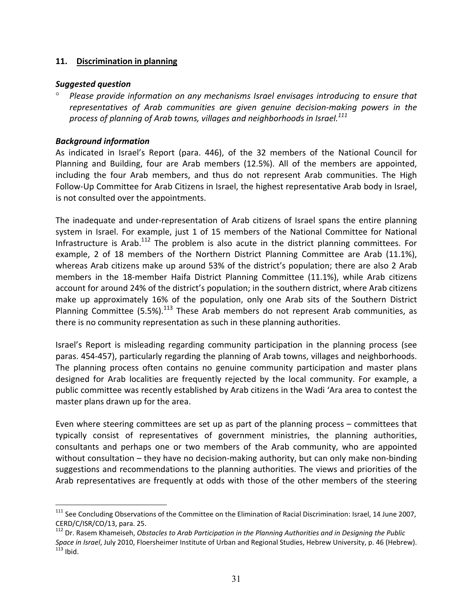#### **11. Discrimination in planning**

#### *Suggested question*

° *Please provide information on any mechanisms Israel envisages introducing to ensure that representatives of Arab communities are given genuine decision‐making powers in the process of planning of Arab towns, villages and neighborhoods in Israel.111* 

### *Background information*

 $\overline{a}$ 

As indicated in Israel's Report (para. 446), of the 32 members of the National Council for Planning and Building, four are Arab members (12.5%). All of the members are appointed, including the four Arab members, and thus do not represent Arab communities. The High Follow-Up Committee for Arab Citizens in Israel, the highest representative Arab body in Israel, is not consulted over the appointments.

The inadequate and under‐representation of Arab citizens of Israel spans the entire planning system in Israel. For example, just 1 of 15 members of the National Committee for National Infrastructure is Arab. $112$  The problem is also acute in the district planning committees. For example, 2 of 18 members of the Northern District Planning Committee are Arab (11.1%), whereas Arab citizens make up around 53% of the district's population; there are also 2 Arab members in the 18-member Haifa District Planning Committee (11.1%), while Arab citizens account for around 24% of the district's population; in the southern district, where Arab citizens make up approximately 16% of the population, only one Arab sits of the Southern District Planning Committee (5.5%).<sup>113</sup> These Arab members do not represent Arab communities, as there is no community representation as such in these planning authorities.

Israel's Report is misleading regarding community participation in the planning process (see paras. 454‐457), particularly regarding the planning of Arab towns, villages and neighborhoods. The planning process often contains no genuine community participation and master plans designed for Arab localities are frequently rejected by the local community. For example, a public committee was recently established by Arab citizens in the Wadi 'Ara area to contest the master plans drawn up for the area.

Even where steering committees are set up as part of the planning process – committees that typically consist of representatives of government ministries, the planning authorities, consultants and perhaps one or two members of the Arab community, who are appointed without consultation – they have no decision-making authority, but can only make non-binding suggestions and recommendations to the planning authorities. The views and priorities of the Arab representatives are frequently at odds with those of the other members of the steering

<sup>&</sup>lt;sup>111</sup> See Concluding Observations of the Committee on the Elimination of Racial Discrimination: Israel, 14 June 2007, CERD/C/ISR/CO/13, para. 25.<br><sup>112</sup> Dr. Rasem Khameiseh, Obstacles to Arab Participation in the Planning Authorities and in Designing the Public

*Space in <i>Israel*, July 2010, Floersheimer Institute of Urban and Regional Studies, Hebrew University, p. 46 (Hebrew).<br><sup>113</sup> Ibid.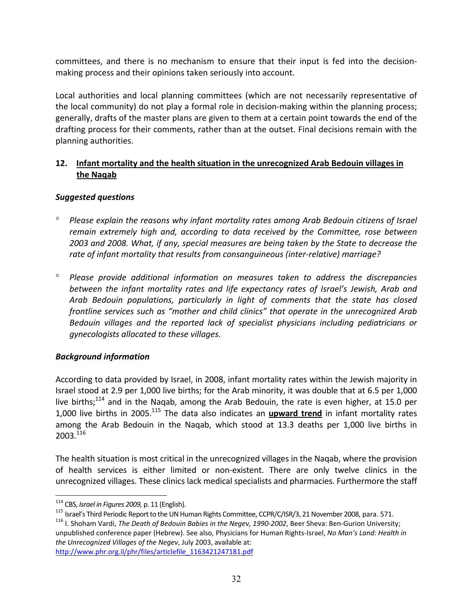committees, and there is no mechanism to ensure that their input is fed into the decision‐ making process and their opinions taken seriously into account.

Local authorities and local planning committees (which are not necessarily representative of the local community) do not play a formal role in decision‐making within the planning process; generally, drafts of the master plans are given to them at a certain point towards the end of the drafting process for their comments, rather than at the outset. Final decisions remain with the planning authorities.

# **12. Infant mortality and the health situation in the unrecognized Arab Bedouin villages in the Naqab**

# *Suggested questions*

- ° *Please explain the reasons why infant mortality rates among Arab Bedouin citizens of Israel remain extremely high and, according to data received by the Committee, rose between 2003 and 2008. What, if any, special measures are being taken by the State to decrease the rate of infant mortality that results from consanguineous (inter‐relative) marriage?*
- ° *Please provide additional information on measures taken to address the discrepancies between the infant mortality rates and life expectancy rates of Israel's Jewish, Arab and Arab Bedouin populations, particularly in light of comments that the state has closed frontline services such as "mother and child clinics" that operate in the unrecognized Arab Bedouin villages and the reported lack of specialist physicians including pediatricians or gynecologists allocated to these villages.*

# *Background information*

According to data provided by Israel, in 2008, infant mortality rates within the Jewish majority in Israel stood at 2.9 per 1,000 live births; for the Arab minority, it was double that at 6.5 per 1,000 live births;<sup>114</sup> and in the Naqab, among the Arab Bedouin, the rate is even higher, at 15.0 per 1,000 live births in 2005.115 The data also indicates an **upward trend** in infant mortality rates among the Arab Bedouin in the Naqab, which stood at 13.3 deaths per 1,000 live births in 2003.116

The health situation is most critical in the unrecognized villages in the Naqab, where the provision of health services is either limited or non‐existent. There are only twelve clinics in the unrecognized villages. These clinics lack medical specialists and pharmacies. Furthermore the staff

http://www.phr.org.il/phr/files/articlefile\_1163421247181.pdf

<sup>&</sup>lt;sup>114</sup> CBS, Israel in Figures 2009, p. 11 (English).

<sup>&</sup>lt;sup>115</sup> Israel's Third Periodic Report to the UN Human Rights Committee, CCPR/C/ISR/3, 21 November 2008, para. 571.<br><sup>116</sup> I. Shoham Vardi, *The Death of Bedouin Babies in the Negev, 1990-2002*, Beer Sheva: Ben-Gurion Univers

unpublished conference paper (Hebrew). See also, Physicians for Human Rights‐Israel, *No Man's Land: Health in the Unrecognized Villages of the Negev*, July 2003, available at: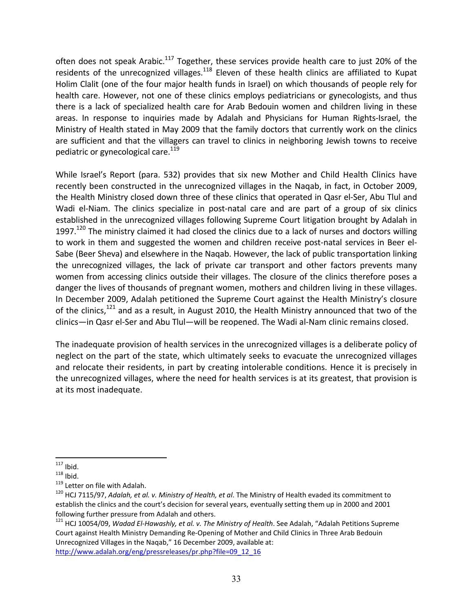often does not speak Arabic.<sup>117</sup> Together, these services provide health care to just 20% of the residents of the unrecognized villages.<sup>118</sup> Eleven of these health clinics are affiliated to Kupat Holim Clalit (one of the four major health funds in Israel) on which thousands of people rely for health care. However, not one of these clinics employs pediatricians or gynecologists, and thus there is a lack of specialized health care for Arab Bedouin women and children living in these areas. In response to inquiries made by Adalah and Physicians for Human Rights‐Israel, the Ministry of Health stated in May 2009 that the family doctors that currently work on the clinics are sufficient and that the villagers can travel to clinics in neighboring Jewish towns to receive pediatric or gynecological care.<sup>119</sup>

While Israel's Report (para. 532) provides that six new Mother and Child Health Clinics have recently been constructed in the unrecognized villages in the Naqab, in fact, in October 2009, the Health Ministry closed down three of these clinics that operated in Qasr el‐Ser, Abu Tlul and Wadi el-Niam. The clinics specialize in post-natal care and are part of a group of six clinics established in the unrecognized villages following Supreme Court litigation brought by Adalah in 1997.<sup>120</sup> The ministry claimed it had closed the clinics due to a lack of nurses and doctors willing to work in them and suggested the women and children receive post-natal services in Beer el-Sabe (Beer Sheva) and elsewhere in the Naqab. However, the lack of public transportation linking the unrecognized villages, the lack of private car transport and other factors prevents many women from accessing clinics outside their villages. The closure of the clinics therefore poses a danger the lives of thousands of pregnant women, mothers and children living in these villages. In December 2009, Adalah petitioned the Supreme Court against the Health Ministry's closure of the clinics, $121$  and as a result, in August 2010, the Health Ministry announced that two of the clinics—in Qasr el‐Ser and Abu Tlul—will be reopened. The Wadi al‐Nam clinic remains closed.

The inadequate provision of health services in the unrecognized villages is a deliberate policy of neglect on the part of the state, which ultimately seeks to evacuate the unrecognized villages and relocate their residents, in part by creating intolerable conditions. Hence it is precisely in the unrecognized villages, where the need for health services is at its greatest, that provision is at its most inadequate.

Court against Health Ministry Demanding Re‐Opening of Mother and Child Clinics in Three Arab Bedouin Unrecognized Villages in the Naqab," 16 December 2009, available at: http://www.adalah.org/eng/pressreleases/pr.php?file=09\_12\_16

 $117$  Ibid.

<sup>&</sup>lt;sup>118</sup> Ibid.<br><sup>119</sup> Letter on file with Adalah.<br><sup>120</sup> HCJ 7115/97, *Adalah, et al. v. Ministry of Health, et al*. The Ministry of Health evaded its commitment to establish the clinics and the court's decision for several years, eventually setting them up in 2000 and 2001 following further pressure from Adalah and others.<br><sup>121</sup> HCJ 10054/09, Wadad El-Hawashly, et al. v. The Ministry of Health. See Adalah, "Adalah Petitions Supreme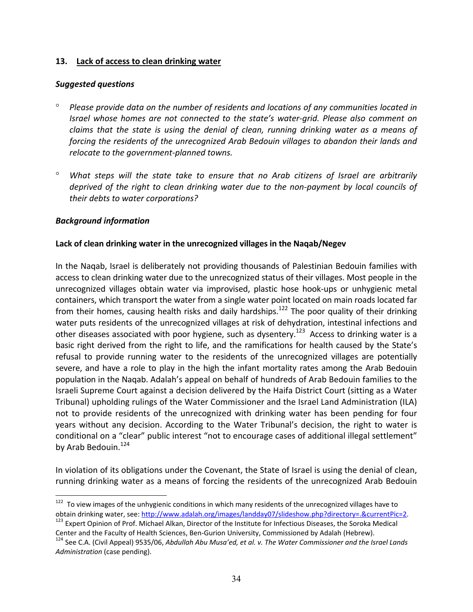#### **13. Lack of access to clean drinking water**

#### *Suggested questions*

- ° *Please provide data on the number of residents and locations of any communities located in Israel whose homes are not connected to the state's water‐grid. Please also comment on claims that the state is using the denial of clean, running drinking water as a means of forcing the residents of the unrecognized Arab Bedouin villages to abandon their lands and relocate to the government‐planned towns.*
- ° *What steps will the state take to ensure that no Arab citizens of Israel are arbitrarily deprived of the right to clean drinking water due to the non‐payment by local councils of their debts to water corporations?*

#### *Background information*

#### **Lack of clean drinking water in the unrecognized villages in the Naqab/Negev**

In the Naqab, Israel is deliberately not providing thousands of Palestinian Bedouin families with access to clean drinking water due to the unrecognized status of their villages. Most people in the unrecognized villages obtain water via improvised, plastic hose hook‐ups or unhygienic metal containers, which transport the water from a single water point located on main roads located far from their homes, causing health risks and daily hardships.<sup>122</sup> The poor quality of their drinking water puts residents of the unrecognized villages at risk of dehydration, intestinal infections and other diseases associated with poor hygiene, such as dysentery.<sup>123</sup> Access to drinking water is a basic right derived from the right to life, and the ramifications for health caused by the State's refusal to provide running water to the residents of the unrecognized villages are potentially severe, and have a role to play in the high the infant mortality rates among the Arab Bedouin population in the Naqab. Adalah's appeal on behalf of hundreds of Arab Bedouin families to the Israeli Supreme Court against a decision delivered by the Haifa District Court (sitting as a Water Tribunal) upholding rulings of the Water Commissioner and the Israel Land Administration (ILA) not to provide residents of the unrecognized with drinking water has been pending for four years without any decision. According to the Water Tribunal's decision, the right to water is conditional on a "clear" public interest "not to encourage cases of additional illegal settlement" by Arab Bedouin.<sup>124</sup>

In violation of its obligations under the Covenant, the State of Israel is using the denial of clean, running drinking water as a means of forcing the residents of the unrecognized Arab Bedouin

 $\overline{a}$ <sup>122</sup> To view images of the unhygienic conditions in which many residents of the unrecognized villages have to obtain drinking water, see: http://www.adalah.org/images/landday07/slideshow.php?directory=.&currentPic=2. 123 Expert Opinion of Prof. Michael Alkan, Director of the Institute for Infectious Diseases, the Soroka Medical

Center and the Faculty of Health Sciences, Ben-Gurion University, Commissioned by Adalah (Hebrew).<br><sup>124</sup> See C.A. (Civil Appeal) 9535/06, Abdullah Abu Musa'ed, et al. v. The Water Commissioner and the Israel Lands

*Administration* (case pending).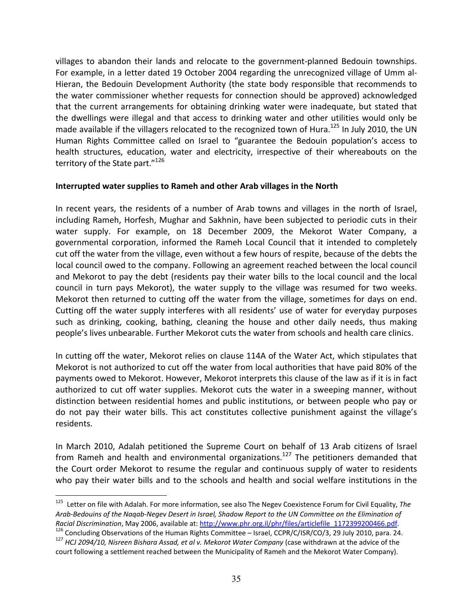villages to abandon their lands and relocate to the government‐planned Bedouin townships. For example, in a letter dated 19 October 2004 regarding the unrecognized village of Umm al‐ Hieran, the Bedouin Development Authority (the state body responsible that recommends to the water commissioner whether requests for connection should be approved) acknowledged that the current arrangements for obtaining drinking water were inadequate, but stated that the dwellings were illegal and that access to drinking water and other utilities would only be made available if the villagers relocated to the recognized town of Hura.<sup>125</sup> In July 2010, the UN Human Rights Committee called on Israel to "guarantee the Bedouin population's access to health structures, education, water and electricity, irrespective of their whereabouts on the territory of the State part."<sup>126</sup>

#### **Interrupted water supplies to Rameh and other Arab villages in the North**

In recent years, the residents of a number of Arab towns and villages in the north of Israel, including Rameh, Horfesh, Mughar and Sakhnin, have been subjected to periodic cuts in their water supply. For example, on 18 December 2009, the Mekorot Water Company, a governmental corporation, informed the Rameh Local Council that it intended to completely cut off the water from the village, even without a few hours of respite, because of the debts the local council owed to the company. Following an agreement reached between the local council and Mekorot to pay the debt (residents pay their water bills to the local council and the local council in turn pays Mekorot), the water supply to the village was resumed for two weeks. Mekorot then returned to cutting off the water from the village, sometimes for days on end. Cutting off the water supply interferes with all residents' use of water for everyday purposes such as drinking, cooking, bathing, cleaning the house and other daily needs, thus making people's lives unbearable. Further Mekorot cuts the water from schools and health care clinics.

In cutting off the water, Mekorot relies on clause 114A of the Water Act, which stipulates that Mekorot is not authorized to cut off the water from local authorities that have paid 80% of the payments owed to Mekorot. However, Mekorot interprets this clause of the law as if it is in fact authorized to cut off water supplies. Mekorot cuts the water in a sweeping manner, without distinction between residential homes and public institutions, or between people who pay or do not pay their water bills. This act constitutes collective punishment against the village's residents.

In March 2010, Adalah petitioned the Supreme Court on behalf of 13 Arab citizens of Israel from Rameh and health and environmental organizations.<sup>127</sup> The petitioners demanded that the Court order Mekorot to resume the regular and continuous supply of water to residents who pay their water bills and to the schools and health and social welfare institutions in the

1

<sup>125</sup> Letter on file with Adalah. For more information, see also The Negev Coexistence Forum for Civil Equality, *The* Arab-Bedouins of the Nagab-Negev Desert in Israel, Shadow Report to the UN Committee on the Elimination of

Racial Discrimination, May 2006, available at: http://www.phr.org.il/phr/files/articlefile 1172399200466.pdf.<br><sup>126</sup> Concluding Observations of the Human Rights Committee – Israel, CCPR/C/ISR/CO/3, 29 July 2010, para. 24.<br><sup></sup> court following a settlement reached between the Municipality of Rameh and the Mekorot Water Company).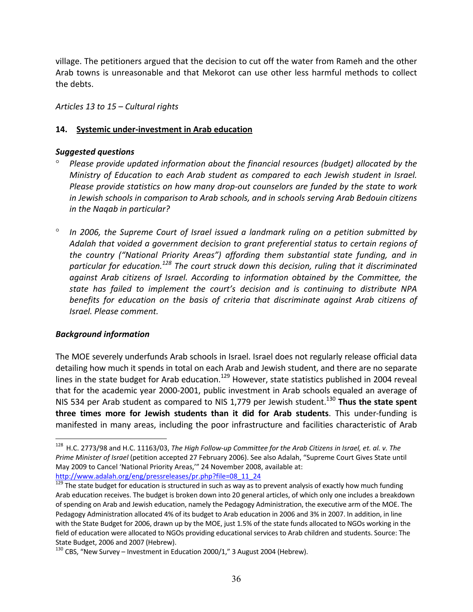village. The petitioners argued that the decision to cut off the water from Rameh and the other Arab towns is unreasonable and that Mekorot can use other less harmful methods to collect the debts.

*Articles 13 to 15 – Cultural rights*

### **14. Systemic under‐investment in Arab education**

#### *Suggested questions*

- ° *Please provide updated information about the financial resources (budget) allocated by the Ministry of Education to each Arab student as compared to each Jewish student in Israel. Please provide statistics on how many drop‐out counselors are funded by the state to work in Jewish schools in comparison to Arab schools, and in schools serving Arab Bedouin citizens in the Naqab in particular?*
- ° *In 2006, the Supreme Court of Israel issued a landmark ruling on a petition submitted by Adalah that voided a government decision to grant preferential status to certain regions of the country ("National Priority Areas") affording them substantial state funding, and in particular for education.128 The court struck down this decision, ruling that it discriminated against Arab citizens of Israel. According to information obtained by the Committee, the state has failed to implement the court's decision and is continuing to distribute NPA benefits for education on the basis of criteria that discriminate against Arab citizens of Israel. Please comment.*

#### *Background information*

1

The MOE severely underfunds Arab schools in Israel. Israel does not regularly release official data detailing how much it spends in total on each Arab and Jewish student, and there are no separate lines in the state budget for Arab education.<sup>129</sup> However, state statistics published in 2004 reveal that for the academic year 2000‐2001, public investment in Arab schools equaled an average of NIS 534 per Arab student as compared to NIS 1,779 per Jewish student.130 **Thus the state spent three times more for Jewish students than it did for Arab students**. This under‐funding is manifested in many areas, including the poor infrastructure and facilities characteristic of Arab

<sup>128</sup> H.C. 2773/98 and H.C. 11163/03, *The High Follow‐up Committee for the Arab Citizens in Israel, et. al. v. The Prime Minister of Israel* (petition accepted 27 February 2006). See also Adalah, "Supreme Court Gives State until May 2009 to Cancel 'National Priority Areas," 24 November 2008, available at:<br>http://www.adalah.org/eng/pressreleases/pr.php?file=08 11 24

 $\frac{129}{129}$  The state budget for education is structured in such as way as to prevent analysis of exactly how much funding Arab education receives. The budget is broken down into 20 general articles, of which only one includes a breakdown of spending on Arab and Jewish education, namely the Pedagogy Administration, the executive arm of the MOE. The Pedagogy Administration allocated 4% of its budget to Arab education in 2006 and 3% in 2007. In addition, in line with the State Budget for 2006, drawn up by the MOE, just 1.5% of the state funds allocated to NGOs working in the field of education were allocated to NGOs providing educational services to Arab children and students. Source: The

State Budget, 2006 and 2007 (Hebrew).<br><sup>130</sup> CBS, "New Survey – Investment in Education 2000/1," 3 August 2004 (Hebrew).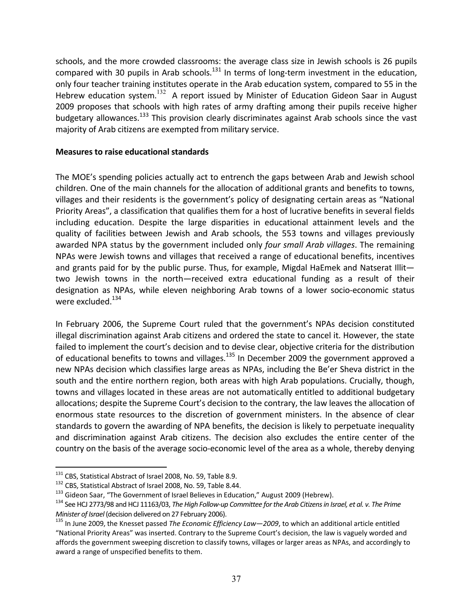schools, and the more crowded classrooms: the average class size in Jewish schools is 26 pupils compared with 30 pupils in Arab schools.<sup>131</sup> In terms of long-term investment in the education, only four teacher training institutes operate in the Arab education system, compared to 55 in the Hebrew education system.<sup>132</sup> A report issued by Minister of Education Gideon Saar in August 2009 proposes that schools with high rates of army drafting among their pupils receive higher budgetary allowances.<sup>133</sup> This provision clearly discriminates against Arab schools since the vast majority of Arab citizens are exempted from military service.

#### **Measures to raise educational standards**

The MOE's spending policies actually act to entrench the gaps between Arab and Jewish school children. One of the main channels for the allocation of additional grants and benefits to towns, villages and their residents is the government's policy of designating certain areas as "National Priority Areas", a classification that qualifies them for a host of lucrative benefits in several fields including education. Despite the large disparities in educational attainment levels and the quality of facilities between Jewish and Arab schools, the 553 towns and villages previously awarded NPA status by the government included only *four small Arab villages*. The remaining NPAs were Jewish towns and villages that received a range of educational benefits, incentives and grants paid for by the public purse. Thus, for example, Migdal HaEmek and Natserat Illit two Jewish towns in the north—received extra educational funding as a result of their designation as NPAs, while eleven neighboring Arab towns of a lower socio‐economic status were excluded.<sup>134</sup>

In February 2006, the Supreme Court ruled that the government's NPAs decision constituted illegal discrimination against Arab citizens and ordered the state to cancel it. However, the state failed to implement the court's decision and to devise clear, objective criteria for the distribution of educational benefits to towns and villages.<sup>135</sup> In December 2009 the government approved a new NPAs decision which classifies large areas as NPAs, including the Be'er Sheva district in the south and the entire northern region, both areas with high Arab populations. Crucially, though, towns and villages located in these areas are not automatically entitled to additional budgetary allocations; despite the Supreme Court's decision to the contrary, the law leaves the allocation of enormous state resources to the discretion of government ministers. In the absence of clear standards to govern the awarding of NPA benefits, the decision is likely to perpetuate inequality and discrimination against Arab citizens. The decision also excludes the entire center of the country on the basis of the average socio-economic level of the area as a whole, thereby denying

1

<sup>&</sup>lt;sup>131</sup> CBS, Statistical Abstract of Israel 2008, No. 59, Table 8.9.<br><sup>132</sup> CBS, Statistical Abstract of Israel 2008, No. 59, Table 8.44.<br><sup>133</sup> Gideon Saar, "The Government of Israel Believes in Education," August 2009 (Hebre *Minister of Israel* (decision delivered on 27 February 2006).<br><sup>135</sup> In June 2009, the Knesset passed *The Economic Efficiency Law—2009*, to which an additional article entitled

<sup>&</sup>quot;National Priority Areas" was inserted. Contrary to the Supreme Court's decision, the law is vaguely worded and affords the government sweeping discretion to classify towns, villages or larger areas as NPAs, and accordingly to award a range of unspecified benefits to them.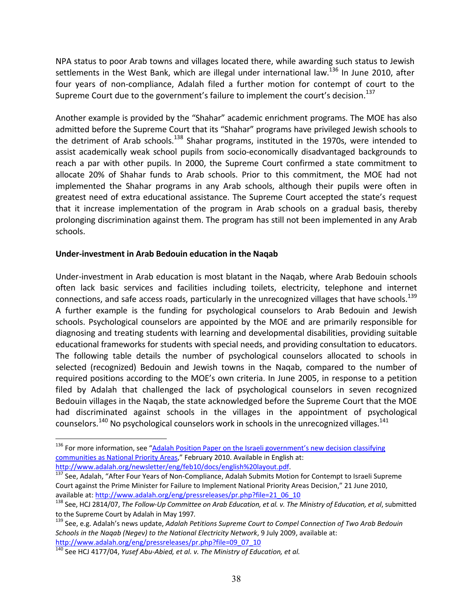NPA status to poor Arab towns and villages located there, while awarding such status to Jewish settlements in the West Bank, which are illegal under international law.<sup>136</sup> In June 2010, after four years of non‐compliance, Adalah filed a further motion for contempt of court to the Supreme Court due to the government's failure to implement the court's decision.<sup>137</sup>

Another example is provided by the "Shahar" academic enrichment programs. The MOE has also admitted before the Supreme Court that its "Shahar" programs have privileged Jewish schools to the detriment of Arab schools.<sup>138</sup> Shahar programs, instituted in the 1970s, were intended to assist academically weak school pupils from socio‐economically disadvantaged backgrounds to reach a par with other pupils. In 2000, the Supreme Court confirmed a state commitment to allocate 20% of Shahar funds to Arab schools. Prior to this commitment, the MOE had not implemented the Shahar programs in any Arab schools, although their pupils were often in greatest need of extra educational assistance. The Supreme Court accepted the state's request that it increase implementation of the program in Arab schools on a gradual basis, thereby prolonging discrimination against them. The program has still not been implemented in any Arab schools.

#### **Under‐investment in Arab Bedouin education in the Naqab**

Under‐investment in Arab education is most blatant in the Naqab, where Arab Bedouin schools often lack basic services and facilities including toilets, electricity, telephone and internet connections, and safe access roads, particularly in the unrecognized villages that have schools.<sup>139</sup> A further example is the funding for psychological counselors to Arab Bedouin and Jewish schools. Psychological counselors are appointed by the MOE and are primarily responsible for diagnosing and treating students with learning and developmental disabilities, providing suitable educational frameworks for students with special needs, and providing consultation to educators. The following table details the number of psychological counselors allocated to schools in selected (recognized) Bedouin and Jewish towns in the Naqab, compared to the number of required positions according to the MOE's own criteria. In June 2005, in response to a petition filed by Adalah that challenged the lack of psychological counselors in seven recognized Bedouin villages in the Naqab, the state acknowledged before the Supreme Court that the MOE had discriminated against schools in the villages in the appointment of psychological counselors.<sup>140</sup> No psychological counselors work in schools in the unrecognized villages.<sup>141</sup>

1

<sup>&</sup>lt;sup>136</sup> For more information, see "Adalah Position Paper on the Israeli government's new decision classifying communities as National Priority Areas," February 2010. Available in English at:

http://www.adalah.org/newsletter/eng/feb10/docs/english%20layout.pdf.<br><sup>137</sup> See, Adalah, "After Four Years of Non-Compliance, Adalah Submits Motion for Contempt to Israeli Supreme Court against the Prime Minister for Failure to Implement National Priority Areas Decision," 21 June 2010,

available at: http://www.adalah.org/eng/pressreleases/pr.php?file=21 06 10<br><sup>138</sup> See, HCJ 2814/07, The Follow-Up Committee on Arab Education, et al. v. The Ministry of Education, et al, submitted to the Supreme Court by Adalah in May 1997.<br><sup>139</sup> See, e.g. Adalah's news update, Adalah Petitions Supreme Court to Compel Connection of Two Arab Bedouin

*Schools in the Naqab (Negev) to the National Electricity Network*, 9 July 2009, available at:

<sup>&</sup>lt;sup>140</sup> See HCJ 4177/04, Yusef Abu-Abied, et al. v. The Ministry of Education, et al.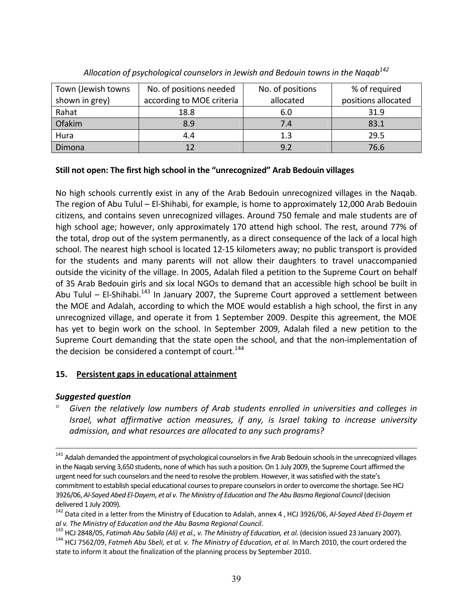| Town (Jewish towns | No. of positions needed   | No. of positions | % of required       |
|--------------------|---------------------------|------------------|---------------------|
| shown in grey)     | according to MOE criteria | allocated        | positions allocated |
| Rahat              | 18.8                      | 6.0              | 31.9                |
| Ofakim             | 8.9                       | 7.4              | 83.1                |
| Hura               | 4.4                       | 1.3              | 29.5                |
| Dimona             | 12                        | 9.2              | 76.6                |

*Allocation of psychological counselors in Jewish and Bedouin towns in the Naqab142*

#### **Still not open: The first high school in the "unrecognized" Arab Bedouin villages**

No high schools currently exist in any of the Arab Bedouin unrecognized villages in the Naqab. The region of Abu Tulul – El‐Shihabi, for example, is home to approximately 12,000 Arab Bedouin citizens, and contains seven unrecognized villages. Around 750 female and male students are of high school age; however, only approximately 170 attend high school. The rest, around 77% of the total, drop out of the system permanently, as a direct consequence of the lack of a local high school. The nearest high school is located 12‐15 kilometers away; no public transport is provided for the students and many parents will not allow their daughters to travel unaccompanied outside the vicinity of the village. In 2005, Adalah filed a petition to the Supreme Court on behalf of 35 Arab Bedouin girls and six local NGOs to demand that an accessible high school be built in Abu Tulul – El-Shihabi.<sup>143</sup> In January 2007, the Supreme Court approved a settlement between the MOE and Adalah, according to which the MOE would establish a high school, the first in any unrecognized village, and operate it from 1 September 2009. Despite this agreement, the MOE has yet to begin work on the school. In September 2009, Adalah filed a new petition to the Supreme Court demanding that the state open the school, and that the non-implementation of the decision be considered a contempt of court.<sup>144</sup>

#### **15. Persistent gaps in educational attainment**

#### *Suggested question*

 $\overline{a}$ 

° *Given the relatively low numbers of Arab students enrolled in universities and colleges in Israel, what affirmative action measures, if any, is Israel taking to increase university admission, and what resources are allocated to any such programs?*

<sup>&</sup>lt;sup>141</sup> Adalah demanded the appointment of psychological counselors in five Arab Bedouin schools in the unrecognized villages in the Naqab serving 3,650 students, none of which has such a position. On 1 July 2009, the Supreme Court affirmed the urgent need forsuch counselors and the need to resolve the problem. However, it wassatisfied with the state's commitment to establish special educational courses to prepare counselors in order to overcome the shortage. See HCJ 3926/06, Al-Sayed Abed El-Dayem, et al v. The Ministry of Education and The Abu Basma Regional Council (decision delivered <sup>1</sup> July 2009). <sup>142</sup> Data cited in <sup>a</sup> letter from the Ministry of Education to Adalah, annex <sup>4</sup> , HCJ 3926/06, *Al‐Sayed Abed El‐Dayem et*

al v. The Ministry of Education and the Abu Basma Regional Council.<br><sup>143</sup> HCJ 2848/05, Fatimah Abu Sabila (Ali) et al., v. The Ministry of Education, et al. (decision issued 23 January 2007).<br><sup>144</sup> HCJ 7562/09, Fatmeh Abu state to inform it about the finalization of the planning process by September 2010.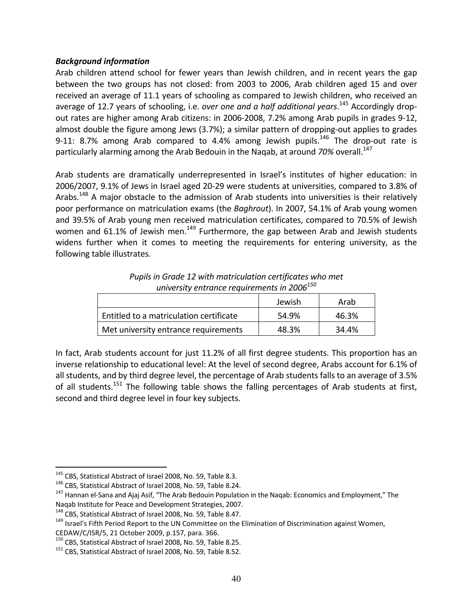#### *Background information*

Arab children attend school for fewer years than Jewish children, and in recent years the gap between the two groups has not closed: from 2003 to 2006, Arab children aged 15 and over received an average of 11.1 years of schooling as compared to Jewish children, who received an average of 12.7 years of schooling, i.e. *over one and a half additional years*. <sup>145</sup> Accordingly drop‐ out rates are higher among Arab citizens: in 2006‐2008, 7.2% among Arab pupils in grades 9‐12, almost double the figure among Jews (3.7%); a similar pattern of dropping‐out applies to grades 9-11: 8.7% among Arab compared to 4.4% among Jewish pupils.<sup>146</sup> The drop-out rate is particularly alarming among the Arab Bedouin in the Nagab, at around 70% overall.<sup>147</sup>

Arab students are dramatically underrepresented in Israel's institutes of higher education: in 2006/2007, 9.1% of Jews in Israel aged 20‐29 were students at universities, compared to 3.8% of Arabs.<sup>148</sup> A major obstacle to the admission of Arab students into universities is their relatively poor performance on matriculation exams (the *Baghrout*). In 2007, 54.1% of Arab young women and 39.5% of Arab young men received matriculation certificates, compared to 70.5% of Jewish women and 61.1% of Jewish men.<sup>149</sup> Furthermore, the gap between Arab and Jewish students widens further when it comes to meeting the requirements for entering university, as the following table illustrates.

| university entrance requirements in 2006 <sup>--</sup> |         |       |  |  |
|--------------------------------------------------------|---------|-------|--|--|
|                                                        | Jewish. | Arab  |  |  |
| Entitled to a matriculation certificate                | 54.9%   | 46.3% |  |  |
| Met university entrance requirements                   | 48.3%   | 34.4% |  |  |

*Pupils in Grade 12 with matriculation certificates who met university entrance requirements in 2006150*

In fact, Arab students account for just 11.2% of all first degree students. This proportion has an inverse relationship to educational level: At the level of second degree, Arabs account for 6.1% of all students, and by third degree level, the percentage of Arab students falls to an average of 3.5% of all students.<sup>151</sup> The following table shows the falling percentages of Arab students at first, second and third degree level in four key subjects.

1

<sup>&</sup>lt;sup>145</sup> CBS, Statistical Abstract of Israel 2008, No. 59, Table 8.3.<br><sup>146</sup> CBS, Statistical Abstract of Israel 2008, No. 59, Table 8.24.<br><sup>147</sup> Hannan el-Sana and Ajaj Asif, "The Arab Bedouin Population in the Nagab: Economic Naqab Institute for Peace and Development Strategies, 2007.<br><sup>148</sup> CBS, Statistical Abstract of Israel 2008, No. 59, Table 8.47.<br><sup>149</sup> Israel's Fifth Period Report to the UN Committee on the Elimination of Discrimination ag

CEDAW/C/ISR/5, 21 October 2009, p.157, para. 366.<br><sup>150</sup> CBS, Statistical Abstract of Israel 2008, No. 59, Table 8.25.<br><sup>151</sup> CBS. Statistical Abstract of Israel 2008. No. 59. Table 8.52.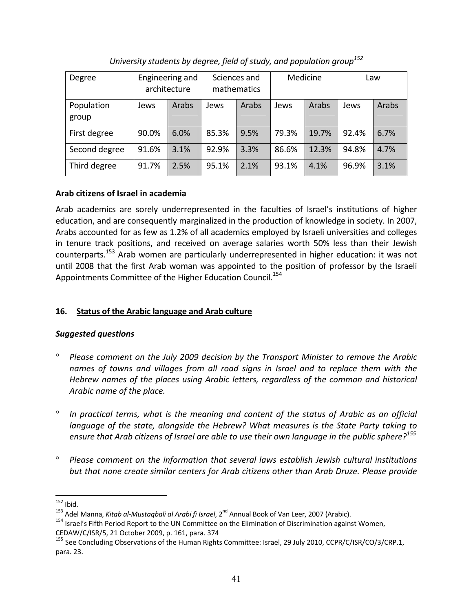| Degree              |       | Engineering and<br>architecture |       | Sciences and<br>mathematics |       | Medicine |       | Law   |
|---------------------|-------|---------------------------------|-------|-----------------------------|-------|----------|-------|-------|
| Population<br>group | Jews  | Arabs                           | Jews  | Arabs                       | Jews  | Arabs    | Jews  | Arabs |
| First degree        | 90.0% | 6.0%                            | 85.3% | 9.5%                        | 79.3% | 19.7%    | 92.4% | 6.7%  |
| Second degree       | 91.6% | 3.1%                            | 92.9% | 3.3%                        | 86.6% | 12.3%    | 94.8% | 4.7%  |
| Third degree        | 91.7% | 2.5%                            | 95.1% | 2.1%                        | 93.1% | 4.1%     | 96.9% | 3.1%  |

*University students by degree, field of study, and population group152*

# **Arab citizens of Israel in academia**

Arab academics are sorely underrepresented in the faculties of Israel's institutions of higher education, and are consequently marginalized in the production of knowledge in society. In 2007, Arabs accounted for as few as 1.2% of all academics employed by Israeli universities and colleges in tenure track positions, and received on average salaries worth 50% less than their Jewish counterparts.153 Arab women are particularly underrepresented in higher education: it was not until 2008 that the first Arab woman was appointed to the position of professor by the Israeli Appointments Committee of the Higher Education Council.<sup>154</sup>

# **16. Status of the Arabic language and Arab culture**

# *Suggested questions*

- ° *Please comment on the July 2009 decision by the Transport Minister to remove the Arabic names of towns and villages from all road signs in Israel and to replace them with the Hebrew names of the places using Arabic letters, regardless of the common and historical Arabic name of the place.*
- ° *In practical terms, what is the meaning and content of the status of Arabic as an official language of the state, alongside the Hebrew? What measures is the State Party taking to ensure that Arab citizens of Israel are able to use their own language in the public sphere?155*
- ° *Please comment on the information that several laws establish Jewish cultural institutions but that none create similar centers for Arab citizens other than Arab Druze. Please provide*

 $152$  Ibid.

<sup>153</sup> Adel Manna, *Kitab al-Mustaqbali al Arabi fi Israel*, 2<sup>nd</sup> Annual Book of Van Leer, 2007 (Arabic).

<sup>&</sup>lt;sup>154</sup> Israel's Fifth Period Report to the UN Committee on the Elimination of Discrimination against Women, CEDAW/C/ISR/5, 21 October 2009, p. 161, para. 374<br><sup>155</sup> See Concluding Observations of the Human Rights Committee: Israel, 29 July 2010, CCPR/C/ISR/CO/3/CRP.1,

para. 23.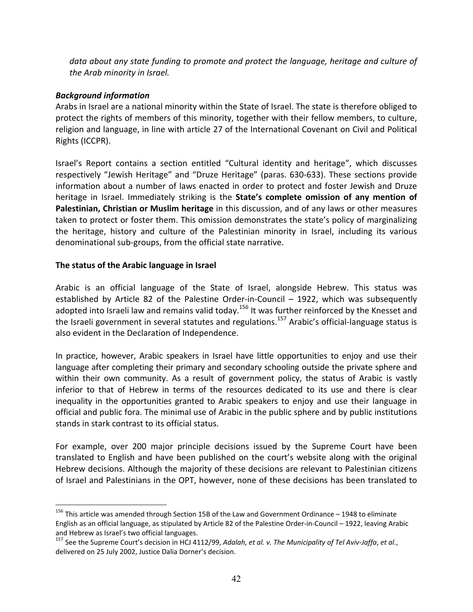*data about any state funding to promote and protect the language, heritage and culture of the Arab minority in Israel.*

# *Background information*

Arabs in Israel are a national minority within the State of Israel. The state is therefore obliged to protect the rights of members of this minority, together with their fellow members, to culture, religion and language, in line with article 27 of the International Covenant on Civil and Political Rights (ICCPR).

Israel's Report contains a section entitled "Cultural identity and heritage", which discusses respectively "Jewish Heritage" and "Druze Heritage" (paras. 630‐633). These sections provide information about a number of laws enacted in order to protect and foster Jewish and Druze heritage in Israel. Immediately striking is the **State's complete omission of any mention of Palestinian, Christian or Muslim heritage** in this discussion, and of any laws or other measures taken to protect or foster them. This omission demonstrates the state's policy of marginalizing the heritage, history and culture of the Palestinian minority in Israel, including its various denominational sub‐groups, from the official state narrative.

# **The status of the Arabic language in Israel**

 $\overline{a}$ 

Arabic is an official language of the State of Israel, alongside Hebrew. This status was established by Article 82 of the Palestine Order‐in‐Council – 1922, which was subsequently adopted into Israeli law and remains valid today.<sup>156</sup> It was further reinforced by the Knesset and the Israeli government in several statutes and regulations.<sup>157</sup> Arabic's official-language status is also evident in the Declaration of Independence.

In practice, however, Arabic speakers in Israel have little opportunities to enjoy and use their language after completing their primary and secondary schooling outside the private sphere and within their own community. As a result of government policy, the status of Arabic is vastly inferior to that of Hebrew in terms of the resources dedicated to its use and there is clear inequality in the opportunities granted to Arabic speakers to enjoy and use their language in official and public fora. The minimal use of Arabic in the public sphere and by public institutions stands in stark contrast to its official status.

For example, over 200 major principle decisions issued by the Supreme Court have been translated to English and have been published on the court's website along with the original Hebrew decisions. Although the majority of these decisions are relevant to Palestinian citizens of Israel and Palestinians in the OPT, however, none of these decisions has been translated to

<sup>&</sup>lt;sup>156</sup> This article was amended through Section 15B of the Law and Government Ordinance – 1948 to eliminate English as an official language, as stipulated by Article 82 of the Palestine Order-in-Council – 1922, leaving Arabic and Hebrew as Israel's two official languages.<br><sup>157</sup> See the Supreme Court's decision in HCJ 4112/99, Adalah, et al. v. The Municipality of Tel Aviv-Jaffa, et al.,

delivered on 25 July 2002, Justice Dalia Dorner's decision.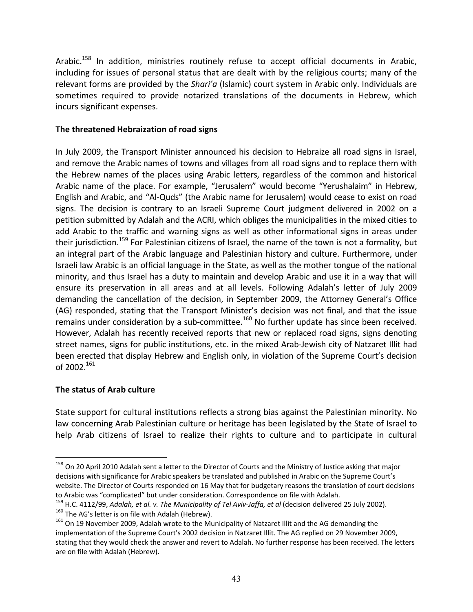Arabic.<sup>158</sup> In addition, ministries routinely refuse to accept official documents in Arabic, including for issues of personal status that are dealt with by the religious courts; many of the relevant forms are provided by the *Shari'a* (Islamic) court system in Arabic only. Individuals are sometimes required to provide notarized translations of the documents in Hebrew, which incurs significant expenses.

### **The threatened Hebraization of road signs**

In July 2009, the Transport Minister announced his decision to Hebraize all road signs in Israel, and remove the Arabic names of towns and villages from all road signs and to replace them with the Hebrew names of the places using Arabic letters, regardless of the common and historical Arabic name of the place. For example, "Jerusalem" would become "Yerushalaim" in Hebrew, English and Arabic, and "Al‐Quds" (the Arabic name for Jerusalem) would cease to exist on road signs. The decision is contrary to an Israeli Supreme Court judgment delivered in 2002 on a petition submitted by Adalah and the ACRI, which obliges the municipalities in the mixed cities to add Arabic to the traffic and warning signs as well as other informational signs in areas under their jurisdiction.<sup>159</sup> For Palestinian citizens of Israel, the name of the town is not a formality, but an integral part of the Arabic language and Palestinian history and culture. Furthermore, under Israeli law Arabic is an official language in the State, as well as the mother tongue of the national minority, and thus Israel has a duty to maintain and develop Arabic and use it in a way that will ensure its preservation in all areas and at all levels. Following Adalah's letter of July 2009 demanding the cancellation of the decision, in September 2009, the Attorney General's Office (AG) responded, stating that the Transport Minister's decision was not final, and that the issue remains under consideration by a sub-committee.<sup>160</sup> No further update has since been received. However, Adalah has recently received reports that new or replaced road signs, signs denoting street names, signs for public institutions, etc. in the mixed Arab-Jewish city of Natzaret Illit had been erected that display Hebrew and English only, in violation of the Supreme Court's decision of 2002. $161$ 

#### **The status of Arab culture**

 $\overline{a}$ 

State support for cultural institutions reflects a strong bias against the Palestinian minority. No law concerning Arab Palestinian culture or heritage has been legislated by the State of Israel to help Arab citizens of Israel to realize their rights to culture and to participate in cultural

<sup>&</sup>lt;sup>158</sup> On 20 April 2010 Adalah sent a letter to the Director of Courts and the Ministry of Justice asking that major decisions with significance for Arabic speakers be translated and published in Arabic on the Supreme Court's website. The Director of Courts responded on 16 May that for budgetary reasons the translation of court decisions

to Arabic was "complicated" but under consideration. Correspondence on file with Adalah.<br><sup>159</sup> H.C. 4112/99, *Adalah, et al. v. The Municipality of Tel Aviv-Jaffa, et al* (decision delivered 25 July 2002).<br><sup>160</sup> The AG's l

implementation of the Supreme Court's 2002 decision in Natzaret Illit. The AG replied on 29 November 2009, stating that they would check the answer and revert to Adalah. No further response has been received. The letters are on file with Adalah (Hebrew).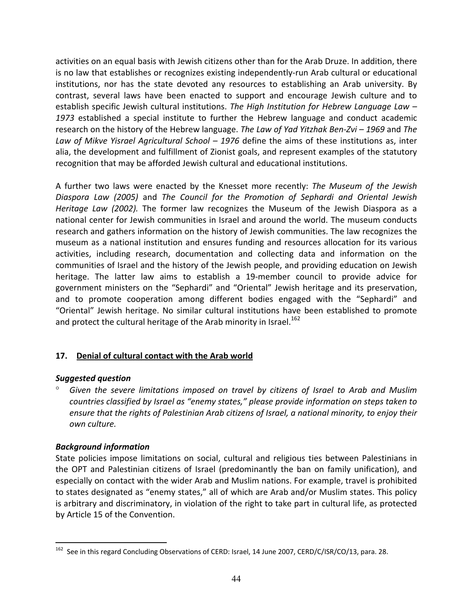activities on an equal basis with Jewish citizens other than for the Arab Druze. In addition, there is no law that establishes or recognizes existing independently‐run Arab cultural or educational institutions, nor has the state devoted any resources to establishing an Arab university. By contrast, several laws have been enacted to support and encourage Jewish culture and to establish specific Jewish cultural institutions. *The High Institution for Hebrew Language Law – 1973* established a special institute to further the Hebrew language and conduct academic research on the history of the Hebrew language. *The Law of Yad Yitzhak Ben‐Zvi – 1969* and *The Law of Mikve Yisrael Agricultural School – 1976* define the aims of these institutions as, inter alia, the development and fulfillment of Zionist goals, and represent examples of the statutory recognition that may be afforded Jewish cultural and educational institutions.

A further two laws were enacted by the Knesset more recently: *The Museum of the Jewish Diaspora Law (2005)* and *The Council for the Promotion of Sephardi and Oriental Jewish Heritage Law (2002).* The former law recognizes the Museum of the Jewish Diaspora as a national center for Jewish communities in Israel and around the world. The museum conducts research and gathers information on the history of Jewish communities. The law recognizes the museum as a national institution and ensures funding and resources allocation for its various activities, including research, documentation and collecting data and information on the communities of Israel and the history of the Jewish people, and providing education on Jewish heritage. The latter law aims to establish a 19-member council to provide advice for government ministers on the "Sephardi" and "Oriental" Jewish heritage and its preservation, and to promote cooperation among different bodies engaged with the "Sephardi" and "Oriental" Jewish heritage. No similar cultural institutions have been established to promote and protect the cultural heritage of the Arab minority in Israel.<sup>162</sup>

# **17. Denial of cultural contact with the Arab world**

# *Suggested question*

° *Given the severe limitations imposed on travel by citizens of Israel to Arab and Muslim countries classified by Israel as "enemy states," please provide information on steps taken to ensure that the rights of Palestinian Arab citizens of Israel, a national minority, to enjoy their own culture.*

# *Background information*

State policies impose limitations on social, cultural and religious ties between Palestinians in the OPT and Palestinian citizens of Israel (predominantly the ban on family unification), and especially on contact with the wider Arab and Muslim nations. For example, travel is prohibited to states designated as "enemy states," all of which are Arab and/or Muslim states. This policy is arbitrary and discriminatory, in violation of the right to take part in cultural life, as protected by Article 15 of the Convention.

 $\overline{a}$ <sup>162</sup> See in this regard Concluding Observations of CERD: Israel, 14 June 2007, CERD/C/ISR/CO/13, para. 28.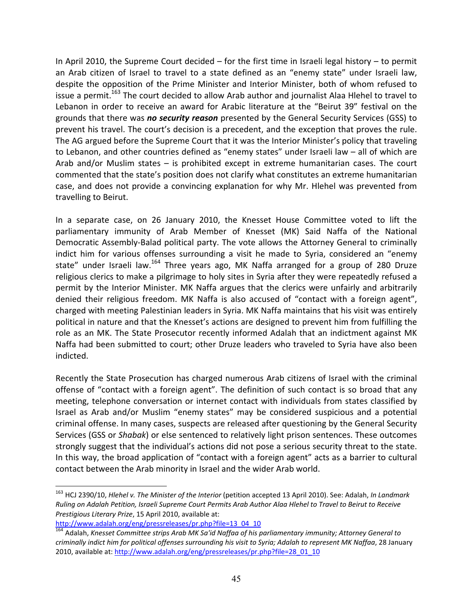In April 2010, the Supreme Court decided – for the first time in Israeli legal history – to permit an Arab citizen of Israel to travel to a state defined as an "enemy state" under Israeli law, despite the opposition of the Prime Minister and Interior Minister, both of whom refused to issue a permit.<sup>163</sup> The court decided to allow Arab author and journalist Alaa Hlehel to travel to Lebanon in order to receive an award for Arabic literature at the "Beirut 39" festival on the grounds that there was *no security reason* presented by the General Security Services (GSS) to prevent his travel. The court's decision is a precedent, and the exception that proves the rule. The AG argued before the Supreme Court that it was the Interior Minister's policy that traveling to Lebanon, and other countries defined as "enemy states" under Israeli law – all of which are Arab and/or Muslim states – is prohibited except in extreme humanitarian cases. The court commented that the state's position does not clarify what constitutes an extreme humanitarian case, and does not provide a convincing explanation for why Mr. Hlehel was prevented from travelling to Beirut.

In a separate case, on 26 January 2010, the Knesset House Committee voted to lift the parliamentary immunity of Arab Member of Knesset (MK) Said Naffa of the National Democratic Assembly‐Balad political party. The vote allows the Attorney General to criminally indict him for various offenses surrounding a visit he made to Syria, considered an "enemy state" under Israeli law.<sup>164</sup> Three years ago, MK Naffa arranged for a group of 280 Druze religious clerics to make a pilgrimage to holy sites in Syria after they were repeatedly refused a permit by the Interior Minister. MK Naffa argues that the clerics were unfairly and arbitrarily denied their religious freedom. MK Naffa is also accused of "contact with a foreign agent", charged with meeting Palestinian leaders in Syria. MK Naffa maintains that his visit was entirely political in nature and that the Knesset's actions are designed to prevent him from fulfilling the role as an MK. The State Prosecutor recently informed Adalah that an indictment against MK Naffa had been submitted to court; other Druze leaders who traveled to Syria have also been indicted.

Recently the State Prosecution has charged numerous Arab citizens of Israel with the criminal offense of "contact with a foreign agent". The definition of such contact is so broad that any meeting, telephone conversation or internet contact with individuals from states classified by Israel as Arab and/or Muslim "enemy states" may be considered suspicious and a potential criminal offense. In many cases, suspects are released after questioning by the General Security Services (GSS or *Shabak*) or else sentenced to relatively light prison sentences. These outcomes strongly suggest that the individual's actions did not pose a serious security threat to the state. In this way, the broad application of "contact with a foreign agent" acts as a barrier to cultural contact between the Arab minority in Israel and the wider Arab world.

 $\overline{a}$ 

<sup>163</sup> HCJ 2390/10, *Hlehel v. The Minister of the Interior* (petition accepted 13 April 2010). See: Adalah, *In Landmark* Ruling on Adalah Petition, Israeli Supreme Court Permits Arab Author Alaa Hlehel to Travel to Beirut to Receive *Prestigious Literary Prize*, 15 April 2010, available at:

http://www.adalah.org/eng/pressreleases/pr.php?file=13 04 10<br><sup>164</sup> Adalah, Knesset Committee strips Arab MK Sa'id Naffaa of his parliamentary immunity; Attorney General to criminally indict him for political offenses surrounding his visit to Syria; Adalah to represent MK Naffaa, 28 January 2010, available at: http://www.adalah.org/eng/pressreleases/pr.php?file=28\_01\_10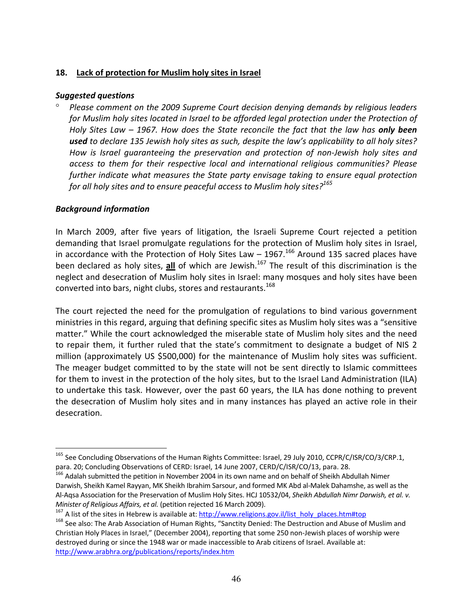#### **18. Lack of protection for Muslim holy sites in Israel**

#### *Suggested questions*

° *Please comment on the 2009 Supreme Court decision denying demands by religious leaders for Muslim holy sites located in Israel to be afforded legal protection under the Protection of Holy Sites Law – 1967. How does the State reconcile the fact that the law has only been used to declare 135 Jewish holy sites as such, despite the law's applicability to all holy sites? How is Israel guaranteeing the preservation and protection of non‐Jewish holy sites and access to them for their respective local and international religious communities? Please further indicate what measures the State party envisage taking to ensure equal protection for all holy sites and to ensure peaceful access to Muslim holy sites?165* 

#### *Background information*

1

In March 2009, after five years of litigation, the Israeli Supreme Court rejected a petition demanding that Israel promulgate regulations for the protection of Muslim holy sites in Israel, in accordance with the Protection of Holy Sites Law  $-$  1967.<sup>166</sup> Around 135 sacred places have been declared as holy sites, **all** of which are Jewish.<sup>167</sup> The result of this discrimination is the neglect and desecration of Muslim holy sites in Israel: many mosques and holy sites have been converted into bars, night clubs, stores and restaurants.<sup>168</sup>

The court rejected the need for the promulgation of regulations to bind various government ministries in this regard, arguing that defining specific sites as Muslim holy sites was a "sensitive matter." While the court acknowledged the miserable state of Muslim holy sites and the need to repair them, it further ruled that the state's commitment to designate a budget of NIS 2 million (approximately US \$500,000) for the maintenance of Muslim holy sites was sufficient. The meager budget committed to by the state will not be sent directly to Islamic committees for them to invest in the protection of the holy sites, but to the Israel Land Administration (ILA) to undertake this task. However, over the past 60 years, the ILA has done nothing to prevent the desecration of Muslim holy sites and in many instances has played an active role in their desecration.

<sup>&</sup>lt;sup>165</sup> See Concluding Observations of the Human Rights Committee: Israel, 29 July 2010, CCPR/C/ISR/CO/3/CRP.1, para. 20; Concluding Observations of CERD: Israel, 14 June 2007, CERD/C/ISR/CO/13, para. 28.

<sup>&</sup>lt;sup>166</sup> Adalah submitted the petition in November 2004 in its own name and on behalf of Sheikh Abdullah Nimer Darwish, Sheikh Kamel Rayyan, MK Sheikh Ibrahim Sarsour, and formed MK Abd al‐Malek Dahamshe, as well as the Al‐Aqsa Association for the Preservation of Muslim Holy Sites. HCJ 10532/04, *Sheikh Abdullah Nimr Darwish, et al. v.* Minister of Religious Affairs, et al. (petition rejected 16 March 2009).<br><sup>167</sup> A list of the sites in Hebrew is available at: http://www.religions.gov.il/list\_holy\_places.htm#top<br><sup>168</sup> See also: The Arab Association of Hum

Christian Holy Places in Israel," (December 2004), reporting that some 250 non‐Jewish places of worship were destroyed during or since the 1948 war or made inaccessible to Arab citizens of Israel. Available at: http://www.arabhra.org/publications/reports/index.htm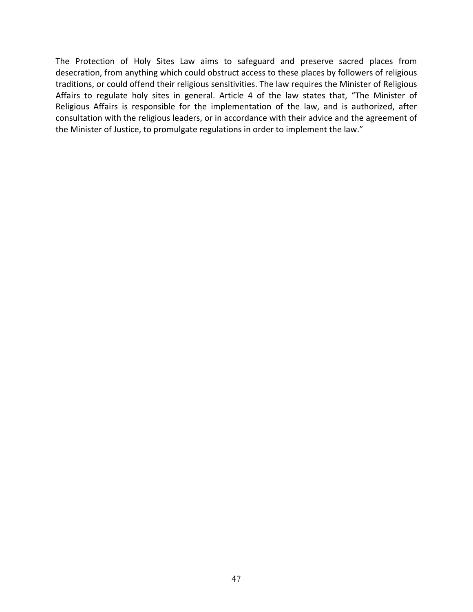The Protection of Holy Sites Law aims to safeguard and preserve sacred places from desecration, from anything which could obstruct access to these places by followers of religious traditions, or could offend their religious sensitivities. The law requires the Minister of Religious Affairs to regulate holy sites in general. Article 4 of the law states that, "The Minister of Religious Affairs is responsible for the implementation of the law, and is authorized, after consultation with the religious leaders, or in accordance with their advice and the agreement of the Minister of Justice, to promulgate regulations in order to implement the law."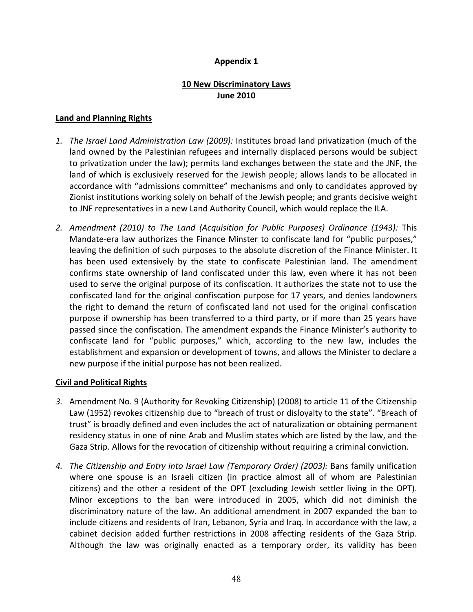### **Appendix 1**

# **10 New Discriminatory Laws June 2010**

#### **Land and Planning Rights**

- *1. The Israel Land Administration Law (2009):* Institutes broad land privatization (much of the land owned by the Palestinian refugees and internally displaced persons would be subject to privatization under the law); permits land exchanges between the state and the JNF, the land of which is exclusively reserved for the Jewish people; allows lands to be allocated in accordance with "admissions committee" mechanisms and only to candidates approved by Zionist institutions working solely on behalf of the Jewish people; and grants decisive weight to JNF representatives in a new Land Authority Council, which would replace the ILA.
- *2. Amendment (2010) to The Land (Acquisition for Public Purposes) Ordinance (1943):* This Mandate-era law authorizes the Finance Minster to confiscate land for "public purposes," leaving the definition of such purposes to the absolute discretion of the Finance Minister. It has been used extensively by the state to confiscate Palestinian land. The amendment confirms state ownership of land confiscated under this law, even where it has not been used to serve the original purpose of its confiscation. It authorizes the state not to use the confiscated land for the original confiscation purpose for 17 years, and denies landowners the right to demand the return of confiscated land not used for the original confiscation purpose if ownership has been transferred to a third party, or if more than 25 years have passed since the confiscation. The amendment expands the Finance Minister's authority to confiscate land for "public purposes," which, according to the new law, includes the establishment and expansion or development of towns, and allows the Minister to declare a new purpose if the initial purpose has not been realized.

#### **Civil and Political Rights**

- *3.* Amendment No. 9 (Authority for Revoking Citizenship) (2008) to article 11 of the Citizenship Law (1952) revokes citizenship due to "breach of trust or disloyalty to the state". "Breach of trust" is broadly defined and even includes the act of naturalization or obtaining permanent residency status in one of nine Arab and Muslim states which are listed by the law, and the Gaza Strip. Allows for the revocation of citizenship without requiring a criminal conviction.
- *4. The Citizenship and Entry into Israel Law (Temporary Order) (2003):* Bans family unification where one spouse is an Israeli citizen (in practice almost all of whom are Palestinian citizens) and the other a resident of the OPT (excluding Jewish settler living in the OPT). Minor exceptions to the ban were introduced in 2005, which did not diminish the discriminatory nature of the law. An additional amendment in 2007 expanded the ban to include citizens and residents of Iran, Lebanon, Syria and Iraq. In accordance with the law, a cabinet decision added further restrictions in 2008 affecting residents of the Gaza Strip. Although the law was originally enacted as a temporary order, its validity has been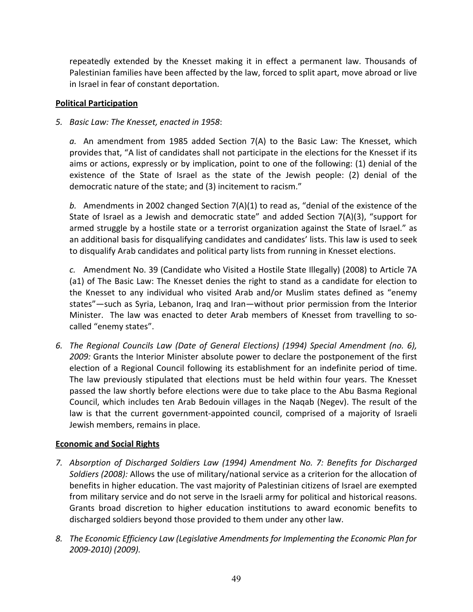repeatedly extended by the Knesset making it in effect a permanent law. Thousands of Palestinian families have been affected by the law, forced to split apart, move abroad or live in Israel in fear of constant deportation.

#### **Political Participation**

*5. Basic Law: The Knesset, enacted in 1958*:

*a.* An amendment from 1985 added Section 7(A) to the Basic Law: The Knesset, which provides that, "A list of candidates shall not participate in the elections for the Knesset if its aims or actions, expressly or by implication, point to one of the following: (1) denial of the existence of the State of Israel as the state of the Jewish people: (2) denial of the democratic nature of the state; and (3) incitement to racism."

*b.* Amendments in 2002 changed Section 7(A)(1) to read as, "denial of the existence of the State of Israel as a Jewish and democratic state" and added Section 7(A)(3), "support for armed struggle by a hostile state or a terrorist organization against the State of Israel." as an additional basis for disqualifying candidates and candidates' lists. This law is used to seek to disqualify Arab candidates and political party lists from running in Knesset elections.

*c.* Amendment No. 39 (Candidate who Visited a Hostile State Illegally) (2008) to Article 7A (a1) of The Basic Law: The Knesset denies the right to stand as a candidate for election to the Knesset to any individual who visited Arab and/or Muslim states defined as "enemy states"—such as Syria, Lebanon, Iraq and Iran—without prior permission from the Interior Minister. The law was enacted to deter Arab members of Knesset from travelling to socalled "enemy states".

*6. The Regional Councils Law (Date of General Elections) (1994) Special Amendment (no. 6), 2009:* Grants the Interior Minister absolute power to declare the postponement of the first election of a Regional Council following its establishment for an indefinite period of time. The law previously stipulated that elections must be held within four years. The Knesset passed the law shortly before elections were due to take place to the Abu Basma Regional Council, which includes ten Arab Bedouin villages in the Naqab (Negev). The result of the law is that the current government‐appointed council, comprised of a majority of Israeli Jewish members, remains in place.

# **Economic and Social Rights**

- *7. Absorption of Discharged Soldiers Law (1994) Amendment No. 7: Benefits for Discharged Soldiers (2008):* Allows the use of military/national service as a criterion for the allocation of benefits in higher education. The vast majority of Palestinian citizens of Israel are exempted from military service and do not serve in the Israeli army for political and historical reasons. Grants broad discretion to higher education institutions to award economic benefits to discharged soldiers beyond those provided to them under any other law.
- *8. The Economic Efficiency Law (Legislative Amendments for Implementing the Economic Plan for 2009‐2010) (2009).*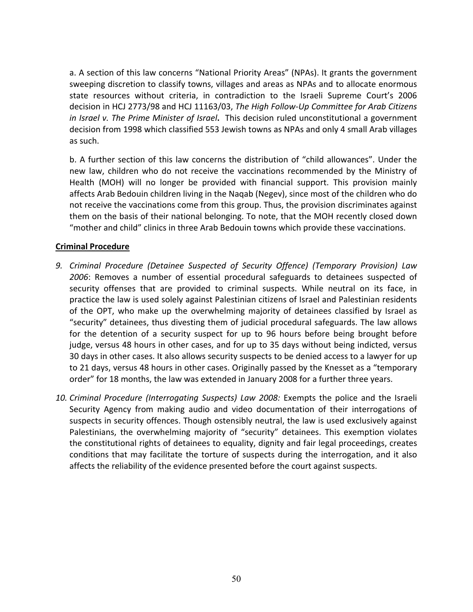a. A section of this law concerns "National Priority Areas" (NPAs). It grants the government sweeping discretion to classify towns, villages and areas as NPAs and to allocate enormous state resources without criteria, in contradiction to the Israeli Supreme Court's 2006 decision in HCJ 2773/98 and HCJ 11163/03, *The High Follow‐Up Committee for Arab Citizens in Israel v. The Prime Minister of Israel***.** This decision ruled unconstitutional a government decision from 1998 which classified 553 Jewish towns as NPAs and only 4 small Arab villages as such.

b. A further section of this law concerns the distribution of "child allowances". Under the new law, children who do not receive the vaccinations recommended by the Ministry of Health (MOH) will no longer be provided with financial support. This provision mainly affects Arab Bedouin children living in the Naqab (Negev), since most of the children who do not receive the vaccinations come from this group. Thus, the provision discriminates against them on the basis of their national belonging. To note, that the MOH recently closed down "mother and child" clinics in three Arab Bedouin towns which provide these vaccinations.

#### **Criminal Procedure**

- *9. Criminal Procedure (Detainee Suspected of Security Offence) (Temporary Provision) Law 2006*: Removes a number of essential procedural safeguards to detainees suspected of security offenses that are provided to criminal suspects. While neutral on its face, in practice the law is used solely against Palestinian citizens of Israel and Palestinian residents of the OPT, who make up the overwhelming majority of detainees classified by Israel as "security" detainees, thus divesting them of judicial procedural safeguards. The law allows for the detention of a security suspect for up to 96 hours before being brought before judge, versus 48 hours in other cases, and for up to 35 days without being indicted, versus 30 days in other cases. It also allows security suspects to be denied access to a lawyer for up to 21 days, versus 48 hours in other cases. Originally passed by the Knesset as a "temporary order" for 18 months, the law was extended in January 2008 for a further three years.
- *10. Criminal Procedure (Interrogating Suspects) Law 2008:* Exempts the police and the Israeli Security Agency from making audio and video documentation of their interrogations of suspects in security offences. Though ostensibly neutral, the law is used exclusively against Palestinians, the overwhelming majority of "security" detainees. This exemption violates the constitutional rights of detainees to equality, dignity and fair legal proceedings, creates conditions that may facilitate the torture of suspects during the interrogation, and it also affects the reliability of the evidence presented before the court against suspects.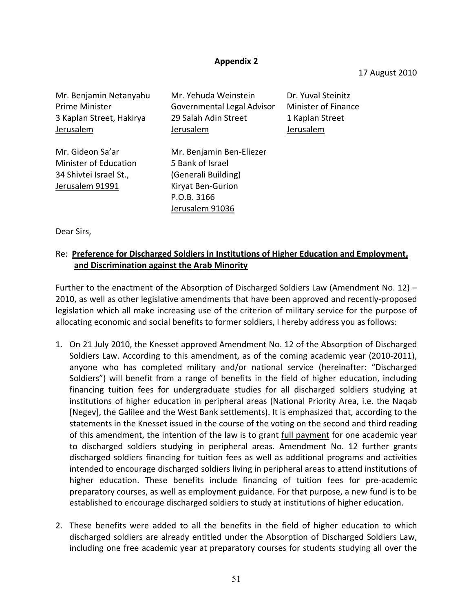#### **Appendix 2**

17 August 2010

| Mr. Benjamin Netanyahu                                                                 | Mr. Yehuda Weinstein                                                                                                       | Dr. Yuval Steinitz         |
|----------------------------------------------------------------------------------------|----------------------------------------------------------------------------------------------------------------------------|----------------------------|
| <b>Prime Minister</b>                                                                  | Governmental Legal Advisor                                                                                                 | <b>Minister of Finance</b> |
| 3 Kaplan Street, Hakirya                                                               | 29 Salah Adin Street                                                                                                       | 1 Kaplan Street            |
| Jerusalem                                                                              | Jerusalem                                                                                                                  | Jerusalem                  |
| Mr. Gideon Sa'ar<br>Minister of Education<br>34 Shivtei Israel St.,<br>Jerusalem 91991 | Mr. Benjamin Ben-Eliezer<br>5 Bank of Israel<br>(Generali Building)<br>Kiryat Ben-Gurion<br>P.O.B. 3166<br>Jerusalem 91036 |                            |

Dear Sirs,

### Re: **Preference for Discharged Soldiers in Institutions of Higher Education and Employment, and Discrimination against the Arab Minority**

Further to the enactment of the Absorption of Discharged Soldiers Law (Amendment No. 12) – 2010, as well as other legislative amendments that have been approved and recently‐proposed legislation which all make increasing use of the criterion of military service for the purpose of allocating economic and social benefits to former soldiers, I hereby address you as follows:

- 1. On 21 July 2010, the Knesset approved Amendment No. 12 of the Absorption of Discharged Soldiers Law. According to this amendment, as of the coming academic year (2010-2011), anyone who has completed military and/or national service (hereinafter: "Discharged Soldiers") will benefit from a range of benefits in the field of higher education, including financing tuition fees for undergraduate studies for all discharged soldiers studying at institutions of higher education in peripheral areas (National Priority Area, i.e. the Naqab [Negev], the Galilee and the West Bank settlements). It is emphasized that, according to the statements in the Knesset issued in the course of the voting on the second and third reading of this amendment, the intention of the law is to grant full payment for one academic year to discharged soldiers studying in peripheral areas. Amendment No. 12 further grants discharged soldiers financing for tuition fees as well as additional programs and activities intended to encourage discharged soldiers living in peripheral areas to attend institutions of higher education. These benefits include financing of tuition fees for pre-academic preparatory courses, as well as employment guidance. For that purpose, a new fund is to be established to encourage discharged soldiers to study at institutions of higher education.
- 2. These benefits were added to all the benefits in the field of higher education to which discharged soldiers are already entitled under the Absorption of Discharged Soldiers Law, including one free academic year at preparatory courses for students studying all over the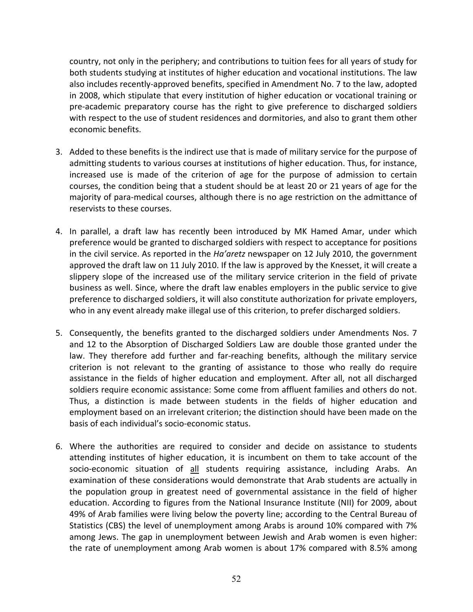country, not only in the periphery; and contributions to tuition fees for all years of study for both students studying at institutes of higher education and vocational institutions. The law also includes recently‐approved benefits, specified in Amendment No. 7 to the law, adopted in 2008, which stipulate that every institution of higher education or vocational training or pre-academic preparatory course has the right to give preference to discharged soldiers with respect to the use of student residences and dormitories, and also to grant them other economic benefits.

- 3. Added to these benefits is the indirect use that is made of military service for the purpose of admitting students to various courses at institutions of higher education. Thus, for instance, increased use is made of the criterion of age for the purpose of admission to certain courses, the condition being that a student should be at least 20 or 21 years of age for the majority of para‐medical courses, although there is no age restriction on the admittance of reservists to these courses.
- 4. In parallel, a draft law has recently been introduced by MK Hamed Amar, under which preference would be granted to discharged soldiers with respect to acceptance for positions in the civil service. As reported in the *Ha'aretz* newspaper on 12 July 2010, the government approved the draft law on 11 July 2010. If the law is approved by the Knesset, it will create a slippery slope of the increased use of the military service criterion in the field of private business as well. Since, where the draft law enables employers in the public service to give preference to discharged soldiers, it will also constitute authorization for private employers, who in any event already make illegal use of this criterion, to prefer discharged soldiers.
- 5. Consequently, the benefits granted to the discharged soldiers under Amendments Nos. 7 and 12 to the Absorption of Discharged Soldiers Law are double those granted under the law. They therefore add further and far-reaching benefits, although the military service criterion is not relevant to the granting of assistance to those who really do require assistance in the fields of higher education and employment. After all, not all discharged soldiers require economic assistance: Some come from affluent families and others do not. Thus, a distinction is made between students in the fields of higher education and employment based on an irrelevant criterion; the distinction should have been made on the basis of each individual's socio‐economic status.
- 6. Where the authorities are required to consider and decide on assistance to students attending institutes of higher education, it is incumbent on them to take account of the socio-economic situation of all students requiring assistance, including Arabs. An examination of these considerations would demonstrate that Arab students are actually in the population group in greatest need of governmental assistance in the field of higher education. According to figures from the National Insurance Institute (NII) for 2009, about 49% of Arab families were living below the poverty line; according to the Central Bureau of Statistics (CBS) the level of unemployment among Arabs is around 10% compared with 7% among Jews. The gap in unemployment between Jewish and Arab women is even higher: the rate of unemployment among Arab women is about 17% compared with 8.5% among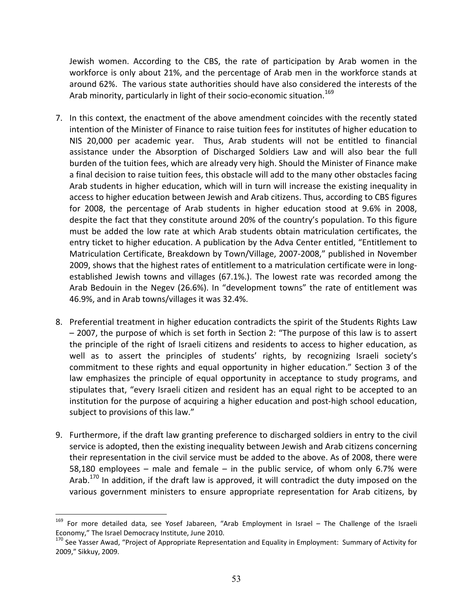Jewish women. According to the CBS, the rate of participation by Arab women in the workforce is only about 21%, and the percentage of Arab men in the workforce stands at around 62%. The various state authorities should have also considered the interests of the Arab minority, particularly in light of their socio-economic situation.<sup>169</sup>

- 7. In this context, the enactment of the above amendment coincides with the recently stated intention of the Minister of Finance to raise tuition fees for institutes of higher education to NIS 20,000 per academic year. Thus, Arab students will not be entitled to financial assistance under the Absorption of Discharged Soldiers Law and will also bear the full burden of the tuition fees, which are already very high. Should the Minister of Finance make a final decision to raise tuition fees, this obstacle will add to the many other obstacles facing Arab students in higher education, which will in turn will increase the existing inequality in access to higher education between Jewish and Arab citizens. Thus, according to CBS figures for 2008, the percentage of Arab students in higher education stood at 9.6% in 2008, despite the fact that they constitute around 20% of the country's population. To this figure must be added the low rate at which Arab students obtain matriculation certificates, the entry ticket to higher education. A publication by the Adva Center entitled, "Entitlement to Matriculation Certificate, Breakdown by Town/Village, 2007‐2008," published in November 2009, shows that the highest rates of entitlement to a matriculation certificate were in longestablished Jewish towns and villages (67.1%.). The lowest rate was recorded among the Arab Bedouin in the Negev (26.6%). In "development towns" the rate of entitlement was 46.9%, and in Arab towns/villages it was 32.4%.
- 8. Preferential treatment in higher education contradicts the spirit of the Students Rights Law – 2007, the purpose of which is set forth in Section 2: "The purpose of this law is to assert the principle of the right of Israeli citizens and residents to access to higher education, as well as to assert the principles of students' rights, by recognizing Israeli society's commitment to these rights and equal opportunity in higher education." Section 3 of the law emphasizes the principle of equal opportunity in acceptance to study programs, and stipulates that, "every Israeli citizen and resident has an equal right to be accepted to an institution for the purpose of acquiring a higher education and post-high school education, subject to provisions of this law."
- 9. Furthermore, if the draft law granting preference to discharged soldiers in entry to the civil service is adopted, then the existing inequality between Jewish and Arab citizens concerning their representation in the civil service must be added to the above. As of 2008, there were 58,180 employees – male and female – in the public service, of whom only 6.7% were Arab.<sup>170</sup> In addition, if the draft law is approved, it will contradict the duty imposed on the various government ministers to ensure appropriate representation for Arab citizens, by

<sup>169</sup> <sup>169</sup> For more detailed data, see Yosef Jabareen, "Arab Employment in Israel – The Challenge of the Israeli Economy," The Israeli enocracy Institute, June 2010.

 $170$  See Yasser Awad, "Project of Appropriate Representation and Equality in Employment: Summary of Activity for 2009," Sikkuy, 2009.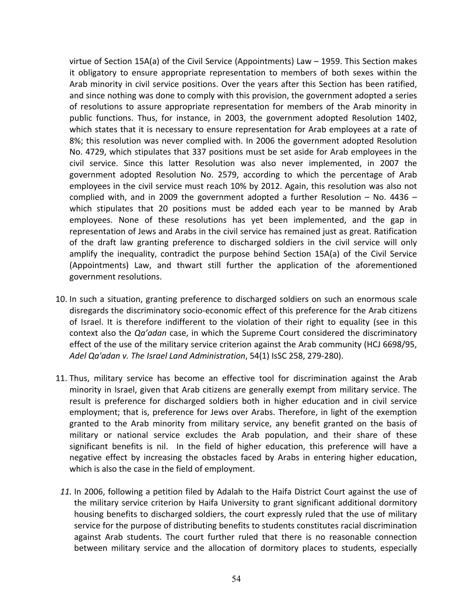virtue of Section 15A(a) of the Civil Service (Appointments) Law – 1959. This Section makes it obligatory to ensure appropriate representation to members of both sexes within the Arab minority in civil service positions. Over the years after this Section has been ratified, and since nothing was done to comply with this provision, the government adopted a series of resolutions to assure appropriate representation for members of the Arab minority in public functions. Thus, for instance, in 2003, the government adopted Resolution 1402, which states that it is necessary to ensure representation for Arab employees at a rate of 8%; this resolution was never complied with. In 2006 the government adopted Resolution No. 4729, which stipulates that 337 positions must be set aside for Arab employees in the civil service. Since this latter Resolution was also never implemented, in 2007 the government adopted Resolution No. 2579, according to which the percentage of Arab employees in the civil service must reach 10% by 2012. Again, this resolution was also not complied with, and in 2009 the government adopted a further Resolution – No. 4436 – which stipulates that 20 positions must be added each year to be manned by Arab employees. None of these resolutions has yet been implemented, and the gap in representation of Jews and Arabs in the civil service has remained just as great. Ratification of the draft law granting preference to discharged soldiers in the civil service will only amplify the inequality, contradict the purpose behind Section 15A(a) of the Civil Service (Appointments) Law, and thwart still further the application of the aforementioned government resolutions.

- 10. In such a situation, granting preference to discharged soldiers on such an enormous scale disregards the discriminatory socio‐economic effect of this preference for the Arab citizens of Israel. It is therefore indifferent to the violation of their right to equality (see in this context also the *Qa'adan* case, in which the Supreme Court considered the discriminatory effect of the use of the military service criterion against the Arab community (HCJ 6698/95, *Adel Qa'adan v. The Israel Land Administration*, 54(1) IsSC 258, 279‐280).
- 11. Thus, military service has become an effective tool for discrimination against the Arab minority in Israel, given that Arab citizens are generally exempt from military service. The result is preference for discharged soldiers both in higher education and in civil service employment; that is, preference for Jews over Arabs. Therefore, in light of the exemption granted to the Arab minority from military service, any benefit granted on the basis of military or national service excludes the Arab population, and their share of these significant benefits is nil. In the field of higher education, this preference will have a negative effect by increasing the obstacles faced by Arabs in entering higher education, which is also the case in the field of employment.
- *11.* In 2006, following a petition filed by Adalah to the Haifa District Court against the use of the military service criterion by Haifa University to grant significant additional dormitory housing benefits to discharged soldiers, the court expressly ruled that the use of military service for the purpose of distributing benefits to students constitutes racial discrimination against Arab students. The court further ruled that there is no reasonable connection between military service and the allocation of dormitory places to students, especially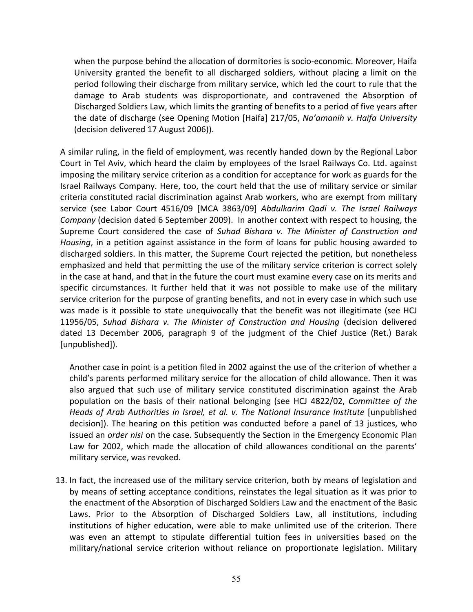when the purpose behind the allocation of dormitories is socio-economic. Moreover, Haifa University granted the benefit to all discharged soldiers, without placing a limit on the period following their discharge from military service, which led the court to rule that the damage to Arab students was disproportionate, and contravened the Absorption of Discharged Soldiers Law, which limits the granting of benefits to a period of five years after the date of discharge (see Opening Motion [Haifa] 217/05, *Na'amanih v. Haifa University* (decision delivered 17 August 2006)).

A similar ruling, in the field of employment, was recently handed down by the Regional Labor Court in Tel Aviv, which heard the claim by employees of the Israel Railways Co. Ltd. against imposing the military service criterion as a condition for acceptance for work as guards for the Israel Railways Company. Here, too, the court held that the use of military service or similar criteria constituted racial discrimination against Arab workers, who are exempt from military service (see Labor Court 4516/09 [MCA 3863/09] *Abdulkarim Qadi v. The Israel Railways Company* (decision dated 6 September 2009). In another context with respect to housing, the Supreme Court considered the case of *Suhad Bishara v. The Minister of Construction and Housing*, in a petition against assistance in the form of loans for public housing awarded to discharged soldiers. In this matter, the Supreme Court rejected the petition, but nonetheless emphasized and held that permitting the use of the military service criterion is correct solely in the case at hand, and that in the future the court must examine every case on its merits and specific circumstances. It further held that it was not possible to make use of the military service criterion for the purpose of granting benefits, and not in every case in which such use was made is it possible to state unequivocally that the benefit was not illegitimate (see HCJ 11956/05, *Suhad Bishara v. The Minister of Construction and Housing* (decision delivered dated 13 December 2006, paragraph 9 of the judgment of the Chief Justice (Ret.) Barak [unpublished]).

Another case in point is a petition filed in 2002 against the use of the criterion of whether a child's parents performed military service for the allocation of child allowance. Then it was also argued that such use of military service constituted discrimination against the Arab population on the basis of their national belonging (see HCJ 4822/02, *Committee of the Heads of Arab Authorities in Israel, et al. v. The National Insurance Institute* [unpublished decision]). The hearing on this petition was conducted before a panel of 13 justices, who issued an *order nisi* on the case. Subsequently the Section in the Emergency Economic Plan Law for 2002, which made the allocation of child allowances conditional on the parents' military service, was revoked.

13. In fact, the increased use of the military service criterion, both by means of legislation and by means of setting acceptance conditions, reinstates the legal situation as it was prior to the enactment of the Absorption of Discharged Soldiers Law and the enactment of the Basic Laws. Prior to the Absorption of Discharged Soldiers Law, all institutions, including institutions of higher education, were able to make unlimited use of the criterion. There was even an attempt to stipulate differential tuition fees in universities based on the military/national service criterion without reliance on proportionate legislation. Military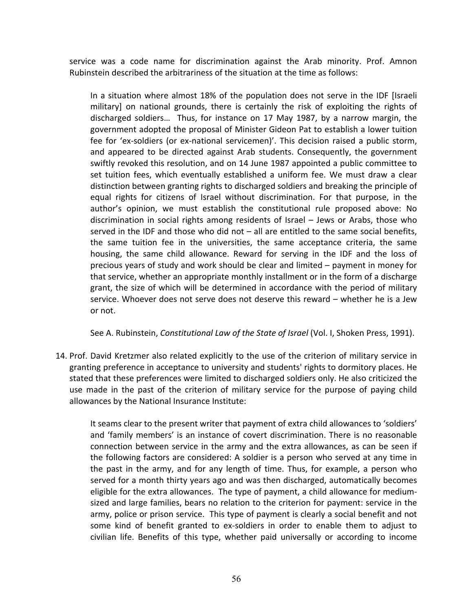service was a code name for discrimination against the Arab minority. Prof. Amnon Rubinstein described the arbitrariness of the situation at the time as follows:

In a situation where almost 18% of the population does not serve in the IDF [Israeli military] on national grounds, there is certainly the risk of exploiting the rights of discharged soldiers… Thus, for instance on 17 May 1987, by a narrow margin, the government adopted the proposal of Minister Gideon Pat to establish a lower tuition fee for 'ex-soldiers (or ex-national servicemen)'. This decision raised a public storm, and appeared to be directed against Arab students. Consequently, the government swiftly revoked this resolution, and on 14 June 1987 appointed a public committee to set tuition fees, which eventually established a uniform fee. We must draw a clear distinction between granting rights to discharged soldiers and breaking the principle of equal rights for citizens of Israel without discrimination. For that purpose, in the author's opinion, we must establish the constitutional rule proposed above: No discrimination in social rights among residents of Israel – Jews or Arabs, those who served in the IDF and those who did not – all are entitled to the same social benefits, the same tuition fee in the universities, the same acceptance criteria, the same housing, the same child allowance. Reward for serving in the IDF and the loss of precious years of study and work should be clear and limited – payment in money for that service, whether an appropriate monthly installment or in the form of a discharge grant, the size of which will be determined in accordance with the period of military service. Whoever does not serve does not deserve this reward – whether he is a Jew or not.

See A. Rubinstein, *Constitutional Law of the State of Israel* (Vol. I, Shoken Press, 1991).

14. Prof. David Kretzmer also related explicitly to the use of the criterion of military service in granting preference in acceptance to university and students' rights to dormitory places. He stated that these preferences were limited to discharged soldiers only. He also criticized the use made in the past of the criterion of military service for the purpose of paying child allowances by the National Insurance Institute:

It seams clear to the present writer that payment of extra child allowances to 'soldiers' and 'family members' is an instance of covert discrimination. There is no reasonable connection between service in the army and the extra allowances, as can be seen if the following factors are considered: A soldier is a person who served at any time in the past in the army, and for any length of time. Thus, for example, a person who served for a month thirty years ago and was then discharged, automatically becomes eligible for the extra allowances. The type of payment, a child allowance for medium‐ sized and large families, bears no relation to the criterion for payment: service in the army, police or prison service. This type of payment is clearly a social benefit and not some kind of benefit granted to ex‐soldiers in order to enable them to adjust to civilian life. Benefits of this type, whether paid universally or according to income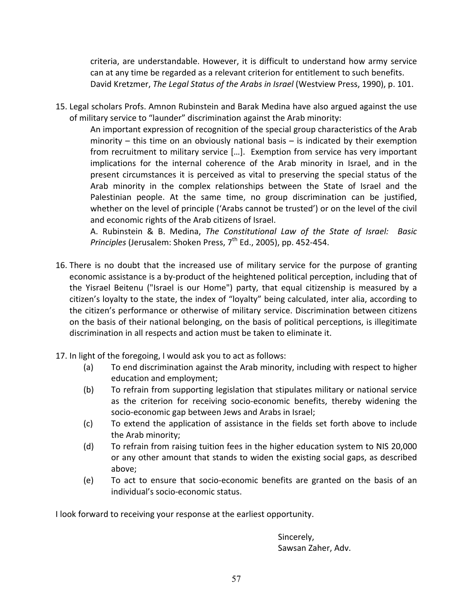criteria, are understandable. However, it is difficult to understand how army service can at any time be regarded as a relevant criterion for entitlement to such benefits. David Kretzmer, *The Legal Status of the Arabs in Israel* (Westview Press, 1990), p. 101.

15. Legal scholars Profs. Amnon Rubinstein and Barak Medina have also argued against the use of military service to "launder" discrimination against the Arab minority:

An important expression of recognition of the special group characteristics of the Arab minority – this time on an obviously national basis – is indicated by their exemption from recruitment to military service […]. Exemption from service has very important implications for the internal coherence of the Arab minority in Israel, and in the present circumstances it is perceived as vital to preserving the special status of the Arab minority in the complex relationships between the State of Israel and the Palestinian people. At the same time, no group discrimination can be justified, whether on the level of principle ('Arabs cannot be trusted') or on the level of the civil and economic rights of the Arab citizens of Israel.

A. Rubinstein & B. Medina, *The Constitutional Law of the State of Israel: Basic Principles* (Jerusalem: Shoken Press, 7<sup>th</sup> Ed., 2005), pp. 452-454.

- 16. There is no doubt that the increased use of military service for the purpose of granting economic assistance is a by-product of the heightened political perception, including that of the Yisrael Beitenu ("Israel is our Home") party, that equal citizenship is measured by a citizen's loyalty to the state, the index of "loyalty" being calculated, inter alia, according to the citizen's performance or otherwise of military service. Discrimination between citizens on the basis of their national belonging, on the basis of political perceptions, is illegitimate discrimination in all respects and action must be taken to eliminate it.
- 17. In light of the foregoing, I would ask you to act as follows:
	- (a) To end discrimination against the Arab minority, including with respect to higher education and employment;
	- (b) To refrain from supporting legislation that stipulates military or national service as the criterion for receiving socio‐economic benefits, thereby widening the socio‐economic gap between Jews and Arabs in Israel;
	- (c) To extend the application of assistance in the fields set forth above to include the Arab minority;
	- (d) To refrain from raising tuition fees in the higher education system to NIS 20,000 or any other amount that stands to widen the existing social gaps, as described above;
	- (e) To act to ensure that socio‐economic benefits are granted on the basis of an individual's socio‐economic status.

I look forward to receiving your response at the earliest opportunity.

Sincerely, Sawsan Zaher, Adv.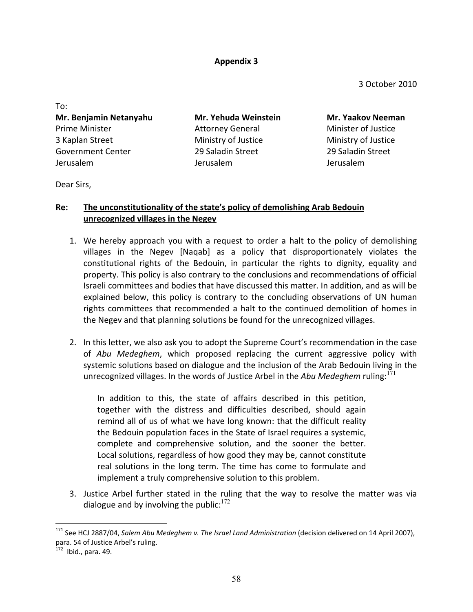#### **Appendix 3**

3 October 2010

To: **Mr. Benjamin Netanyahu Mr. Yehuda Weinstein Mr. Yaakov Neeman** Prime Minister **The Contract of Attorney General** The Minister of Justice 3 Kaplan Street Ministry of Justice Ministry of Justice Government Center 29 Saladin Street 29 Saladin Street Jerusalem Jerusalem Jerusalem

Dear Sirs,

### **Re: The unconstitutionality of the state's policy of demolishing Arab Bedouin unrecognized villages in the Negev**

- 1. We hereby approach you with a request to order a halt to the policy of demolishing villages in the Negev [Naqab] as a policy that disproportionately violates the constitutional rights of the Bedouin, in particular the rights to dignity, equality and property. This policy is also contrary to the conclusions and recommendations of official Israeli committees and bodies that have discussed this matter. In addition, and as will be explained below, this policy is contrary to the concluding observations of UN human rights committees that recommended a halt to the continued demolition of homes in the Negev and that planning solutions be found for the unrecognized villages.
- 2. In this letter, we also ask you to adopt the Supreme Court's recommendation in the case of *Abu Medeghem*, which proposed replacing the current aggressive policy with systemic solutions based on dialogue and the inclusion of the Arab Bedouin living in the unrecognized villages. In the words of Justice Arbel in the Abu Medeghem ruling:<sup>171</sup>

In addition to this, the state of affairs described in this petition, together with the distress and difficulties described, should again remind all of us of what we have long known: that the difficult reality the Bedouin population faces in the State of Israel requires a systemic, complete and comprehensive solution, and the sooner the better. Local solutions, regardless of how good they may be, cannot constitute real solutions in the long term. The time has come to formulate and implement a truly comprehensive solution to this problem.

3. Justice Arbel further stated in the ruling that the way to resolve the matter was via dialogue and by involving the public:  $172$ 

 $\overline{a}$ 

<sup>171</sup> See HCJ 2887/04, *Salem Abu Medeghem v. The Israel Land Administration* (decision delivered on 14 April 2007), para. 54 of Justice Arbel's ruling.<br><sup>172</sup> Ibid., para. 49.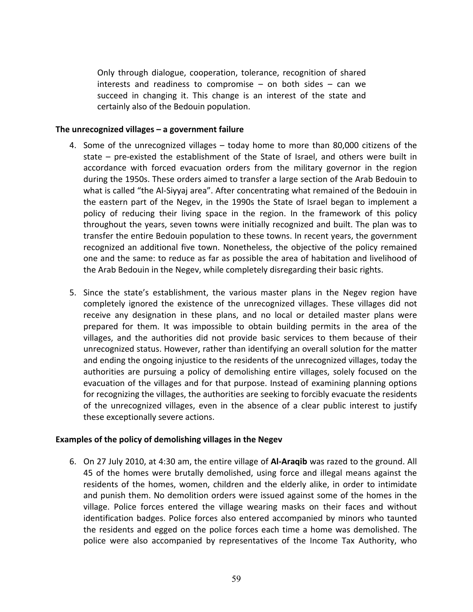Only through dialogue, cooperation, tolerance, recognition of shared interests and readiness to compromise  $-$  on both sides  $-$  can we succeed in changing it. This change is an interest of the state and certainly also of the Bedouin population.

#### **The unrecognized villages – a government failure**

- 4. Some of the unrecognized villages today home to more than 80,000 citizens of the state – pre-existed the establishment of the State of Israel, and others were built in accordance with forced evacuation orders from the military governor in the region during the 1950s. These orders aimed to transfer a large section of the Arab Bedouin to what is called "the Al-Siyyaj area". After concentrating what remained of the Bedouin in the eastern part of the Negev, in the 1990s the State of Israel began to implement a policy of reducing their living space in the region. In the framework of this policy throughout the years, seven towns were initially recognized and built. The plan was to transfer the entire Bedouin population to these towns. In recent years, the government recognized an additional five town. Nonetheless, the objective of the policy remained one and the same: to reduce as far as possible the area of habitation and livelihood of the Arab Bedouin in the Negev, while completely disregarding their basic rights.
- 5. Since the state's establishment, the various master plans in the Negev region have completely ignored the existence of the unrecognized villages. These villages did not receive any designation in these plans, and no local or detailed master plans were prepared for them. It was impossible to obtain building permits in the area of the villages, and the authorities did not provide basic services to them because of their unrecognized status. However, rather than identifying an overall solution for the matter and ending the ongoing injustice to the residents of the unrecognized villages, today the authorities are pursuing a policy of demolishing entire villages, solely focused on the evacuation of the villages and for that purpose. Instead of examining planning options for recognizing the villages, the authorities are seeking to forcibly evacuate the residents of the unrecognized villages, even in the absence of a clear public interest to justify these exceptionally severe actions.

#### **Examples of the policy of demolishing villages in the Negev**

6. On 27 July 2010, at 4:30 am, the entire village of **Al‐Araqib** was razed to the ground. All 45 of the homes were brutally demolished, using force and illegal means against the residents of the homes, women, children and the elderly alike, in order to intimidate and punish them. No demolition orders were issued against some of the homes in the village. Police forces entered the village wearing masks on their faces and without identification badges. Police forces also entered accompanied by minors who taunted the residents and egged on the police forces each time a home was demolished. The police were also accompanied by representatives of the Income Tax Authority, who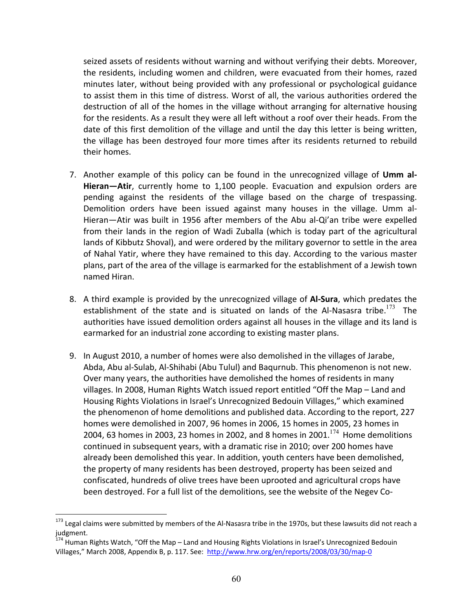seized assets of residents without warning and without verifying their debts. Moreover, the residents, including women and children, were evacuated from their homes, razed minutes later, without being provided with any professional or psychological guidance to assist them in this time of distress. Worst of all, the various authorities ordered the destruction of all of the homes in the village without arranging for alternative housing for the residents. As a result they were all left without a roof over their heads. From the date of this first demolition of the village and until the day this letter is being written, the village has been destroyed four more times after its residents returned to rebuild their homes.

- 7. Another example of this policy can be found in the unrecognized village of **Umm al‐ Hieran—Atir**, currently home to 1,100 people. Evacuation and expulsion orders are pending against the residents of the village based on the charge of trespassing. Demolition orders have been issued against many houses in the village. Umm al‐ Hieran—Atir was built in 1956 after members of the Abu al-Qi'an tribe were expelled from their lands in the region of Wadi Zuballa (which is today part of the agricultural lands of Kibbutz Shoval), and were ordered by the military governor to settle in the area of Nahal Yatir, where they have remained to this day. According to the various master plans, part of the area of the village is earmarked for the establishment of a Jewish town named Hiran.
- 8. A third example is provided by the unrecognized village of **Al‐Sura**, which predates the establishment of the state and is situated on lands of the Al-Nasasra tribe.<sup>173</sup> The authorities have issued demolition orders against all houses in the village and its land is earmarked for an industrial zone according to existing master plans.
- 9. In August 2010, a number of homes were also demolished in the villages of Jarabe, Abda, Abu al‐Sulab, Al‐Shihabi (Abu Tulul) and Baqurnub. This phenomenon is not new. Over many years, the authorities have demolished the homes of residents in many villages. In 2008, Human Rights Watch issued report entitled "Off the Map – Land and Housing Rights Violations in Israel's Unrecognized Bedouin Villages," which examined the phenomenon of home demolitions and published data. According to the report, 227 homes were demolished in 2007, 96 homes in 2006, 15 homes in 2005, 23 homes in 2004, 63 homes in 2003, 23 homes in 2002, and 8 homes in 2001.<sup>174</sup> Home demolitions continued in subsequent years, with a dramatic rise in 2010; over 200 homes have already been demolished this year. In addition, youth centers have been demolished, the property of many residents has been destroyed, property has been seized and confiscated, hundreds of olive trees have been uprooted and agricultural crops have been destroyed. For a full list of the demolitions, see the website of the Negev Co‐

1

 $^{173}$  Legal claims were submitted by members of the Al-Nasasra tribe in the 1970s, but these lawsuits did not reach a judgment.

<sup>&</sup>lt;sup>174</sup> Human Rights Watch, "Off the Map – Land and Housing Rights Violations in Israel's Unrecognized Bedouin Villages," March 2008, Appendix B, p. 117. See: http://www.hrw.org/en/reports/2008/03/30/map‐0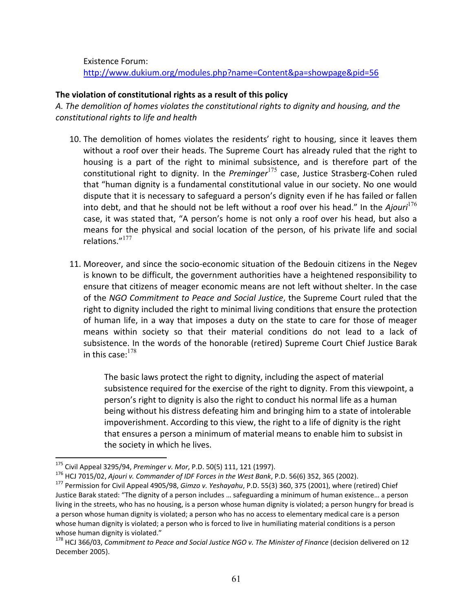Existence Forum:

http://www.dukium.org/modules.php?name=Content&pa=showpage&pid=56

#### **The violation of constitutional rights as a result of this policy**

*A. The demolition of homes violates the constitutional rights to dignity and housing, and the constitutional rights to life and health*

- 10. The demolition of homes violates the residents' right to housing, since it leaves them without a roof over their heads. The Supreme Court has already ruled that the right to housing is a part of the right to minimal subsistence, and is therefore part of the constitutional right to dignity. In the *Preminger*<sup>175</sup> case, Justice Strasberg‐Cohen ruled that "human dignity is a fundamental constitutional value in our society. No one would dispute that it is necessary to safeguard a person's dignity even if he has failed or fallen into debt, and that he should not be left without a roof over his head." In the *Ajouri*<sup>1/6</sup> case, it was stated that, "A person's home is not only a roof over his head, but also a means for the physical and social location of the person, of his private life and social relations."<sup>177</sup>
- 11. Moreover, and since the socio‐economic situation of the Bedouin citizens in the Negev is known to be difficult, the government authorities have a heightened responsibility to ensure that citizens of meager economic means are not left without shelter. In the case of the *NGO Commitment to Peace and Social Justice*, the Supreme Court ruled that the right to dignity included the right to minimal living conditions that ensure the protection of human life, in a way that imposes a duty on the state to care for those of meager means within society so that their material conditions do not lead to a lack of subsistence. In the words of the honorable (retired) Supreme Court Chief Justice Barak in this case: $178$

The basic laws protect the right to dignity, including the aspect of material subsistence required for the exercise of the right to dignity. From this viewpoint, a person's right to dignity is also the right to conduct his normal life as a human being without his distress defeating him and bringing him to a state of intolerable impoverishment. According to this view, the right to a life of dignity is the right that ensures a person a minimum of material means to enable him to subsist in the society in which he lives.

<sup>&</sup>lt;sup>175</sup> Civil Appeal 3295/94, Preminger v. Mor, P.D. 50(5) 111, 121 (1997).

<sup>&</sup>lt;sup>176</sup> HCJ 7015/02, Ajouri v. Commander of IDF Forces in the West Bank, P.D. 56(6) 352, 365 (2002).<br><sup>177</sup> Permission for Civil Appeal 4905/98, Gimzo v. Yeshayahu, P.D. 55(3) 360, 375 (2001), where (retired) Chief Justice Barak stated: "The dignity of a person includes … safeguarding a minimum of human existence… a person living in the streets, who has no housing, is a person whose human dignity is violated; a person hungry for bread is a person whose human dignity is violated; a person who has no access to elementary medical care is a person whose human dignity is violated; a person who is forced to live in humiliating material conditions is a person whose human dignity is violated."<br><sup>178</sup> HCJ 366/03, Commitment to Peace and Social Justice NGO v. The Minister of Finance (decision delivered on 12

December 2005).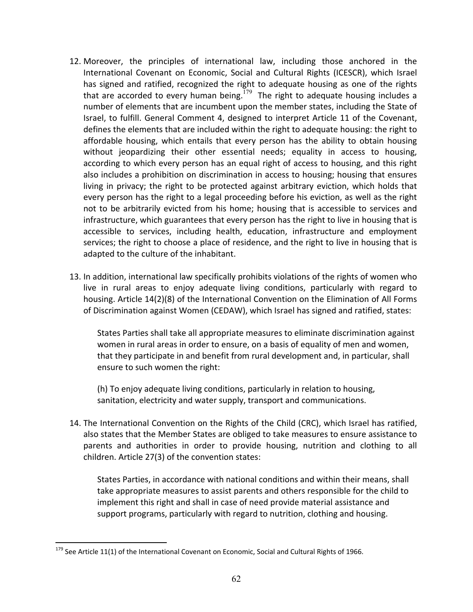- 12. Moreover, the principles of international law, including those anchored in the International Covenant on Economic, Social and Cultural Rights (ICESCR), which Israel has signed and ratified, recognized the right to adequate housing as one of the rights that are accorded to every human being.<sup>179</sup> The right to adequate housing includes a number of elements that are incumbent upon the member states, including the State of Israel, to fulfill. General Comment 4, designed to interpret Article 11 of the Covenant, defines the elements that are included within the right to adequate housing: the right to affordable housing, which entails that every person has the ability to obtain housing without jeopardizing their other essential needs; equality in access to housing, according to which every person has an equal right of access to housing, and this right also includes a prohibition on discrimination in access to housing; housing that ensures living in privacy; the right to be protected against arbitrary eviction, which holds that every person has the right to a legal proceeding before his eviction, as well as the right not to be arbitrarily evicted from his home; housing that is accessible to services and infrastructure, which guarantees that every person has the right to live in housing that is accessible to services, including health, education, infrastructure and employment services; the right to choose a place of residence, and the right to live in housing that is adapted to the culture of the inhabitant.
- 13. In addition, international law specifically prohibits violations of the rights of women who live in rural areas to enjoy adequate living conditions, particularly with regard to housing. Article 14(2)(8) of the International Convention on the Elimination of All Forms of Discrimination against Women (CEDAW), which Israel has signed and ratified, states:

States Parties shall take all appropriate measures to eliminate discrimination against women in rural areas in order to ensure, on a basis of equality of men and women, that they participate in and benefit from rural development and, in particular, shall ensure to such women the right:

(h) To enjoy adequate living conditions, particularly in relation to housing, sanitation, electricity and water supply, transport and communications.

14. The International Convention on the Rights of the Child (CRC), which Israel has ratified, also states that the Member States are obliged to take measures to ensure assistance to parents and authorities in order to provide housing, nutrition and clothing to all children. Article 27(3) of the convention states:

States Parties, in accordance with national conditions and within their means, shall take appropriate measures to assist parents and others responsible for the child to implement this right and shall in case of need provide material assistance and support programs, particularly with regard to nutrition, clothing and housing.

 $\overline{a}$ 

<sup>&</sup>lt;sup>179</sup> See Article 11(1) of the International Covenant on Economic, Social and Cultural Rights of 1966.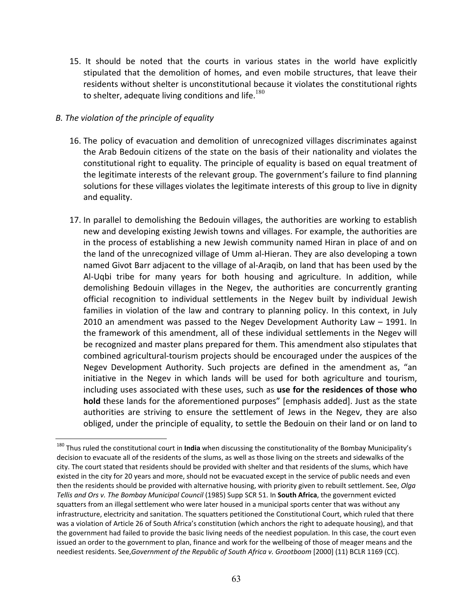15. It should be noted that the courts in various states in the world have explicitly stipulated that the demolition of homes, and even mobile structures, that leave their residents without shelter is unconstitutional because it violates the constitutional rights to shelter, adequate living conditions and life.<sup>180</sup>

#### *B. The violation of the principle of equality*

 $\overline{a}$ 

- 16. The policy of evacuation and demolition of unrecognized villages discriminates against the Arab Bedouin citizens of the state on the basis of their nationality and violates the constitutional right to equality. The principle of equality is based on equal treatment of the legitimate interests of the relevant group. The government's failure to find planning solutions for these villages violates the legitimate interests of this group to live in dignity and equality.
- 17. In parallel to demolishing the Bedouin villages, the authorities are working to establish new and developing existing Jewish towns and villages. For example, the authorities are in the process of establishing a new Jewish community named Hiran in place of and on the land of the unrecognized village of Umm al‐Hieran. They are also developing a town named Givot Barr adjacent to the village of al‐Araqib, on land that has been used by the Al-Uqbi tribe for many years for both housing and agriculture. In addition, while demolishing Bedouin villages in the Negev, the authorities are concurrently granting official recognition to individual settlements in the Negev built by individual Jewish families in violation of the law and contrary to planning policy. In this context, in July 2010 an amendment was passed to the Negev Development Authority Law – 1991. In the framework of this amendment, all of these individual settlements in the Negev will be recognized and master plans prepared for them. This amendment also stipulates that combined agricultural‐tourism projects should be encouraged under the auspices of the Negev Development Authority. Such projects are defined in the amendment as, "an initiative in the Negev in which lands will be used for both agriculture and tourism, including uses associated with these uses, such as **use for the residences of those who hold** these lands for the aforementioned purposes" [emphasis added]. Just as the state authorities are striving to ensure the settlement of Jews in the Negev, they are also obliged, under the principle of equality, to settle the Bedouin on their land or on land to

<sup>180</sup> Thus ruled the constitutional court in **India** when discussing the constitutionality of the Bombay Municipality's decision to evacuate all of the residents of the slums, as well as those living on the streets and sidewalks of the city. The court stated that residents should be provided with shelter and that residents of the slums, which have existed in the city for 20 years and more, should not be evacuated except in the service of public needs and even then the residents should be provided with alternative housing, with priority given to rebuilt settlement. See, *Olga Tellis and Ors v. The Bombay Municipal Council* (1985) Supp SCR 51. In **South Africa**, the government evicted squatters from an illegal settlement who were later housed in a municipal sports center that was without any infrastructure, electricity and sanitation. The squatters petitioned the Constitutional Court, which ruled that there was a violation of Article 26 of South Africa's constitution (which anchors the right to adequate housing), and that the government had failed to provide the basic living needs of the neediest population. In this case, the court even issued an order to the government to plan, finance and work for the wellbeing of those of meager means and the neediest residents. See,*Government of the Republic of South Africa v. Grootboom* [2000] (11) BCLR 1169 (CC).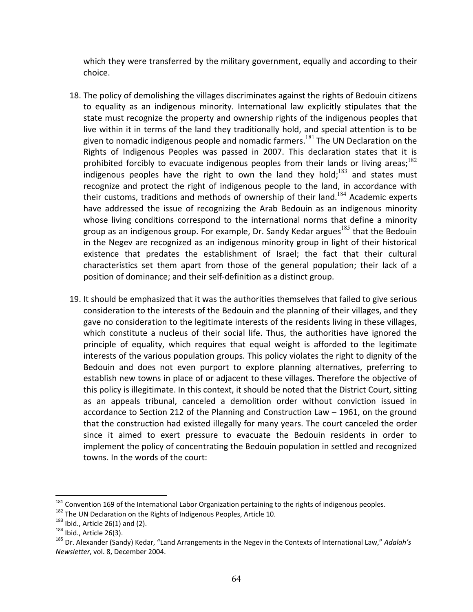which they were transferred by the military government, equally and according to their choice.

- 18. The policy of demolishing the villages discriminates against the rights of Bedouin citizens to equality as an indigenous minority. International law explicitly stipulates that the state must recognize the property and ownership rights of the indigenous peoples that live within it in terms of the land they traditionally hold, and special attention is to be given to nomadic indigenous people and nomadic farmers.<sup>181</sup> The UN Declaration on the Rights of Indigenous Peoples was passed in 2007. This declaration states that it is prohibited forcibly to evacuate indigenous peoples from their lands or living areas;  $182$ indigenous peoples have the right to own the land they hold;<sup>183</sup> and states must recognize and protect the right of indigenous people to the land, in accordance with their customs, traditions and methods of ownership of their land.<sup>184</sup> Academic experts have addressed the issue of recognizing the Arab Bedouin as an indigenous minority whose living conditions correspond to the international norms that define a minority group as an indigenous group. For example, Dr. Sandy Kedar argues $^{185}$  that the Bedouin in the Negev are recognized as an indigenous minority group in light of their historical existence that predates the establishment of Israel; the fact that their cultural characteristics set them apart from those of the general population; their lack of a position of dominance; and their self‐definition as a distinct group.
- 19. It should be emphasized that it was the authorities themselves that failed to give serious consideration to the interests of the Bedouin and the planning of their villages, and they gave no consideration to the legitimate interests of the residents living in these villages, which constitute a nucleus of their social life. Thus, the authorities have ignored the principle of equality, which requires that equal weight is afforded to the legitimate interests of the various population groups. This policy violates the right to dignity of the Bedouin and does not even purport to explore planning alternatives, preferring to establish new towns in place of or adjacent to these villages. Therefore the objective of this policy is illegitimate. In this context, it should be noted that the District Court, sitting as an appeals tribunal, canceled a demolition order without conviction issued in accordance to Section 212 of the Planning and Construction Law – 1961, on the ground that the construction had existed illegally for many years. The court canceled the order since it aimed to exert pressure to evacuate the Bedouin residents in order to implement the policy of concentrating the Bedouin population in settled and recognized towns. In the words of the court:

<sup>&</sup>lt;sup>181</sup> Convention 169 of the International Labor Organization pertaining to the rights of indigenous peoples.

<sup>&</sup>lt;sup>182</sup> The UN Declaration on the Rights of Indigenous Peoples, Article 10.<br><sup>183</sup> Ibid., Article 26(1) and (2).<br><sup>184</sup> Ibid., Article 26(3).<br><sup>185</sup> Dr. Alexander (Sandy) Kedar, "Land Arrangements in the Negev in the Contexts *Newsletter*, vol. 8, December 2004.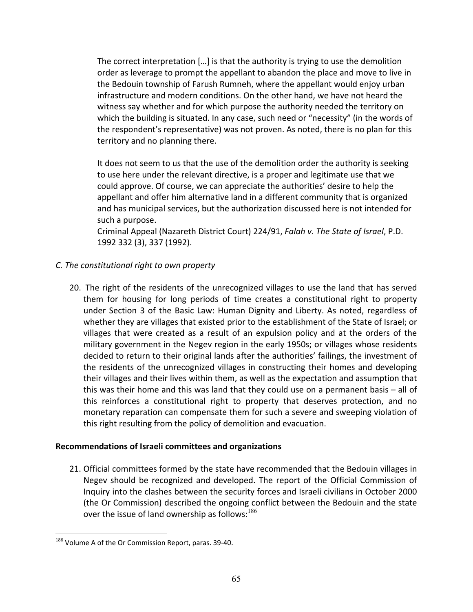The correct interpretation […] is that the authority is trying to use the demolition order as leverage to prompt the appellant to abandon the place and move to live in the Bedouin township of Farush Rumneh, where the appellant would enjoy urban infrastructure and modern conditions. On the other hand, we have not heard the witness say whether and for which purpose the authority needed the territory on which the building is situated. In any case, such need or "necessity" (in the words of the respondent's representative) was not proven. As noted, there is no plan for this territory and no planning there.

It does not seem to us that the use of the demolition order the authority is seeking to use here under the relevant directive, is a proper and legitimate use that we could approve. Of course, we can appreciate the authorities' desire to help the appellant and offer him alternative land in a different community that is organized and has municipal services, but the authorization discussed here is not intended for such a purpose.

Criminal Appeal (Nazareth District Court) 224/91, *Falah v. The State of Israel*, P.D. 1992 332 (3), 337 (1992).

- *C. The constitutional right to own property*
	- 20. The right of the residents of the unrecognized villages to use the land that has served them for housing for long periods of time creates a constitutional right to property under Section 3 of the Basic Law: Human Dignity and Liberty. As noted, regardless of whether they are villages that existed prior to the establishment of the State of Israel; or villages that were created as a result of an expulsion policy and at the orders of the military government in the Negev region in the early 1950s; or villages whose residents decided to return to their original lands after the authorities' failings, the investment of the residents of the unrecognized villages in constructing their homes and developing their villages and their lives within them, as well as the expectation and assumption that this was their home and this was land that they could use on a permanent basis – all of this reinforces a constitutional right to property that deserves protection, and no monetary reparation can compensate them for such a severe and sweeping violation of this right resulting from the policy of demolition and evacuation.

# **Recommendations of Israeli committees and organizations**

21. Official committees formed by the state have recommended that the Bedouin villages in Negev should be recognized and developed. The report of the Official Commission of Inquiry into the clashes between the security forces and Israeli civilians in October 2000 (the Or Commission) described the ongoing conflict between the Bedouin and the state over the issue of land ownership as follows:  $186$ 

 $\overline{a}$ 

 $186$  Volume A of the Or Commission Report, paras. 39-40.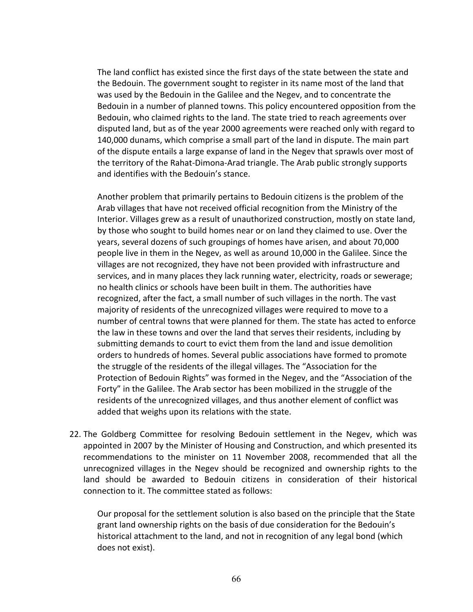The land conflict has existed since the first days of the state between the state and the Bedouin. The government sought to register in its name most of the land that was used by the Bedouin in the Galilee and the Negev, and to concentrate the Bedouin in a number of planned towns. This policy encountered opposition from the Bedouin, who claimed rights to the land. The state tried to reach agreements over disputed land, but as of the year 2000 agreements were reached only with regard to 140,000 dunams, which comprise a small part of the land in dispute. The main part of the dispute entails a large expanse of land in the Negev that sprawls over most of the territory of the Rahat‐Dimona‐Arad triangle. The Arab public strongly supports and identifies with the Bedouin's stance.

Another problem that primarily pertains to Bedouin citizens is the problem of the Arab villages that have not received official recognition from the Ministry of the Interior. Villages grew as a result of unauthorized construction, mostly on state land, by those who sought to build homes near or on land they claimed to use. Over the years, several dozens of such groupings of homes have arisen, and about 70,000 people live in them in the Negev, as well as around 10,000 in the Galilee. Since the villages are not recognized, they have not been provided with infrastructure and services, and in many places they lack running water, electricity, roads or sewerage; no health clinics or schools have been built in them. The authorities have recognized, after the fact, a small number of such villages in the north. The vast majority of residents of the unrecognized villages were required to move to a number of central towns that were planned for them. The state has acted to enforce the law in these towns and over the land that serves their residents, including by submitting demands to court to evict them from the land and issue demolition orders to hundreds of homes. Several public associations have formed to promote the struggle of the residents of the illegal villages. The "Association for the Protection of Bedouin Rights" was formed in the Negev, and the "Association of the Forty" in the Galilee. The Arab sector has been mobilized in the struggle of the residents of the unrecognized villages, and thus another element of conflict was added that weighs upon its relations with the state.

22. The Goldberg Committee for resolving Bedouin settlement in the Negev, which was appointed in 2007 by the Minister of Housing and Construction, and which presented its recommendations to the minister on 11 November 2008, recommended that all the unrecognized villages in the Negev should be recognized and ownership rights to the land should be awarded to Bedouin citizens in consideration of their historical connection to it. The committee stated as follows:

Our proposal for the settlement solution is also based on the principle that the State grant land ownership rights on the basis of due consideration for the Bedouin's historical attachment to the land, and not in recognition of any legal bond (which does not exist).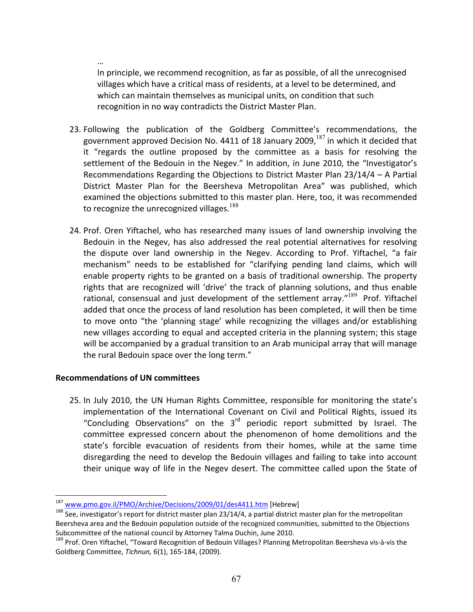…

In principle, we recommend recognition, as far as possible, of all the unrecognised villages which have a critical mass of residents, at a level to be determined, and which can maintain themselves as municipal units, on condition that such recognition in no way contradicts the District Master Plan.

- 23. Following the publication of the Goldberg Committee's recommendations, the government approved Decision No. 4411 of 18 January 2009,  $^{187}$  in which it decided that it "regards the outline proposed by the committee as a basis for resolving the settlement of the Bedouin in the Negev." In addition, in June 2010, the "Investigator's Recommendations Regarding the Objections to District Master Plan 23/14/4 – A Partial District Master Plan for the Beersheva Metropolitan Area" was published, which examined the objections submitted to this master plan. Here, too, it was recommended to recognize the unrecognized villages.<sup>188</sup>
- 24. Prof. Oren Yiftachel, who has researched many issues of land ownership involving the Bedouin in the Negev, has also addressed the real potential alternatives for resolving the dispute over land ownership in the Negev. According to Prof. Yiftachel, "a fair mechanism" needs to be established for "clarifying pending land claims, which will enable property rights to be granted on a basis of traditional ownership. The property rights that are recognized will 'drive' the track of planning solutions, and thus enable rational, consensual and just development of the settlement array." $189$  Prof. Yiftachel added that once the process of land resolution has been completed, it will then be time to move onto "the 'planning stage' while recognizing the villages and/or establishing new villages according to equal and accepted criteria in the planning system; this stage will be accompanied by a gradual transition to an Arab municipal array that will manage the rural Bedouin space over the long term."

# **Recommendations of UN committees**

25. In July 2010, the UN Human Rights Committee, responsible for monitoring the state's implementation of the International Covenant on Civil and Political Rights, issued its "Concluding Observations" on the  $3<sup>rd</sup>$  periodic report submitted by Israel. The committee expressed concern about the phenomenon of home demolitions and the state's forcible evacuation of residents from their homes, while at the same time disregarding the need to develop the Bedouin villages and failing to take into account their unique way of life in the Negev desert. The committee called upon the State of

<sup>&</sup>lt;sup>187</sup> www.pmo.gov.il/PMO/Archive/Decisions/2009/01/des4411.htm [Hebrew]

 $188$  See, investigator's report for district master plan 23/14/4, a partial district master plan for the metropolitan Beersheva area and the Bedouin population outside of the recognized communities, submitted to the Objections Subcommittee of the national council by Attorney Talma Duchin, June 2010.<br><sup>189</sup> Prof. Oren Yiftachel, "Toward Recognition of Bedouin Villages? Planning Metropolitan Beersheva vis-à-vis the

Goldberg Committee, *Tichnun,* 6(1), 165‐184, (2009).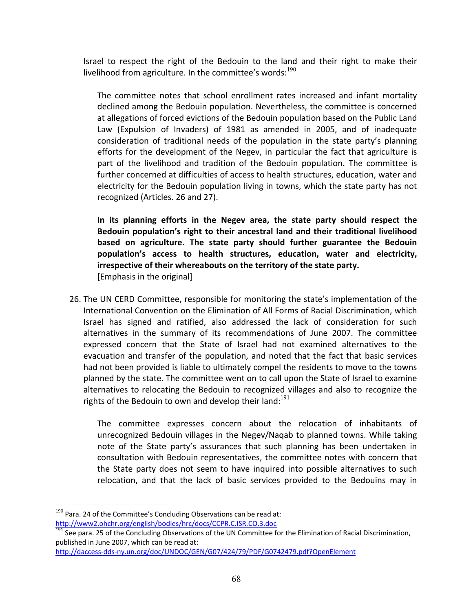Israel to respect the right of the Bedouin to the land and their right to make their livelihood from agriculture. In the committee's words: $190$ 

The committee notes that school enrollment rates increased and infant mortality declined among the Bedouin population. Nevertheless, the committee is concerned at allegations of forced evictions of the Bedouin population based on the Public Land Law (Expulsion of Invaders) of 1981 as amended in 2005, and of inadequate consideration of traditional needs of the population in the state party's planning efforts for the development of the Negev, in particular the fact that agriculture is part of the livelihood and tradition of the Bedouin population. The committee is further concerned at difficulties of access to health structures, education, water and electricity for the Bedouin population living in towns, which the state party has not recognized (Articles. 26 and 27).

**In its planning efforts in the Negev area, the state party should respect the Bedouin population's right to their ancestral land and their traditional livelihood based on agriculture. The state party should further guarantee the Bedouin population's access to health structures, education, water and electricity, irrespective of their whereabouts on the territory of the state party.** [Emphasis in the original]

26. The UN CERD Committee, responsible for monitoring the state's implementation of the International Convention on the Elimination of All Forms of Racial Discrimination, which Israel has signed and ratified, also addressed the lack of consideration for such alternatives in the summary of its recommendations of June 2007. The committee expressed concern that the State of Israel had not examined alternatives to the evacuation and transfer of the population, and noted that the fact that basic services had not been provided is liable to ultimately compel the residents to move to the towns planned by the state. The committee went on to call upon the State of Israel to examine alternatives to relocating the Bedouin to recognized villages and also to recognize the rights of the Bedouin to own and develop their land: $191$ 

The committee expresses concern about the relocation of inhabitants of unrecognized Bedouin villages in the Negev/Naqab to planned towns. While taking note of the State party's assurances that such planning has been undertaken in consultation with Bedouin representatives, the committee notes with concern that the State party does not seem to have inquired into possible alternatives to such relocation, and that the lack of basic services provided to the Bedouins may in

 $\overline{a}$  $190$  Para. 24 of the Committee's Concluding Observations can be read at:

http://www2.ohchr.org/english/bodies/hrc/docs/CCPR.C.ISR.CO.3.doc<br><sup>191</sup> See para. 25 of the Concluding Observations of the UN Committee for the Elimination of Racial Discrimination, published in June 2007, which can be read at:

http://daccess‐dds‐ny.un.org/doc/UNDOC/GEN/G07/424/79/PDF/G0742479.pdf?OpenElement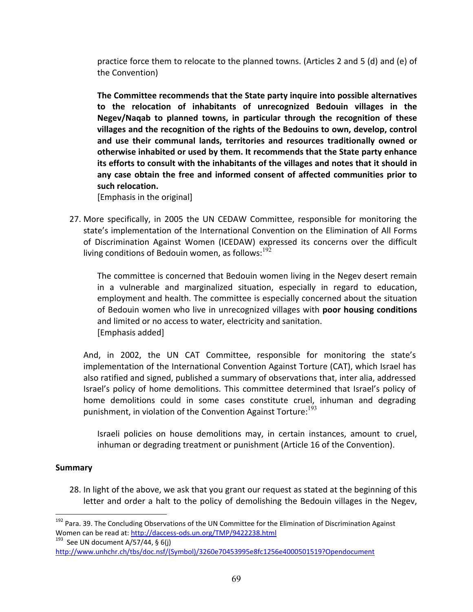practice force them to relocate to the planned towns. (Articles 2 and 5 (d) and (e) of the Convention)

**The Committee recommends that the State party inquire into possible alternatives to the relocation of inhabitants of unrecognized Bedouin villages in the Negev/Naqab to planned towns, in particular through the recognition of these villages and the recognition of the rights of the Bedouins to own, develop, control and use their communal lands, territories and resources traditionally owned or otherwise inhabited or used by them. It recommends that the State party enhance its efforts to consult with the inhabitants of the villages and notes that it should in any case obtain the free and informed consent of affected communities prior to such relocation.**

[Emphasis in the original]

27. More specifically, in 2005 the UN CEDAW Committee, responsible for monitoring the state's implementation of the International Convention on the Elimination of All Forms of Discrimination Against Women (ICEDAW) expressed its concerns over the difficult living conditions of Bedouin women, as follows:  $192$ 

The committee is concerned that Bedouin women living in the Negev desert remain in a vulnerable and marginalized situation, especially in regard to education, employment and health. The committee is especially concerned about the situation of Bedouin women who live in unrecognized villages with **poor housing conditions** and limited or no access to water, electricity and sanitation. [Emphasis added]

And, in 2002, the UN CAT Committee, responsible for monitoring the state's implementation of the International Convention Against Torture (CAT), which Israel has also ratified and signed, published a summary of observations that, inter alia, addressed Israel's policy of home demolitions. This committee determined that Israel's policy of home demolitions could in some cases constitute cruel, inhuman and degrading punishment, in violation of the Convention Against Torture:  $193$ 

Israeli policies on house demolitions may, in certain instances, amount to cruel, inhuman or degrading treatment or punishment (Article 16 of the Convention).

# **Summary**

 $\overline{a}$ 

28. In light of the above, we ask that you grant our request as stated at the beginning of this letter and order a halt to the policy of demolishing the Bedouin villages in the Negev,

<sup>&</sup>lt;sup>192</sup> Para. 39. The Concluding Observations of the UN Committee for the Elimination of Discrimination Against Women can be read at: http://daccess-ods.un.org/TMP/9422238.html<br><sup>193</sup> See UN document A/57/44, § 6(j)

http://www.unhchr.ch/tbs/doc.nsf/(Symbol)/3260e70453995e8fc1256e4000501519?Opendocument